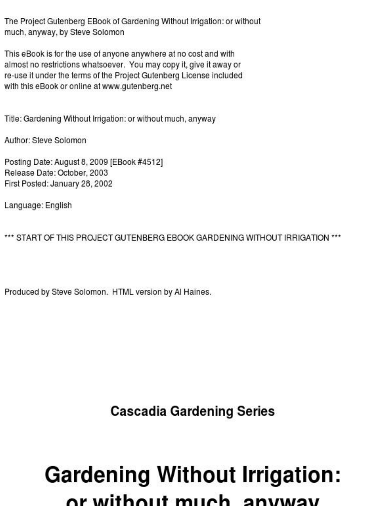The Project Gutenberg EBook of Gardening Without Irrigation: or without much, anyway, by Steve Solomon

This eBook is for the use of anyone anywhere at no cost and with almost no restrictions whatsoever. You may copy it, give it away or re-use it under the terms of the Project Gutenberg License included with this eBook or online at www.gutenberg.net

Title: Gardening Without Irrigation: or without much, anyway

Author: Steve Solomon

Posting Date: August 8, 2009 [EBook #4512] Belease Date: October, 2003 First Posted: January 28, 2002

Language: English

\*\*\* START OF THIS PROJECT GUTENRERG FROOK GARDENING WITHOUT IRRIGATION \*\*\*

Produced by Steve Solomon. HTML version by Al Haines.

**Cascadia Gardening Series** 

#### **Gardening Without Irrigation:** or without much anyway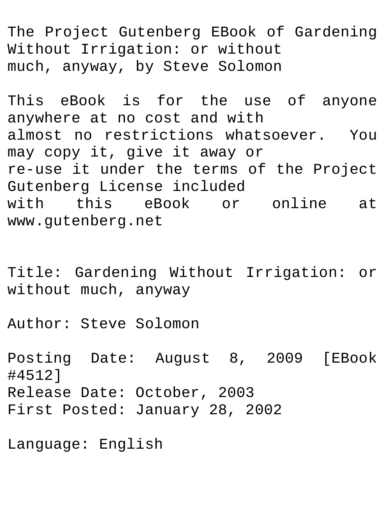The Project Gutenberg EBook of Gardening Without Irrigation: or without much, anyway, by Steve Solomon

This eBook is for the use of anyone anywhere at no cost and with almost no restrictions whatsoever. You may copy it, give it away or re-use it under the terms of the Project Gutenberg License included with this eBook or online at www.gutenberg.net

Title: Gardening Without Irrigation: or without much, anyway

Author: Steve Solomon

Posting Date: August 8, 2009 [EBook #4512] Release Date: October, 2003 First Posted: January 28, 2002

Language: English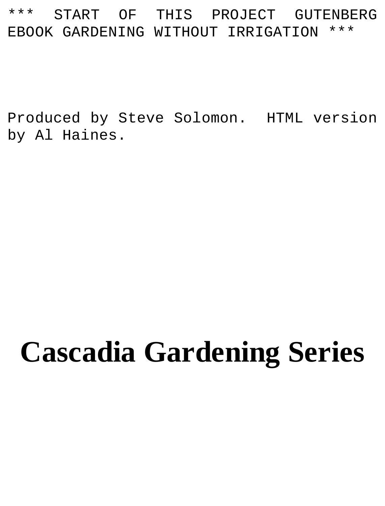#### \*\*\* START OF THIS PROJECT GUTENBERG EBOOK GARDENING WITHOUT IRRIGATION

Produced by Steve Solomon. HTML version by Al Haines.

# **Cascadia Gardening Series**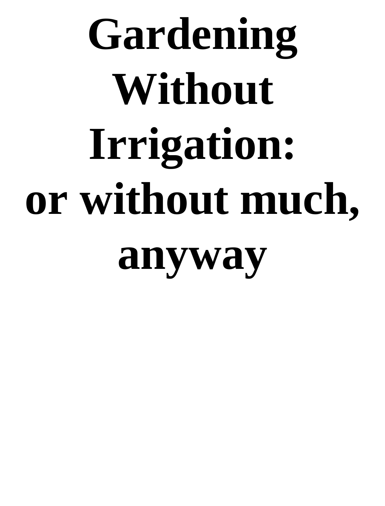# **Gardening Without Irrigation: or without much, anyway**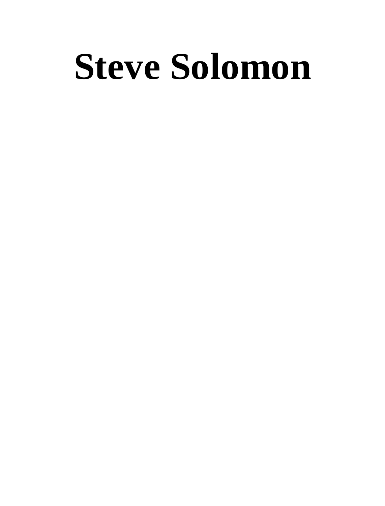# **Steve Solomon**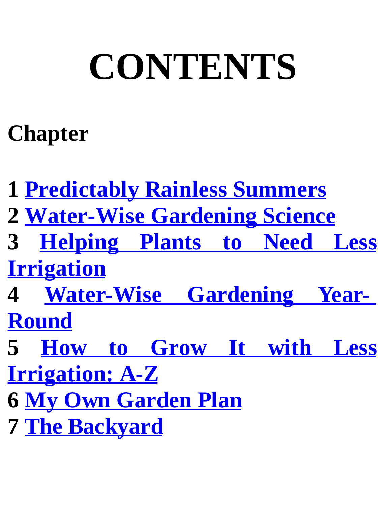# **CONTENTS**

#### **Chapter**

 **Predictably Rainless Summers Water-Wise Gardening Science Helping Plants to Need Less Irrigation Water-Wise Gardening Year-Round How to Grow It with Less Irrigation: A-Z My Own Garden Plan The Backyard**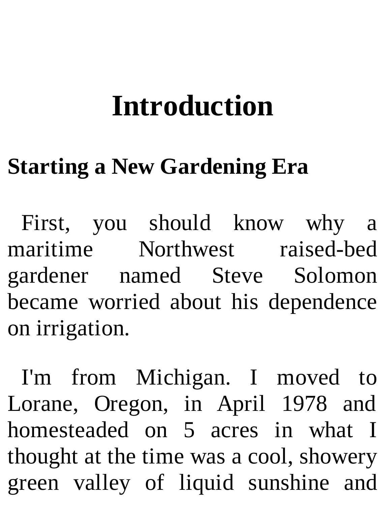### **Introduction**

#### **Starting a New Gardening Era**

First, you should know why a maritime Northwest raised-bed gardener named Steve Solomon became worried about his dependence on irrigation.

I'm from Michigan. I moved to Lorane, Oregon, in April 1978 and homesteaded on 5 acres in what I thought at the time was a cool, showery green valley of liquid sunshine and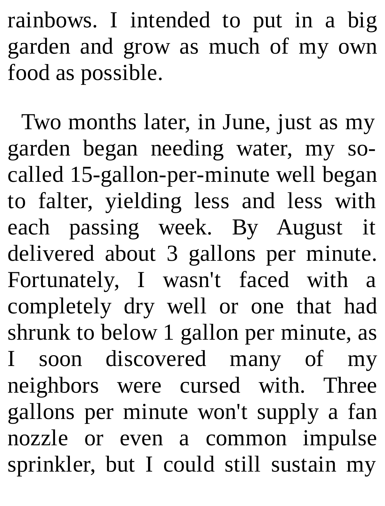rainbows. I intended to put in a big garden and grow as much of my own food as possible.

Two months later, in June, just as my garden began needing water, my socalled 15-gallon-per-minute well began to falter, yielding less and less with each passing week. By August it delivered about 3 gallons per minute. Fortunately, I wasn't faced with a completely dry well or one that had shrunk to below 1 gallon per minute, as I soon discovered many of my neighbors were cursed with. Three gallons per minute won't supply a fan nozzle or even a common impulse sprinkler, but I could still sustain my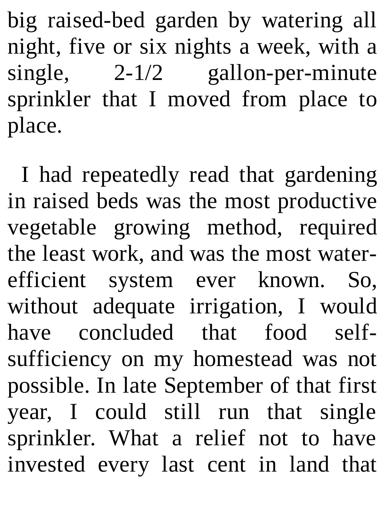big raised-bed garden by watering all night, five or six nights a week, with a single, 2-1/2 gallon-per-minute sprinkler that I moved from place to place.

I had repeatedly read that gardening in raised beds was the most productive vegetable growing method, required the least work, and was the most waterefficient system ever known. So, without adequate irrigation, I would have concluded that food selfsufficiency on my homestead was not possible. In late September of that first year, I could still run that single sprinkler. What a relief not to have invested every last cent in land that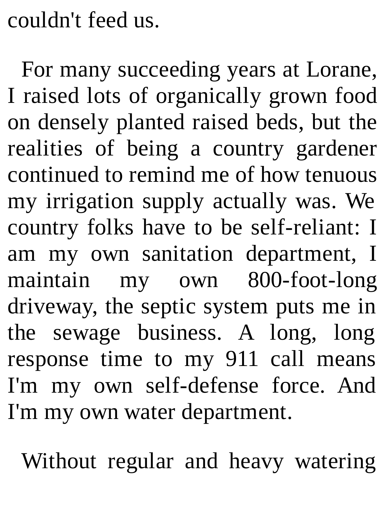couldn't feed us.

For many succeeding years at Lorane, I raised lots of organically grown food on densely planted raised beds, but the realities of being a country gardener continued to remind me of how tenuous my irrigation supply actually was. We country folks have to be self-reliant: I am my own sanitation department, I maintain my own 800-foot-long driveway, the septic system puts me in the sewage business. A long, long response time to my 911 call means I'm my own self-defense force. And I'm my own water department.

Without regular and heavy watering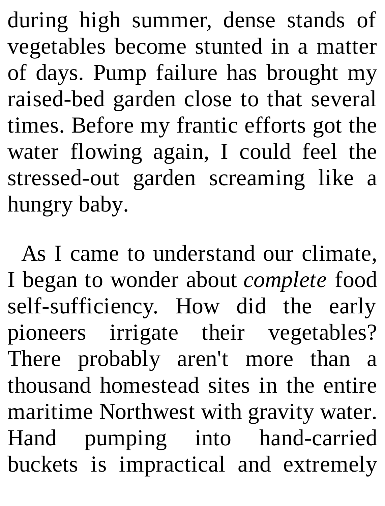during high summer, dense stands of vegetables become stunted in a matter of days. Pump failure has brought my raised-bed garden close to that several times. Before my frantic efforts got the water flowing again, I could feel the stressed-out garden screaming like a hungry baby.

As I came to understand our climate, I began to wonder about *complete* food self-sufficiency. How did the early pioneers irrigate their vegetables? There probably aren't more than a thousand homestead sites in the entire maritime Northwest with gravity water. Hand pumping into hand-carried buckets is impractical and extremely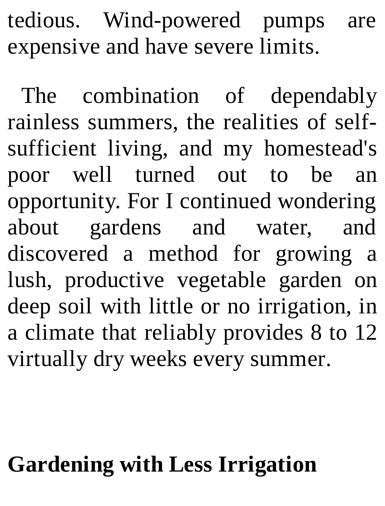tedious. Wind-powered pumps are expensive and have severe limits.

The combination of dependably rainless summers, the realities of selfsufficient living, and my homestead's poor well turned out to be an opportunity. For I continued wondering about gardens and water, and discovered a method for growing a lush, productive vegetable garden on deep soil with little or no irrigation, in a climate that reliably provides 8 to 12 virtually dry weeks every summer.

#### **Gardening with Less Irrigation**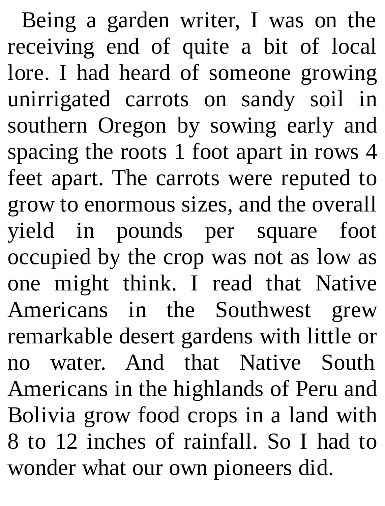Being a garden writer, I was on the receiving end of quite a bit of local lore. I had heard of someone growing unirrigated carrots on sandy soil in southern Oregon by sowing early and spacing the roots 1 foot apart in rows 4 feet apart. The carrots were reputed to grow to enormous sizes, and the overall yield in pounds per square foot occupied by the crop was not as low as one might think. I read that Native Americans in the Southwest grew remarkable desert gardens with little or no water. And that Native South Americans in the highlands of Peru and Bolivia grow food crops in a land with 8 to 12 inches of rainfall. So I had to wonder what our own pioneers did.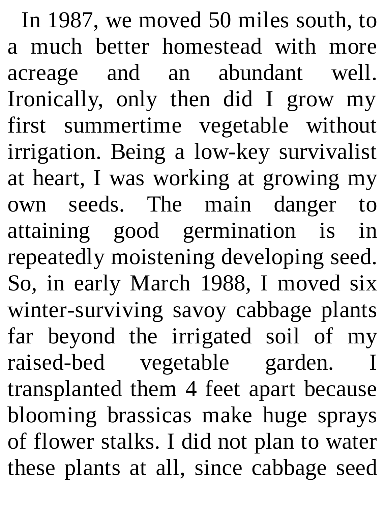In 1987, we moved 50 miles south, to a much better homestead with more acreage and an abundant well. Ironically, only then did I grow my first summertime vegetable without irrigation. Being a low-key survivalist at heart, I was working at growing my own seeds. The main danger to attaining good germination is in repeatedly moistening developing seed. So, in early March 1988, I moved six winter-surviving savoy cabbage plants far beyond the irrigated soil of my raised-bed vegetable garden. transplanted them 4 feet apart because blooming brassicas make huge sprays of flower stalks. I did not plan to water these plants at all, since cabbage seed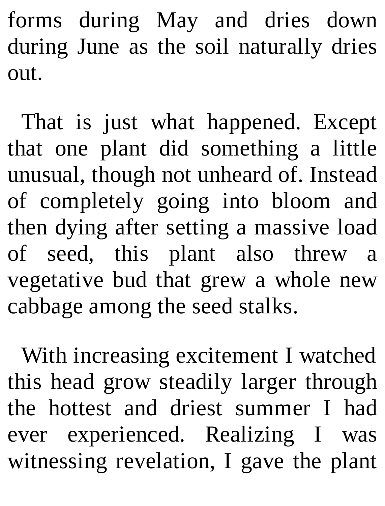forms during May and dries down during June as the soil naturally dries out.

That is just what happened. Except that one plant did something a little unusual, though not unheard of. Instead of completely going into bloom and then dying after setting a massive load of seed, this plant also threw a vegetative bud that grew a whole new cabbage among the seed stalks.

With increasing excitement I watched this head grow steadily larger through the hottest and driest summer I had ever experienced. Realizing I was witnessing revelation, I gave the plant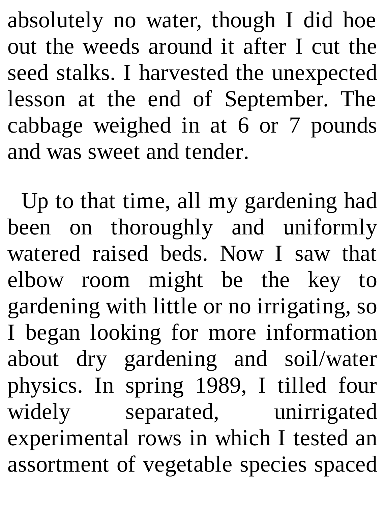absolutely no water, though I did hoe out the weeds around it after I cut the seed stalks. I harvested the unexpected lesson at the end of September. The cabbage weighed in at 6 or 7 pounds and was sweet and tender.

Up to that time, all my gardening had been on thoroughly and uniformly watered raised beds. Now I saw that elbow room might be the key to gardening with little or no irrigating, so I began looking for more information about dry gardening and soil/water physics. In spring 1989, I tilled four widely separated, unirrigated experimental rows in which I tested an assortment of vegetable species spaced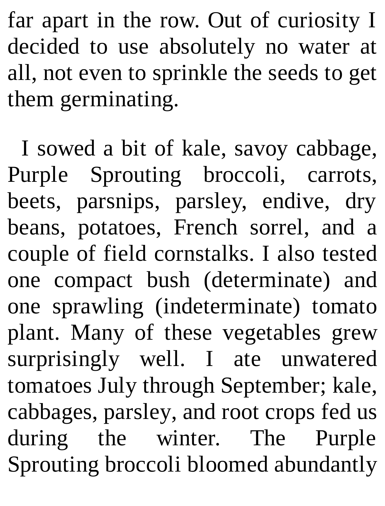far apart in the row. Out of curiosity I decided to use absolutely no water at all, not even to sprinkle the seeds to get them germinating.

I sowed a bit of kale, savoy cabbage, Purple Sprouting broccoli, carrots, beets, parsnips, parsley, endive, dry beans, potatoes, French sorrel, and a couple of field cornstalks. I also tested one compact bush (determinate) and one sprawling (indeterminate) tomato plant. Many of these vegetables grew surprisingly well. I ate unwatered tomatoes July through September; kale, cabbages, parsley, and root crops fed us during the winter. The Purple Sprouting broccoli bloomed abundantly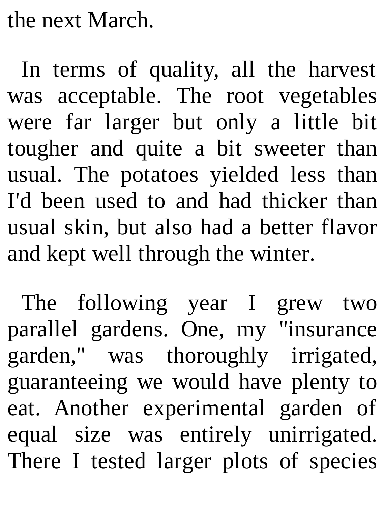the next March.

In terms of quality, all the harvest was acceptable. The root vegetables were far larger but only a little bit tougher and quite a bit sweeter than usual. The potatoes yielded less than I'd been used to and had thicker than usual skin, but also had a better flavor and kept well through the winter.

The following year I grew two parallel gardens. One, my "insurance garden," was thoroughly irrigated, guaranteeing we would have plenty to eat. Another experimental garden of equal size was entirely unirrigated. There I tested larger plots of species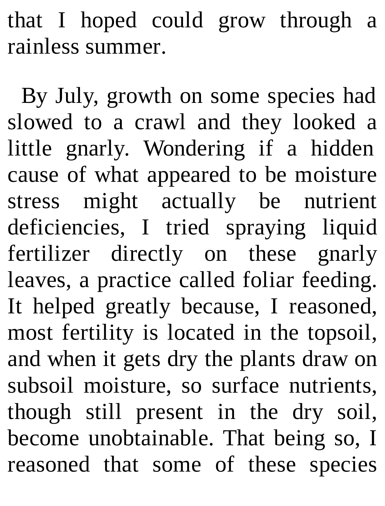that I hoped could grow through a rainless summer.

By July, growth on some species had slowed to a crawl and they looked a little gnarly. Wondering if a hidden cause of what appeared to be moisture stress might actually be nutrient deficiencies, I tried spraying liquid fertilizer directly on these gnarly leaves, a practice called foliar feeding. It helped greatly because, I reasoned, most fertility is located in the topsoil, and when it gets dry the plants draw on subsoil moisture, so surface nutrients, though still present in the dry soil, become unobtainable. That being so, I reasoned that some of these species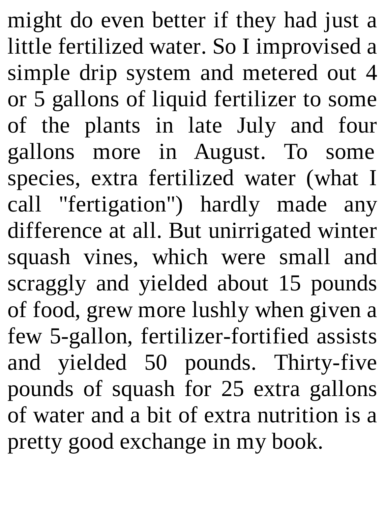might do even better if they had just a little fertilized water. So I improvised a simple drip system and metered out 4 or 5 gallons of liquid fertilizer to some of the plants in late July and four gallons more in August. To some species, extra fertilized water (what I call "fertigation") hardly made any difference at all. But unirrigated winter squash vines, which were small and scraggly and yielded about 15 pounds of food, grew more lushly when given a few 5-gallon, fertilizer-fortified assists and yielded 50 pounds. Thirty-five pounds of squash for 25 extra gallons of water and a bit of extra nutrition is a pretty good exchange in my book.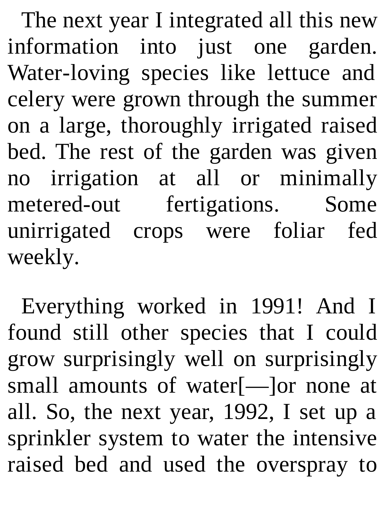The next year I integrated all this new information into just one garden. Water-loving species like lettuce and celery were grown through the summer on a large, thoroughly irrigated raised bed. The rest of the garden was given no irrigation at all or minimally metered-out fertigations. Some unirrigated crops were foliar fed weekly.

Everything worked in 1991! And I found still other species that I could grow surprisingly well on surprisingly small amounts of water[—]or none at all. So, the next year, 1992, I set up a sprinkler system to water the intensive raised bed and used the overspray to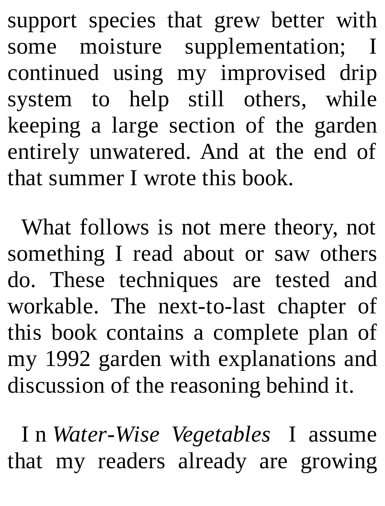support species that grew better with some moisture supplementation; I continued using my improvised drip system to help still others, while keeping a large section of the garden entirely unwatered. And at the end of that summer I wrote this book.

What follows is not mere theory, not something I read about or saw others do. These techniques are tested and workable. The next-to-last chapter of this book contains a complete plan of my 1992 garden with explanations and discussion of the reasoning behind it.

I n *Water-Wise Vegetables* I assume that my readers already are growing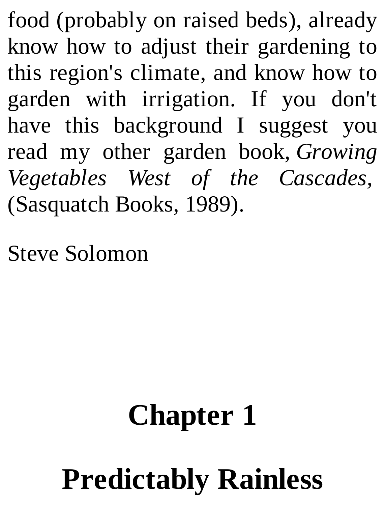food (probably on raised beds), already know how to adjust their gardening to this region's climate, and know how to garden with irrigation. If you don't have this background I suggest you read my other garden book, *Growing Vegetables West of the Cascades,* (Sasquatch Books, 1989).

Steve Solomon

## **Chapter 1**

# **Predictably Rainless**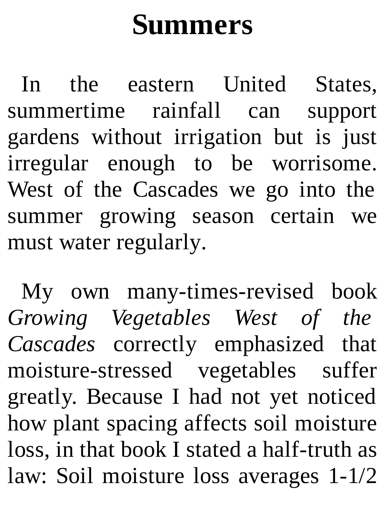# **Summers**

In the eastern United States, summertime rainfall can support gardens without irrigation but is just irregular enough to be worrisome. West of the Cascades we go into the summer growing season certain we must water regularly.

My own many-times-revised book *Growing Vegetables West of the Cascades* correctly emphasized that moisture-stressed vegetables suffer greatly. Because I had not yet noticed how plant spacing affects soil moisture loss, in that book I stated a half-truth as law: Soil moisture loss averages 1-1/2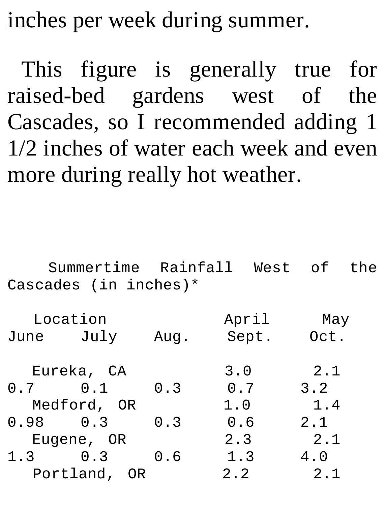inches per week during summer.

This figure is generally true for raised-bed gardens west of the Cascades, so I recommended adding 1 1/2 inches of water each week and even more during really hot weather.

|              | Cascades (in inches) $*$ |      | Summertime Rainfall West of |             | the |
|--------------|--------------------------|------|-----------------------------|-------------|-----|
| June         | Location<br>July         | Aug. | April<br>Sept.              | May<br>Oct. |     |
|              | Eureka, CA               |      | 3.0                         | 2.1         |     |
| $0.7$ $0.1$  |                          | 0.3  | 0.7                         | 3.2         |     |
| Medford, OR  |                          |      | 1.0                         | 1.4         |     |
| $0.98$ 0.3   |                          | 0.3  | 0.6                         | 2.1         |     |
| Eugene, OR   |                          |      | 2.3                         | 2.1         |     |
| $1.3 \t 0.3$ |                          | 0.6  | 1.3                         | 4.0         |     |
|              | Portland,                | 0R   | 2.2                         | 2.1         |     |
|              |                          |      |                             |             |     |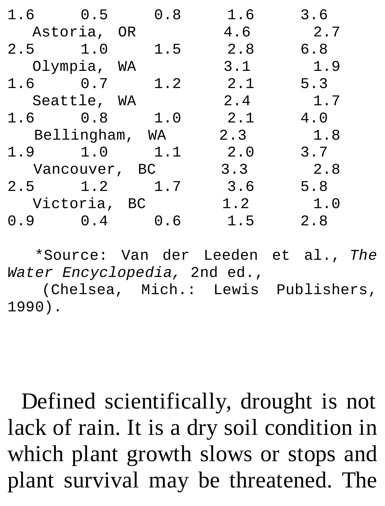| $1.6$ 0.5     |                | 0.8 | 1.6 | 3.6 |
|---------------|----------------|-----|-----|-----|
|               | Astoria, OR    |     | 4.6 | 2.7 |
| $2.5 \t1.0$   |                | 1.5 | 2.8 | 6.8 |
|               | Olympia, WA    |     | 3.1 | 1.9 |
| $1.6 \t 0.7$  |                | 1.2 | 2.1 | 5.3 |
|               | Seattle, WA    |     | 2.4 | 1.7 |
| $1.6 \t 0.8$  |                | 1.0 | 2.1 | 4.0 |
|               | Bellingham, WA |     | 2.3 | 1.8 |
| 1.9 1.0       |                | 1.1 | 2.0 | 3.7 |
| Vancouver, BC |                |     | 3.3 | 2.8 |
| $2.5 \t1.2$   |                | 1.7 | 3.6 | 5.8 |
| Victoria, BC  |                |     | 1.2 | 1.0 |
| 0.9           | $\odot$ .4     | 0.6 | 1.5 | 2.8 |

\*Source: Van der Leeden et al., *The Water Encyclopedia,* 2nd ed., (Chelsea, Mich.: Lewis Publishers, 1990).

Defined scientifically, drought is not lack of rain. It is a dry soil condition in which plant growth slows or stops and plant survival may be threatened. The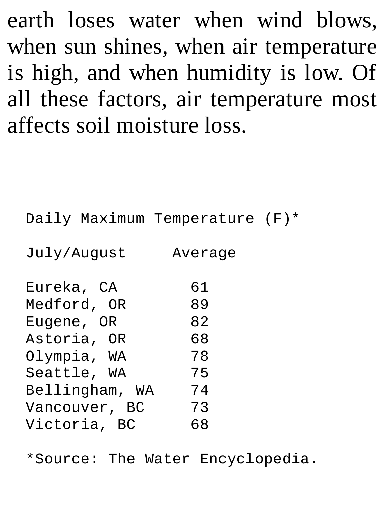earth loses water when wind blows, when sun shines, when air temperature is high, and when humidity is low. Of all these factors, air temperature most affects soil moisture loss.

Daily Maximum Temperature (F)\* July/August Average Eureka, CA 61 Medford, OR 89 Eugene, OR 82 Astoria, OR 68 Olympia, WA 78 Seattle, WA 75 Bellingham, WA 74<br>Vancouver, BC 73 Vancouver, BC Victoria, BC 68

\*Source: The Water Encyclopedia.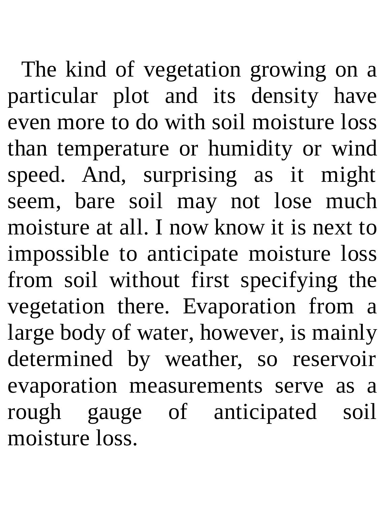The kind of vegetation growing on a particular plot and its density have even more to do with soil moisture loss than temperature or humidity or wind speed. And, surprising as it might seem, bare soil may not lose much moisture at all. I now know it is next to impossible to anticipate moisture loss from soil without first specifying the vegetation there. Evaporation from a large body of water, however, is mainly determined by weather, so reservoir evaporation measurements serve as a rough gauge of anticipated soil moisture loss.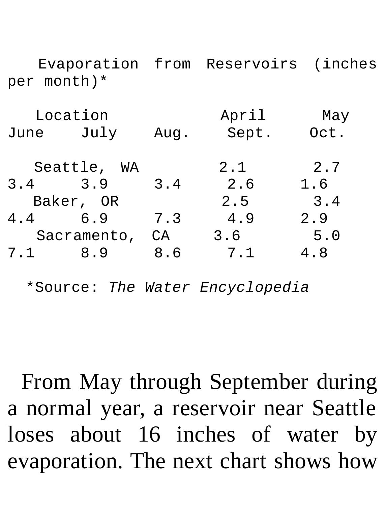Evaporation from Reservoirs (inches per month)\*

| Location |       |       |
|----------|-------|-------|
| Aug.     | Sept. | 0ct.  |
|          | 2.1   | 2.7   |
| 3.4      | 2.6   | 1.6   |
|          | 2.5   | 3.4   |
| 7.3      | 4.9   | 2.9   |
| CА       | 3.6   | 5.0   |
| 8.6      | 7.1   | 4.8   |
|          |       | April |

\*Source: *The Water Encyclopedia*

From May through September during a normal year, a reservoir near Seattle loses about 16 inches of water by evaporation. The next chart shows how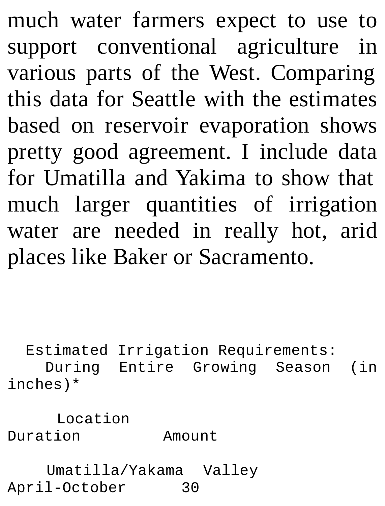much water farmers expect to use to support conventional agriculture in various parts of the West. Comparing this data for Seattle with the estimates based on reservoir evaporation shows pretty good agreement. I include data for Umatilla and Yakima to show that much larger quantities of irrigation water are needed in really hot, arid places like Baker or Sacramento.

Estimated Irrigation Requirements: During Entire Growing Season (in inches)\*

Location Duration Amount

Umatilla/Yakama Valley April-October 30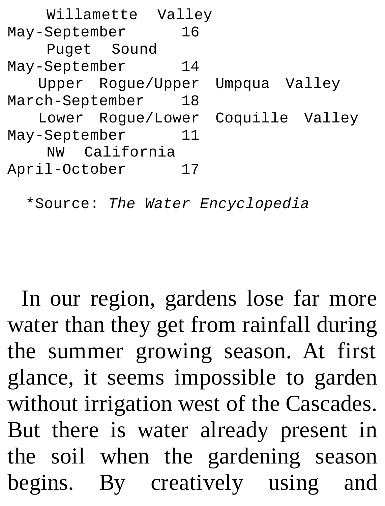| Willamette Valley |                                   |
|-------------------|-----------------------------------|
| May-September     | 16                                |
| Puget Sound       |                                   |
| May-September     | 14                                |
|                   | Upper Rogue/Upper Umpqua Valley   |
| March-September   | 18                                |
|                   | Lower Rogue/Lower Coquille Valley |
| May-September     | 11                                |
| NW California     |                                   |
| April-October     |                                   |

\*Source: *The Water Encyclopedia*

In our region, gardens lose far more water than they get from rainfall during the summer growing season. At first glance, it seems impossible to garden without irrigation west of the Cascades. But there is water already present in the soil when the gardening season begins. By creatively using and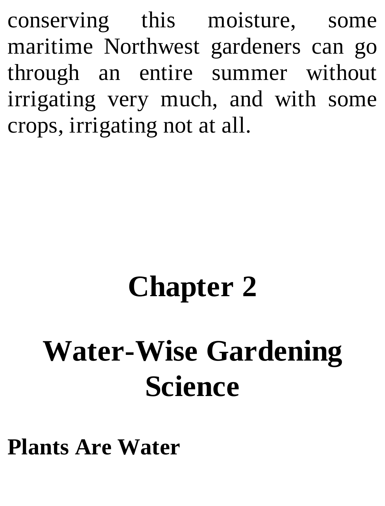conserving this moisture, some maritime Northwest gardeners can go through an entire summer without irrigating very much, and with some crops, irrigating not at all.

# **Chapter 2**

# **Water-Wise Gardening Science**

**Plants Are Water**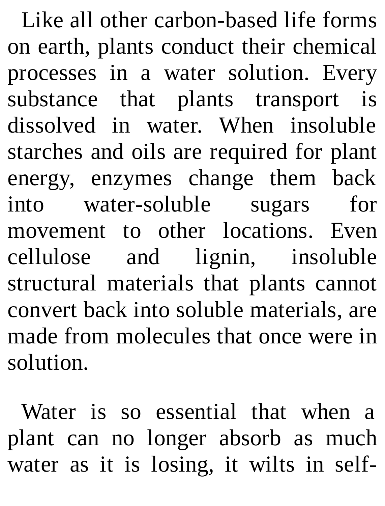Like all other carbon-based life forms on earth, plants conduct their chemical processes in a water solution. Every substance that plants transport is dissolved in water. When insoluble starches and oils are required for plant energy, enzymes change them back into water-soluble sugars for movement to other locations. Even cellulose and lignin, insoluble structural materials that plants cannot convert back into soluble materials, are made from molecules that once were in solution.

Water is so essential that when a plant can no longer absorb as much water as it is losing, it wilts in self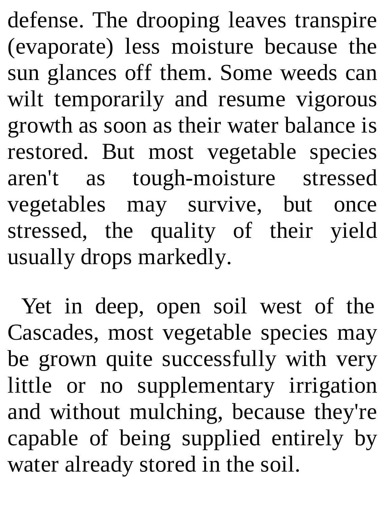defense. The drooping leaves transpire (evaporate) less moisture because the sun glances off them. Some weeds can wilt temporarily and resume vigorous growth as soon as their water balance is restored. But most vegetable species aren't as tough-moisture stressed vegetables may survive, but once stressed, the quality of their yield usually drops markedly.

Yet in deep, open soil west of the Cascades, most vegetable species may be grown quite successfully with very little or no supplementary irrigation and without mulching, because they're capable of being supplied entirely by water already stored in the soil.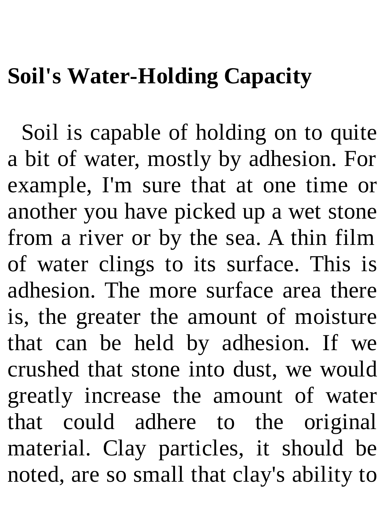#### **Soil's Water-Holding Capacity**

Soil is capable of holding on to quite a bit of water, mostly by adhesion. For example, I'm sure that at one time or another you have picked up a wet stone from a river or by the sea. A thin film of water clings to its surface. This is adhesion. The more surface area there is, the greater the amount of moisture that can be held by adhesion. If we crushed that stone into dust, we would greatly increase the amount of water that could adhere to the original material. Clay particles, it should be noted, are so small that clay's ability to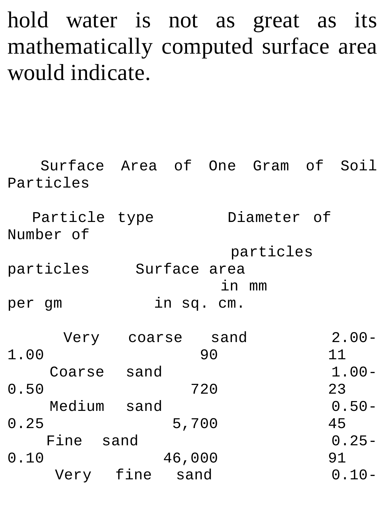#### hold water is not as great as its mathematically computed surface area would indicate.

| Surface Area of One Gram of Soil<br>Particles |                  |        |            |             |          |
|-----------------------------------------------|------------------|--------|------------|-------------|----------|
| Particle type<br>Number of                    |                  |        |            | Diameter of |          |
|                                               | particles        |        |            |             |          |
| particles Surface area                        |                  |        |            |             |          |
|                                               |                  |        | in mm      |             |          |
| per gm                                        |                  |        | in sq. cm. |             |          |
|                                               | Very coarse sand |        |            |             | $2.00 -$ |
| 1.00                                          |                  |        | 90         |             | 11       |
| Coarse sand                                   |                  |        |            |             | $1.00 -$ |
| 0.50                                          |                  |        | 720        |             | 23       |
| Medium sand                                   |                  |        |            |             | $0.50 -$ |
| 0.25                                          |                  | 5,700  |            |             | 45       |
| Fine sand                                     |                  |        |            |             | $0.25 -$ |
| 0.10                                          |                  | 46,000 |            |             | 91       |
| Very fine sand                                |                  |        |            |             | $0.10 -$ |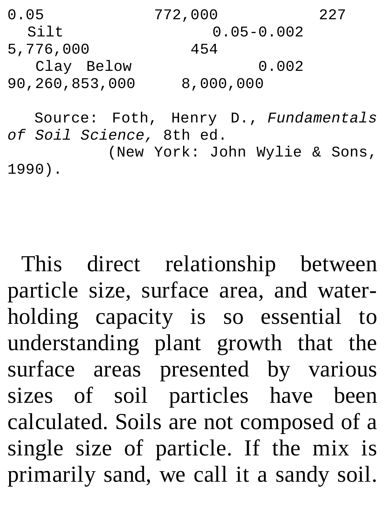```
0.05 772,000 227
                 0.05 - 0.0025,776,000 454
 Clay Below 0.002
90,260,853,000 8,000,000
  Source: Foth, Henry D., Fundamentals
of Soil Science, 8th ed.
```
(New York: John Wylie & Sons, 1990).

This direct relationship between particle size, surface area, and waterholding capacity is so essential to understanding plant growth that the surface areas presented by various sizes of soil particles have been calculated. Soils are not composed of a single size of particle. If the mix is primarily sand, we call it a sandy soil.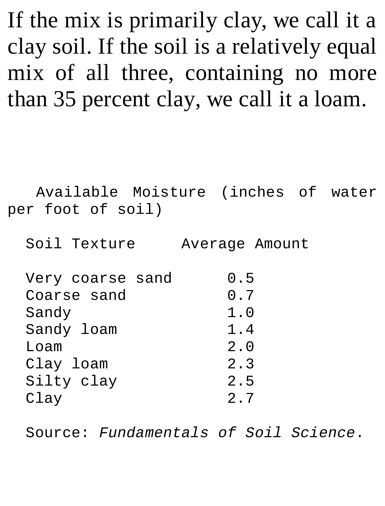If the mix is primarily clay, we call it a clay soil. If the soil is a relatively equal mix of all three, containing no more than 35 percent clay, we call it a loam.

Available Moisture (inches of water per foot of soil)

Soil Texture Average Amount

| 0.7 |
|-----|
|     |
| 1.0 |
| 1.4 |
| 2.0 |
| 2.3 |
| 2.5 |
| 2.7 |
|     |

Source: *Fundamentals of Soil Science*.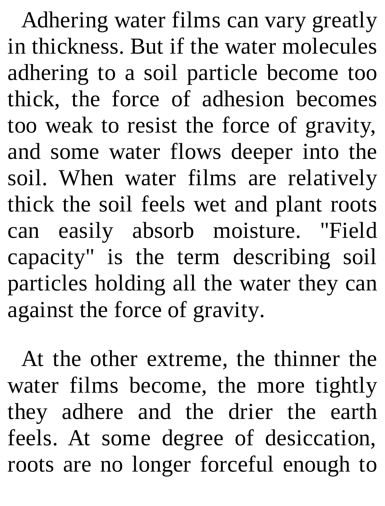Adhering water films can vary greatly in thickness. But if the water molecules adhering to a soil particle become too thick, the force of adhesion becomes too weak to resist the force of gravity, and some water flows deeper into the soil. When water films are relatively thick the soil feels wet and plant roots can easily absorb moisture. "Field capacity" is the term describing soil particles holding all the water they can against the force of gravity.

At the other extreme, the thinner the water films become, the more tightly they adhere and the drier the earth feels. At some degree of desiccation, roots are no longer forceful enough to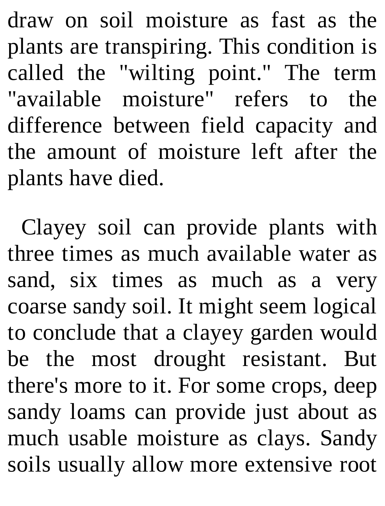draw on soil moisture as fast as the plants are transpiring. This condition is called the "wilting point." The term "available moisture" refers to the difference between field capacity and the amount of moisture left after the plants have died.

Clayey soil can provide plants with three times as much available water as sand, six times as much as a very coarse sandy soil. It might seem logical to conclude that a clayey garden would be the most drought resistant. But there's more to it. For some crops, deep sandy loams can provide just about as much usable moisture as clays. Sandy soils usually allow more extensive root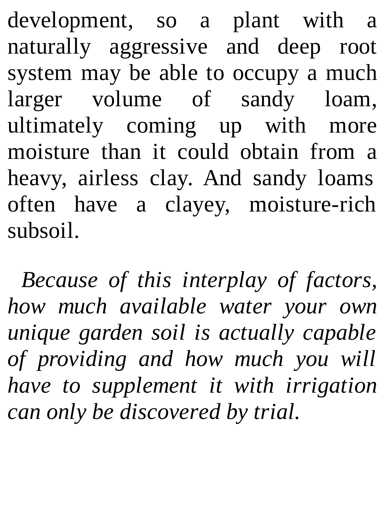development, so a plant with a naturally aggressive and deep root system may be able to occupy a much larger volume of sandy loam, ultimately coming up with more moisture than it could obtain from a heavy, airless clay. And sandy loams often have a clayey, moisture-rich subsoil.

*Because of this interplay of factors, how much available water your own unique garden soil is actually capable of providing and how much you will have to supplement it with irrigation can only be discovered by trial.*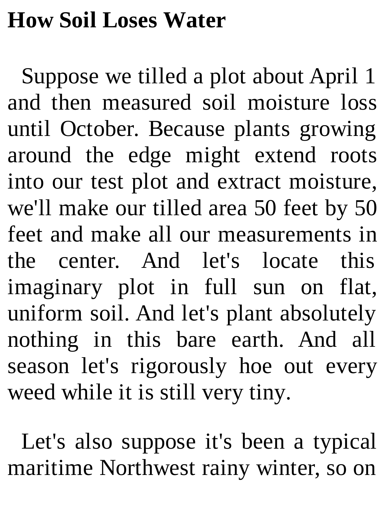#### **How Soil Loses Water**

Suppose we tilled a plot about April 1 and then measured soil moisture loss until October. Because plants growing around the edge might extend roots into our test plot and extract moisture, we'll make our tilled area 50 feet by 50 feet and make all our measurements in the center. And let's locate this imaginary plot in full sun on flat, uniform soil. And let's plant absolutely nothing in this bare earth. And all season let's rigorously hoe out every weed while it is still very tiny.

Let's also suppose it's been a typical maritime Northwest rainy winter, so on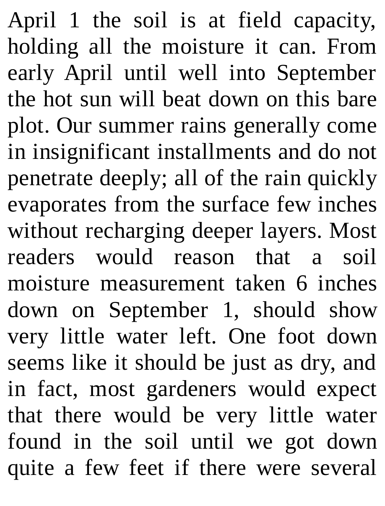April 1 the soil is at field capacity, holding all the moisture it can. From early April until well into September the hot sun will beat down on this bare plot. Our summer rains generally come in insignificant installments and do not penetrate deeply; all of the rain quickly evaporates from the surface few inches without recharging deeper layers. Most readers would reason that a soil moisture measurement taken 6 inches down on September 1, should show very little water left. One foot down seems like it should be just as dry, and in fact, most gardeners would expect that there would be very little water found in the soil until we got down quite a few feet if there were several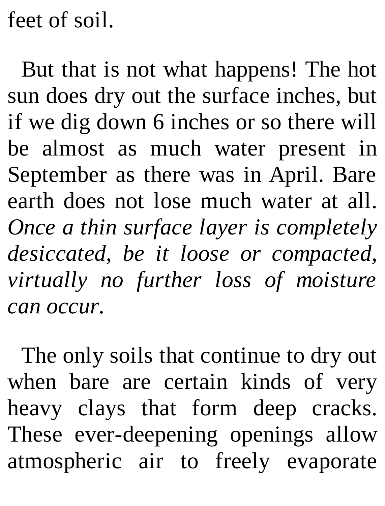feet of soil.

But that is not what happens! The hot sun does dry out the surface inches, but if we dig down 6 inches or so there will be almost as much water present in September as there was in April. Bare earth does not lose much water at all. *Once a thin surface layer is completely desiccated, be it loose or compacted, virtually no further loss of moisture can occur.*

The only soils that continue to dry out when bare are certain kinds of very heavy clays that form deep cracks. These ever-deepening openings allow atmospheric air to freely evaporate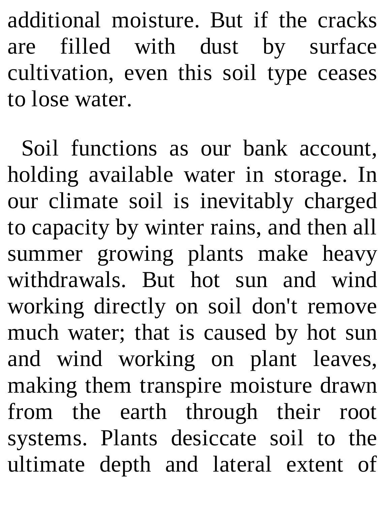additional moisture. But if the cracks are filled with dust by surface cultivation, even this soil type ceases to lose water.

Soil functions as our bank account, holding available water in storage. In our climate soil is inevitably charged to capacity by winter rains, and then all summer growing plants make heavy withdrawals. But hot sun and wind working directly on soil don't remove much water; that is caused by hot sun and wind working on plant leaves, making them transpire moisture drawn from the earth through their root systems. Plants desiccate soil to the ultimate depth and lateral extent of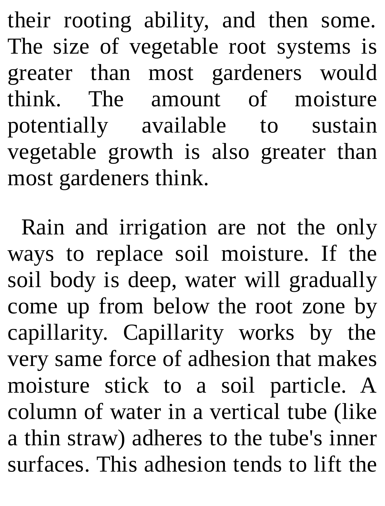their rooting ability, and then some. The size of vegetable root systems is greater than most gardeners would think. The amount of moisture potentially available to sustain vegetable growth is also greater than most gardeners think.

Rain and irrigation are not the only ways to replace soil moisture. If the soil body is deep, water will gradually come up from below the root zone by capillarity. Capillarity works by the very same force of adhesion that makes moisture stick to a soil particle. A column of water in a vertical tube (like a thin straw) adheres to the tube's inner surfaces. This adhesion tends to lift the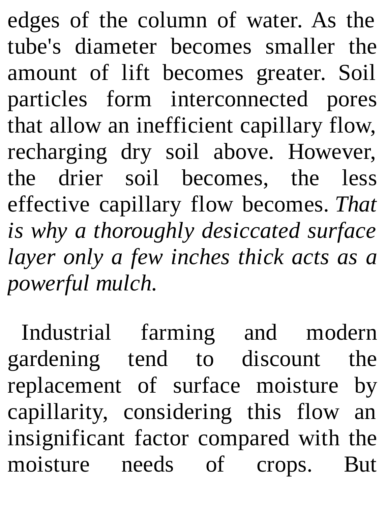edges of the column of water. As the tube's diameter becomes smaller the amount of lift becomes greater. Soil particles form interconnected pores that allow an inefficient capillary flow, recharging dry soil above. However, the drier soil becomes, the less effective capillary flow becomes. *That is why a thoroughly desiccated surface layer only a few inches thick acts as a powerful mulch.*

Industrial farming and modern gardening tend to discount the replacement of surface moisture by capillarity, considering this flow an insignificant factor compared with the moisture needs of crops. But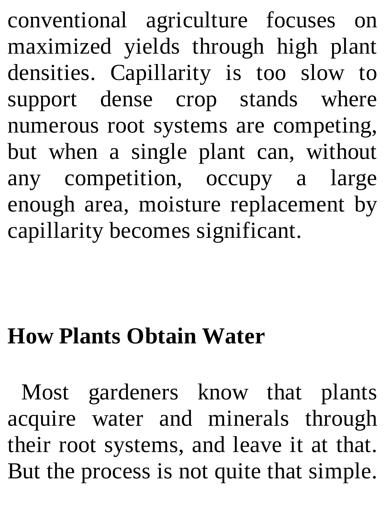conventional agriculture focuses on maximized yields through high plant densities. Capillarity is too slow to support dense crop stands where numerous root systems are competing, but when a single plant can, without any competition, occupy a large enough area, moisture replacement by capillarity becomes significant.

### **How Plants Obtain Water**

Most gardeners know that plants acquire water and minerals through their root systems, and leave it at that. But the process is not quite that simple.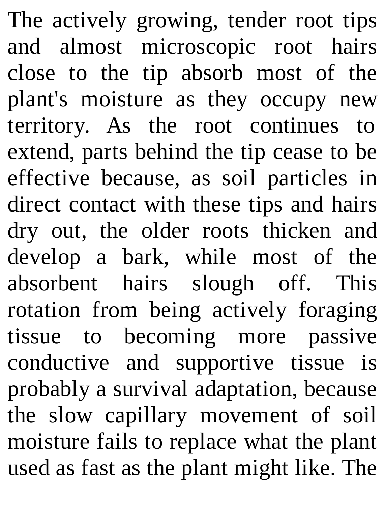The actively growing, tender root tips and almost microscopic root hairs close to the tip absorb most of the plant's moisture as they occupy new territory. As the root continues to extend, parts behind the tip cease to be effective because, as soil particles in direct contact with these tips and hairs dry out, the older roots thicken and develop a bark, while most of the absorbent hairs slough off. This rotation from being actively foraging tissue to becoming more passive conductive and supportive tissue is probably a survival adaptation, because the slow capillary movement of soil moisture fails to replace what the plant used as fast as the plant might like. The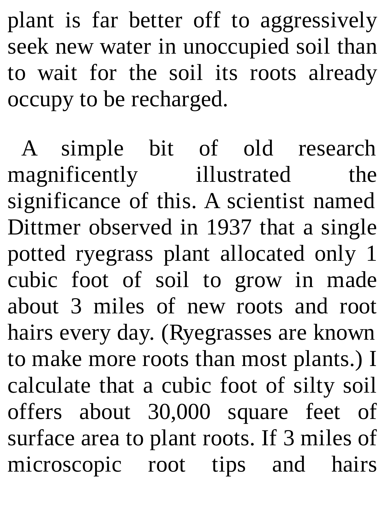plant is far better off to aggressively seek new water in unoccupied soil than to wait for the soil its roots already occupy to be recharged.

A simple bit of old research magnificently illustrated the significance of this. A scientist named Dittmer observed in 1937 that a single potted ryegrass plant allocated only 1 cubic foot of soil to grow in made about 3 miles of new roots and root hairs every day. (Ryegrasses are known to make more roots than most plants.) I calculate that a cubic foot of silty soil offers about 30,000 square feet of surface area to plant roots. If 3 miles of microscopic root tips and hairs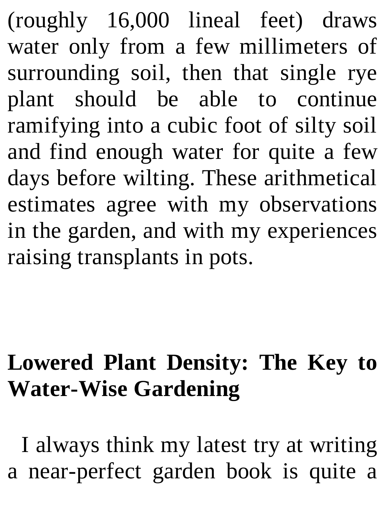(roughly 16,000 lineal feet) draws water only from a few millimeters of surrounding soil, then that single rye plant should be able to continue ramifying into a cubic foot of silty soil and find enough water for quite a few days before wilting. These arithmetical estimates agree with my observations in the garden, and with my experiences raising transplants in pots.

### **Lowered Plant Density: The Key to Water-Wise Gardening**

I always think my latest try at writing a near-perfect garden book is quite a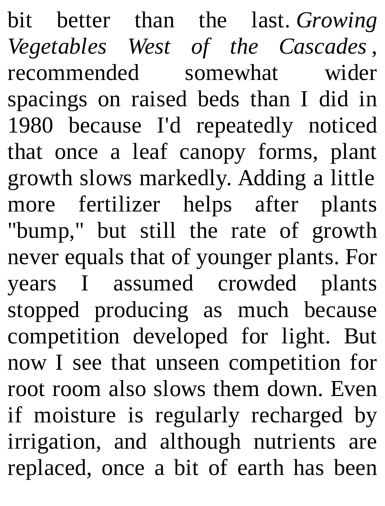bit better than the last. *Growing Vegetables West of the Cascades* , recommended somewhat wider spacings on raised beds than I did in 1980 because I'd repeatedly noticed that once a leaf canopy forms, plant growth slows markedly. Adding a little more fertilizer helps after plants "bump," but still the rate of growth never equals that of younger plants. For years I assumed crowded plants stopped producing as much because competition developed for light. But now I see that unseen competition for root room also slows them down. Even if moisture is regularly recharged by irrigation, and although nutrients are replaced, once a bit of earth has been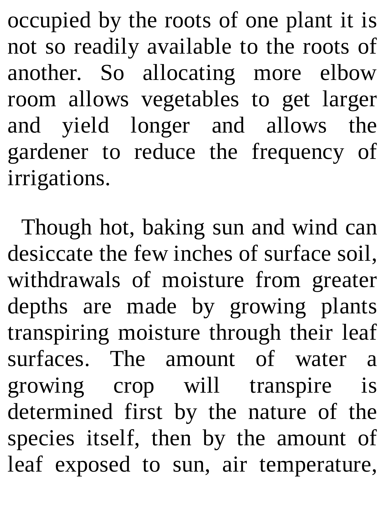occupied by the roots of one plant it is not so readily available to the roots of another. So allocating more elbow room allows vegetables to get larger and yield longer and allows the gardener to reduce the frequency of irrigations.

Though hot, baking sun and wind can desiccate the few inches of surface soil, withdrawals of moisture from greater depths are made by growing plants transpiring moisture through their leaf surfaces. The amount of water a growing crop will transpire is determined first by the nature of the species itself, then by the amount of leaf exposed to sun, air temperature,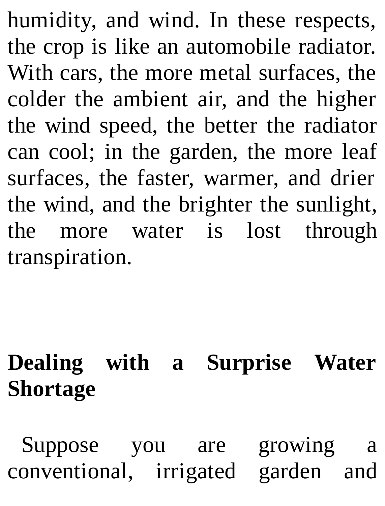humidity, and wind. In these respects, the crop is like an automobile radiator. With cars, the more metal surfaces, the colder the ambient air, and the higher the wind speed, the better the radiator can cool; in the garden, the more leaf surfaces, the faster, warmer, and drier the wind, and the brighter the sunlight, the more water is lost through transpiration.

## **Dealing with a Surprise Water Shortage**

Suppose you are growing a conventional, irrigated garden and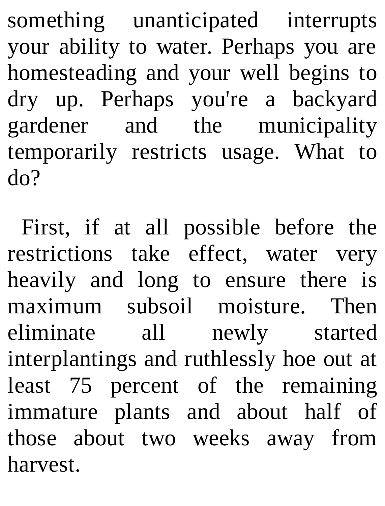something unanticipated interrupts your ability to water. Perhaps you are homesteading and your well begins to dry up. Perhaps you're a backyard gardener and the municipality temporarily restricts usage. What to do?

First, if at all possible before the restrictions take effect, water very heavily and long to ensure there is maximum subsoil moisture. Then eliminate all newly started interplantings and ruthlessly hoe out at least 75 percent of the remaining immature plants and about half of those about two weeks away from harvest.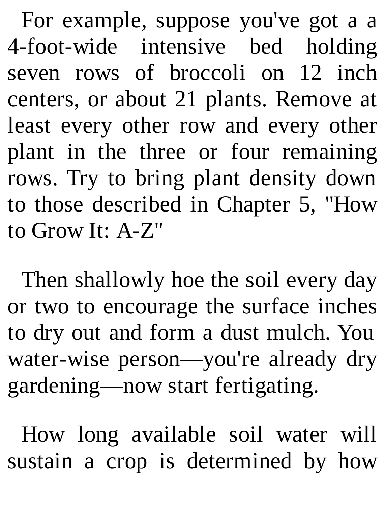For example, suppose you've got a a 4-foot-wide intensive bed holding seven rows of broccoli on 12 inch centers, or about 21 plants. Remove at least every other row and every other plant in the three or four remaining rows. Try to bring plant density down to those described in Chapter 5, "How to Grow It: A-Z"

Then shallowly hoe the soil every day or two to encourage the surface inches to dry out and form a dust mulch. You water-wise person—you're already dry gardening—now start fertigating.

How long available soil water will sustain a crop is determined by how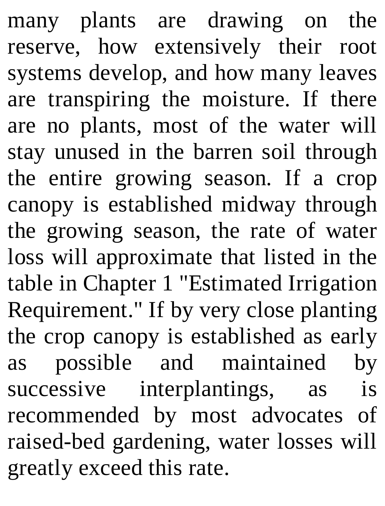many plants are drawing on the reserve, how extensively their root systems develop, and how many leaves are transpiring the moisture. If there are no plants, most of the water will stay unused in the barren soil through the entire growing season. If a crop canopy is established midway through the growing season, the rate of water loss will approximate that listed in the table in Chapter 1 "Estimated Irrigation Requirement." If by very close planting the crop canopy is established as early as possible and maintained by successive interplantings, as is recommended by most advocates of raised-bed gardening, water losses will greatly exceed this rate.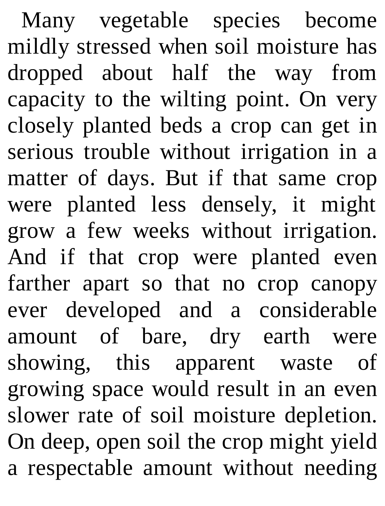Many vegetable species become mildly stressed when soil moisture has dropped about half the way from capacity to the wilting point. On very closely planted beds a crop can get in serious trouble without irrigation in a matter of days. But if that same crop were planted less densely, it might grow a few weeks without irrigation. And if that crop were planted even farther apart so that no crop canopy ever developed and a considerable amount of bare, dry earth were showing, this apparent waste of growing space would result in an even slower rate of soil moisture depletion. On deep, open soil the crop might yield a respectable amount without needing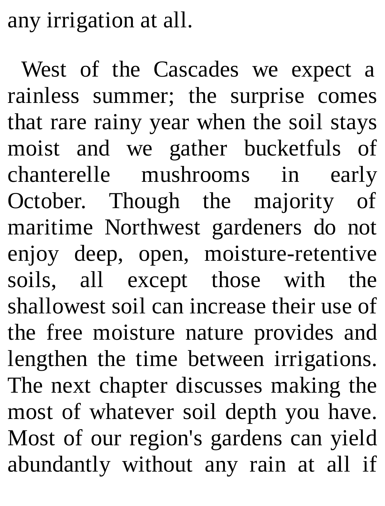any irrigation at all.

West of the Cascades we expect a rainless summer; the surprise comes that rare rainy year when the soil stays moist and we gather bucketfuls of chanterelle mushrooms in early October. Though the majority of maritime Northwest gardeners do not enjoy deep, open, moisture-retentive soils, all except those with the shallowest soil can increase their use of the free moisture nature provides and lengthen the time between irrigations. The next chapter discusses making the most of whatever soil depth you have. Most of our region's gardens can yield abundantly without any rain at all if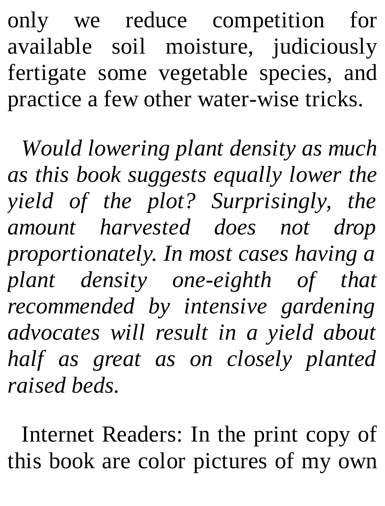only we reduce competition for available soil moisture, judiciously fertigate some vegetable species, and practice a few other water-wise tricks.

*Would lowering plant density as much as this book suggests equally lower the yield of the plot? Surprisingly, the amount harvested does not drop proportionately. In most cases having a plant density one-eighth of that recommended by intensive gardening advocates will result in a yield about half as great as on closely planted raised beds.*

Internet Readers: In the print copy of this book are color pictures of my own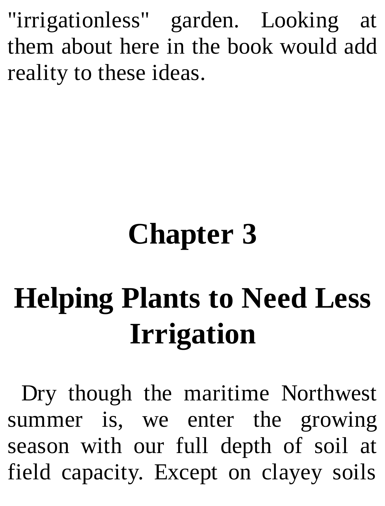"irrigationless" garden. Looking at them about here in the book would add reality to these ideas.

# **Chapter 3**

# **Helping Plants to Need Less Irrigation**

Dry though the maritime Northwest summer is, we enter the growing season with our full depth of soil at field capacity. Except on clayey soils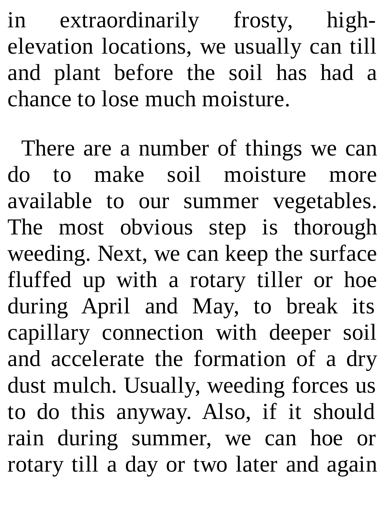in extraordinarily frosty, highelevation locations, we usually can till and plant before the soil has had a chance to lose much moisture.

There are a number of things we can do to make soil moisture more available to our summer vegetables. The most obvious step is thorough weeding. Next, we can keep the surface fluffed up with a rotary tiller or hoe during April and May, to break its capillary connection with deeper soil and accelerate the formation of a dry dust mulch. Usually, weeding forces us to do this anyway. Also, if it should rain during summer, we can hoe or rotary till a day or two later and again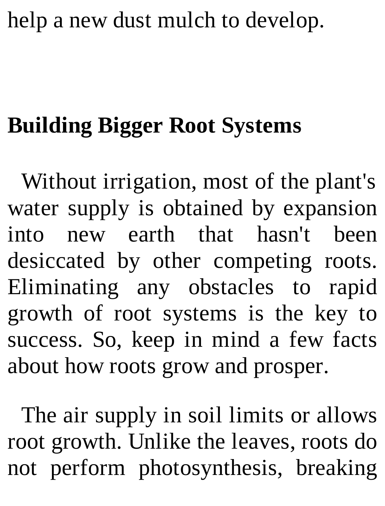### help a new dust mulch to develop.

## **Building Bigger Root Systems**

Without irrigation, most of the plant's water supply is obtained by expansion into new earth that hasn't been desiccated by other competing roots. Eliminating any obstacles to rapid growth of root systems is the key to success. So, keep in mind a few facts about how roots grow and prosper.

The air supply in soil limits or allows root growth. Unlike the leaves, roots do not perform photosynthesis, breaking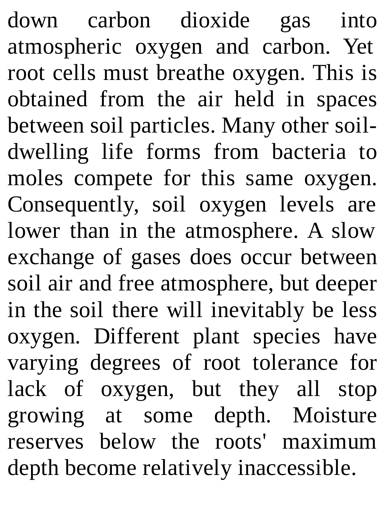down carbon dioxide gas into atmospheric oxygen and carbon. Yet root cells must breathe oxygen. This is obtained from the air held in spaces between soil particles. Many other soildwelling life forms from bacteria to moles compete for this same oxygen. Consequently, soil oxygen levels are lower than in the atmosphere. A slow exchange of gases does occur between soil air and free atmosphere, but deeper in the soil there will inevitably be less oxygen. Different plant species have varying degrees of root tolerance for lack of oxygen, but they all stop growing at some depth. Moisture reserves below the roots' maximum depth become relatively inaccessible.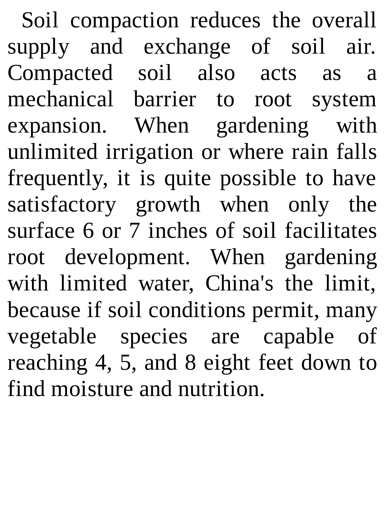Soil compaction reduces the overall supply and exchange of soil air. Compacted soil also acts as a mechanical barrier to root system expansion. When gardening with unlimited irrigation or where rain falls frequently, it is quite possible to have satisfactory growth when only the surface 6 or 7 inches of soil facilitates root development. When gardening with limited water, China's the limit, because if soil conditions permit, many vegetable species are capable of reaching 4, 5, and 8 eight feet down to find moisture and nutrition.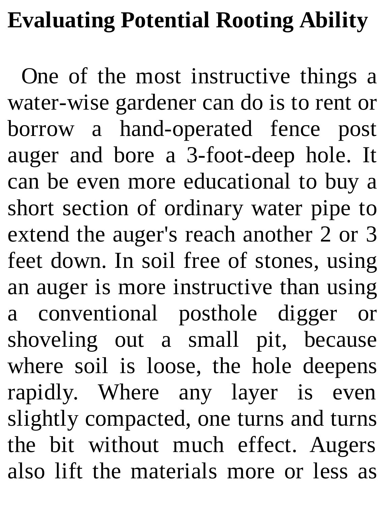### **Evaluating Potential Rooting Ability**

One of the most instructive things a water-wise gardener can do is to rent or borrow a hand-operated fence post auger and bore a 3-foot-deep hole. It can be even more educational to buy a short section of ordinary water pipe to extend the auger's reach another 2 or 3 feet down. In soil free of stones, using an auger is more instructive than using a conventional posthole digger or shoveling out a small pit, because where soil is loose, the hole deepens rapidly. Where any layer is even slightly compacted, one turns and turns the bit without much effect. Augers also lift the materials more or less as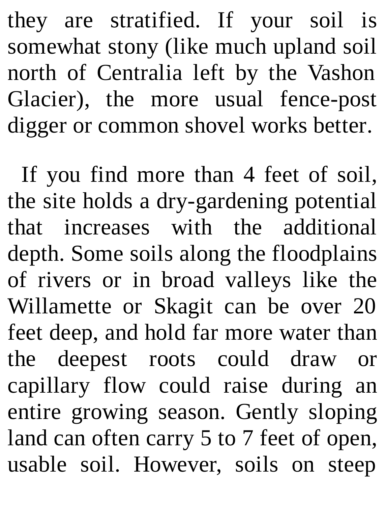they are stratified. If your soil is somewhat stony (like much upland soil north of Centralia left by the Vashon Glacier), the more usual fence-post digger or common shovel works better.

If you find more than 4 feet of soil, the site holds a dry-gardening potential that increases with the additional depth. Some soils along the floodplains of rivers or in broad valleys like the Willamette or Skagit can be over 20 feet deep, and hold far more water than the deepest roots could draw or capillary flow could raise during an entire growing season. Gently sloping land can often carry 5 to 7 feet of open, usable soil. However, soils on steep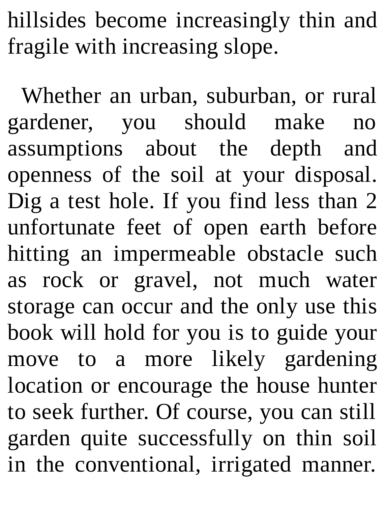hillsides become increasingly thin and fragile with increasing slope.

Whether an urban, suburban, or rural gardener, you should make no assumptions about the depth and openness of the soil at your disposal. Dig a test hole. If you find less than 2 unfortunate feet of open earth before hitting an impermeable obstacle such as rock or gravel, not much water storage can occur and the only use this book will hold for you is to guide your move to a more likely gardening location or encourage the house hunter to seek further. Of course, you can still garden quite successfully on thin soil in the conventional, irrigated manner.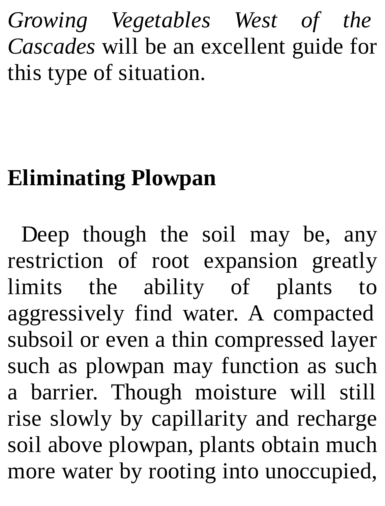*Growing Vegetables West of the Cascades* will be an excellent guide for this type of situation.

## **Eliminating Plowpan**

Deep though the soil may be, any restriction of root expansion greatly limits the ability of plants to aggressively find water. A compacted subsoil or even a thin compressed layer such as plowpan may function as such a barrier. Though moisture will still rise slowly by capillarity and recharge soil above plowpan, plants obtain much more water by rooting into unoccupied,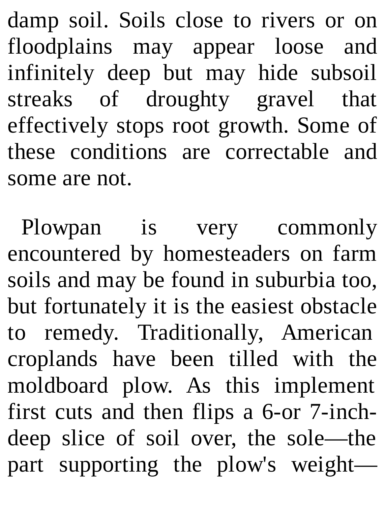damp soil. Soils close to rivers or on floodplains may appear loose and infinitely deep but may hide subsoil streaks of droughty gravel that effectively stops root growth. Some of these conditions are correctable and some are not.

Plowpan is very commonly encountered by homesteaders on farm soils and may be found in suburbia too, but fortunately it is the easiest obstacle to remedy. Traditionally, American croplands have been tilled with the moldboard plow. As this implement first cuts and then flips a 6-or 7-inchdeep slice of soil over, the sole—the part supporting the plow's weight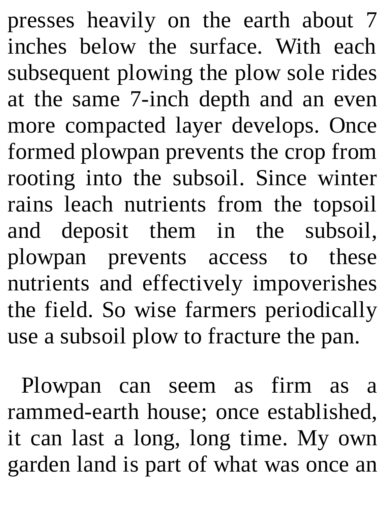presses heavily on the earth about 7 inches below the surface. With each subsequent plowing the plow sole rides at the same 7-inch depth and an even more compacted layer develops. Once formed plowpan prevents the crop from rooting into the subsoil. Since winter rains leach nutrients from the topsoil and deposit them in the subsoil, plowpan prevents access to these nutrients and effectively impoverishes the field. So wise farmers periodically use a subsoil plow to fracture the pan.

Plowpan can seem as firm as a rammed-earth house; once established, it can last a long, long time. My own garden land is part of what was once an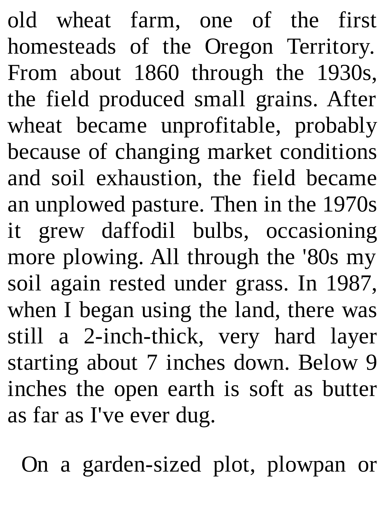old wheat farm, one of the first homesteads of the Oregon Territory. From about 1860 through the 1930s, the field produced small grains. After wheat became unprofitable, probably because of changing market conditions and soil exhaustion, the field became an unplowed pasture. Then in the 1970s it grew daffodil bulbs, occasioning more plowing. All through the '80s my soil again rested under grass. In 1987, when I began using the land, there was still a 2-inch-thick, very hard layer starting about 7 inches down. Below 9 inches the open earth is soft as butter as far as I've ever dug.

On a garden-sized plot, plowpan or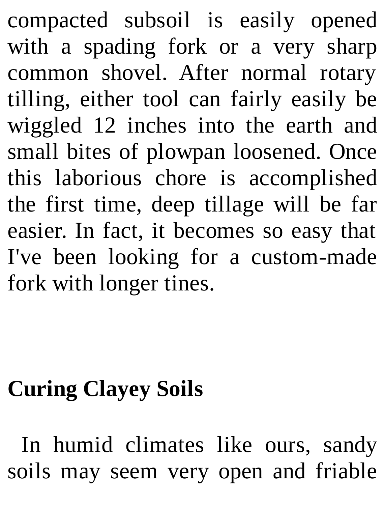compacted subsoil is easily opened with a spading fork or a very sharp common shovel. After normal rotary tilling, either tool can fairly easily be wiggled 12 inches into the earth and small bites of plowpan loosened. Once this laborious chore is accomplished the first time, deep tillage will be far easier. In fact, it becomes so easy that I've been looking for a custom-made fork with longer tines.

### **Curing Clayey Soils**

In humid climates like ours, sandy soils may seem very open and friable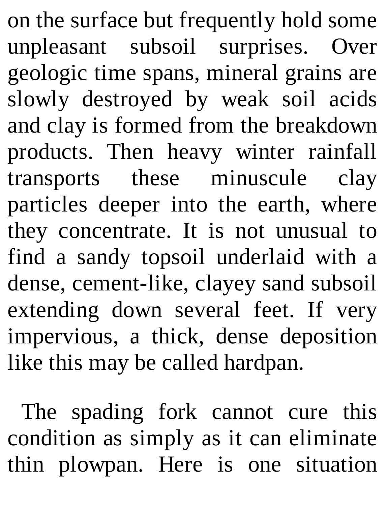on the surface but frequently hold some unpleasant subsoil surprises. Over geologic time spans, mineral grains are slowly destroyed by weak soil acids and clay is formed from the breakdown products. Then heavy winter rainfall transports these minuscule clay particles deeper into the earth, where they concentrate. It is not unusual to find a sandy topsoil underlaid with a dense, cement-like, clayey sand subsoil extending down several feet. If very impervious, a thick, dense deposition like this may be called hardpan.

The spading fork cannot cure this condition as simply as it can eliminate thin plowpan. Here is one situation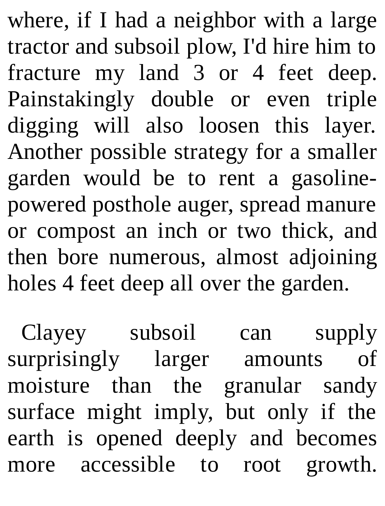where, if I had a neighbor with a large tractor and subsoil plow, I'd hire him to fracture my land 3 or 4 feet deep. Painstakingly double or even triple digging will also loosen this layer. Another possible strategy for a smaller garden would be to rent a gasolinepowered posthole auger, spread manure or compost an inch or two thick, and then bore numerous, almost adjoining holes 4 feet deep all over the garden.

Clayey subsoil can supply surprisingly larger amounts of moisture than the granular sandy surface might imply, but only if the earth is opened deeply and becomes more accessible to root growth.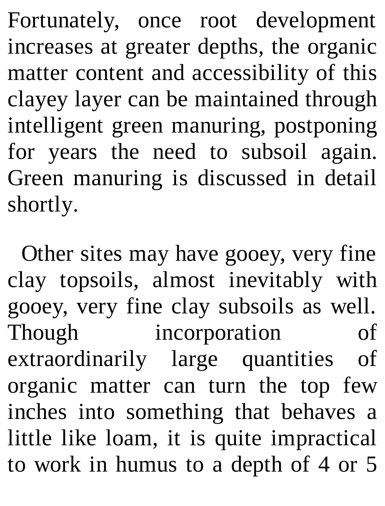Fortunately, once root development increases at greater depths, the organic matter content and accessibility of this clayey layer can be maintained through intelligent green manuring, postponing for years the need to subsoil again. Green manuring is discussed in detail shortly.

Other sites may have gooey, very fine clay topsoils, almost inevitably with gooey, very fine clay subsoils as well. Though incorporation of extraordinarily large quantities of organic matter can turn the top few inches into something that behaves a little like loam, it is quite impractical to work in humus to a depth of 4 or 5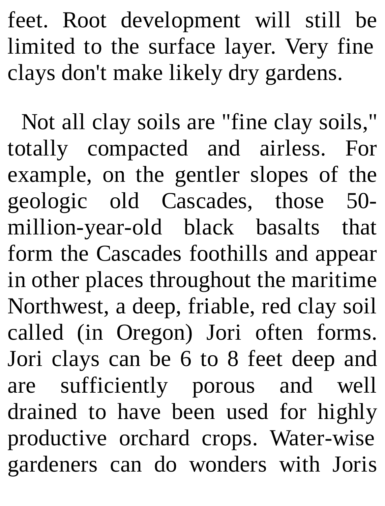feet. Root development will still be limited to the surface layer. Very fine clays don't make likely dry gardens.

Not all clay soils are "fine clay soils," totally compacted and airless. For example, on the gentler slopes of the geologic old Cascades, those 50 million-year-old black basalts that form the Cascades foothills and appear in other places throughout the maritime Northwest, a deep, friable, red clay soil called (in Oregon) Jori often forms. Jori clays can be 6 to 8 feet deep and are sufficiently porous and well drained to have been used for highly productive orchard crops. Water-wise gardeners can do wonders with Joris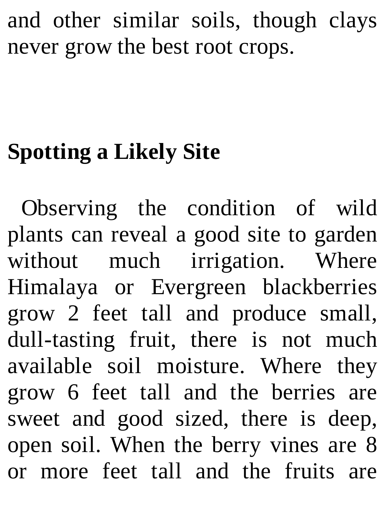and other similar soils, though clays never grow the best root crops.

# **Spotting a Likely Site**

Observing the condition of wild plants can reveal a good site to garden without much irrigation. Where Himalaya or Evergreen blackberries grow 2 feet tall and produce small, dull-tasting fruit, there is not much available soil moisture. Where they grow 6 feet tall and the berries are sweet and good sized, there is deep, open soil. When the berry vines are 8 or more feet tall and the fruits are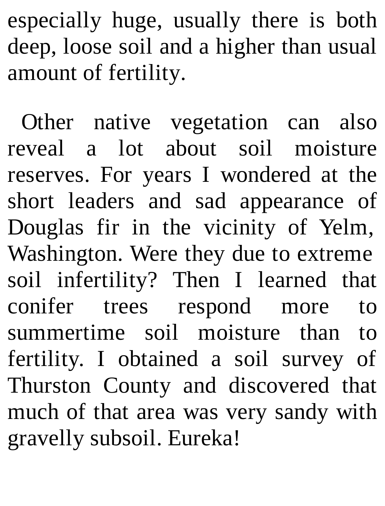especially huge, usually there is both deep, loose soil and a higher than usual amount of fertility.

Other native vegetation can also reveal a lot about soil moisture reserves. For years I wondered at the short leaders and sad appearance of Douglas fir in the vicinity of Yelm, Washington. Were they due to extreme soil infertility? Then I learned that conifer trees respond more to summertime soil moisture than to fertility. I obtained a soil survey of Thurston County and discovered that much of that area was very sandy with gravelly subsoil. Eureka!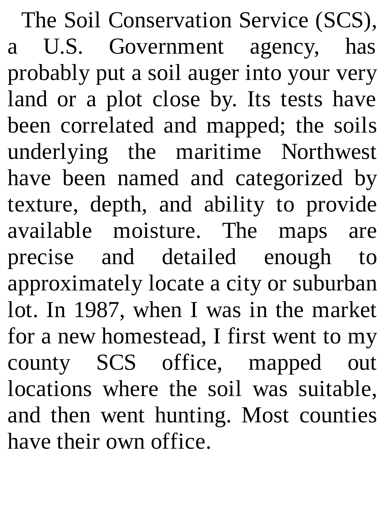The Soil Conservation Service (SCS), a U.S. Government agency, has probably put a soil auger into your very land or a plot close by. Its tests have been correlated and mapped; the soils underlying the maritime Northwest have been named and categorized by texture, depth, and ability to provide available moisture. The maps are precise and detailed enough to approximately locate a city or suburban lot. In 1987, when I was in the market for a new homestead, I first went to my county SCS office, mapped out locations where the soil was suitable, and then went hunting. Most counties have their own office.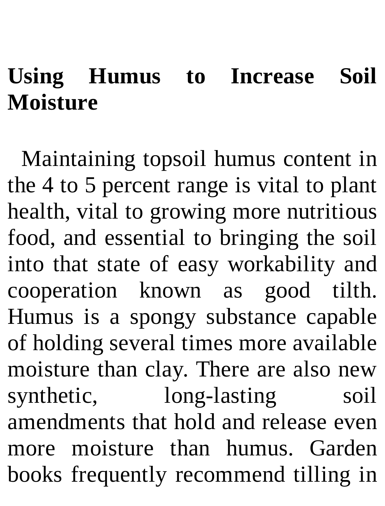#### **Using Humus to Increase Soil Moisture**

Maintaining topsoil humus content in the 4 to 5 percent range is vital to plant health, vital to growing more nutritious food, and essential to bringing the soil into that state of easy workability and cooperation known as good tilth. Humus is a spongy substance capable of holding several times more available moisture than clay. There are also new synthetic, long-lasting soil amendments that hold and release even more moisture than humus. Garden books frequently recommend tilling in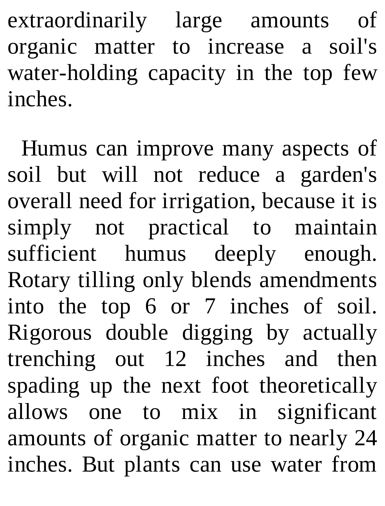extraordinarily large amounts of organic matter to increase a soil's water-holding capacity in the top few inches.

Humus can improve many aspects of soil but will not reduce a garden's overall need for irrigation, because it is simply not practical to maintain sufficient humus deeply enough. Rotary tilling only blends amendments into the top 6 or 7 inches of soil. Rigorous double digging by actually trenching out 12 inches and then spading up the next foot theoretically allows one to mix in significant amounts of organic matter to nearly 24 inches. But plants can use water from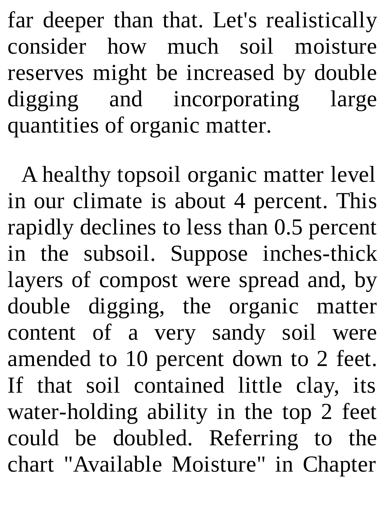far deeper than that. Let's realistically consider how much soil moisture reserves might be increased by double digging and incorporating large quantities of organic matter.

A healthy topsoil organic matter level in our climate is about 4 percent. This rapidly declines to less than 0.5 percent in the subsoil. Suppose inches-thick layers of compost were spread and, by double digging, the organic matter content of a very sandy soil were amended to 10 percent down to 2 feet. If that soil contained little clay, its water-holding ability in the top 2 feet could be doubled. Referring to the chart "Available Moisture" in Chapter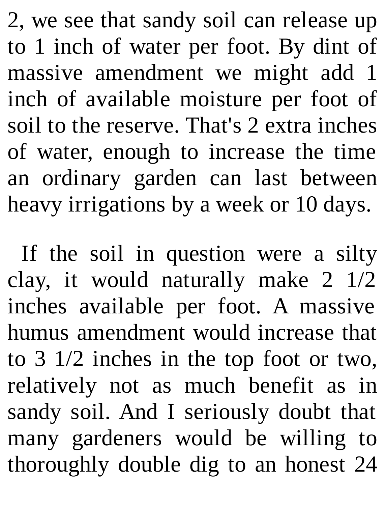2, we see that sandy soil can release up to 1 inch of water per foot. By dint of massive amendment we might add 1 inch of available moisture per foot of soil to the reserve. That's 2 extra inches of water, enough to increase the time an ordinary garden can last between heavy irrigations by a week or 10 days.

If the soil in question were a silty clay, it would naturally make 2 1/2 inches available per foot. A massive humus amendment would increase that to 3 1/2 inches in the top foot or two, relatively not as much benefit as in sandy soil. And I seriously doubt that many gardeners would be willing to thoroughly double dig to an honest 24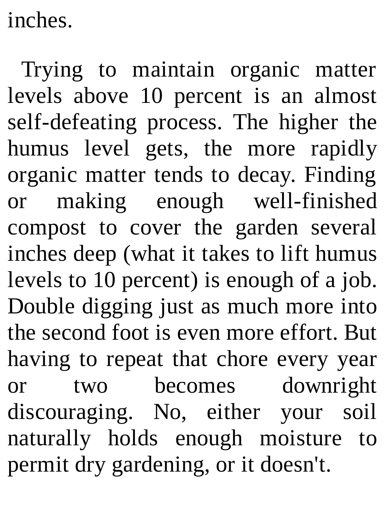inches.

Trying to maintain organic matter levels above 10 percent is an almost self-defeating process. The higher the humus level gets, the more rapidly organic matter tends to decay. Finding or making enough well-finished compost to cover the garden several inches deep (what it takes to lift humus levels to 10 percent) is enough of a job. Double digging just as much more into the second foot is even more effort. But having to repeat that chore every year or two becomes downright discouraging. No, either your soil naturally holds enough moisture to permit dry gardening, or it doesn't.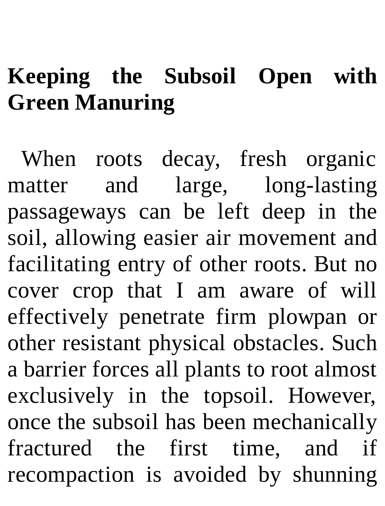## **Keeping the Subsoil Open with Green Manuring**

When roots decay, fresh organic matter and large, long-lasting passageways can be left deep in the soil, allowing easier air movement and facilitating entry of other roots. But no cover crop that I am aware of will effectively penetrate firm plowpan or other resistant physical obstacles. Such a barrier forces all plants to root almost exclusively in the topsoil. However, once the subsoil has been mechanically fractured the first time, and if recompaction is avoided by shunning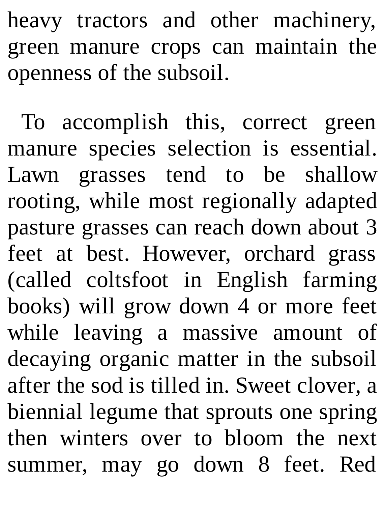heavy tractors and other machinery, green manure crops can maintain the openness of the subsoil.

To accomplish this, correct green manure species selection is essential. Lawn grasses tend to be shallow rooting, while most regionally adapted pasture grasses can reach down about 3 feet at best. However, orchard grass (called coltsfoot in English farming books) will grow down 4 or more feet while leaving a massive amount of decaying organic matter in the subsoil after the sod is tilled in. Sweet clover, a biennial legume that sprouts one spring then winters over to bloom the next summer, may go down 8 feet. Red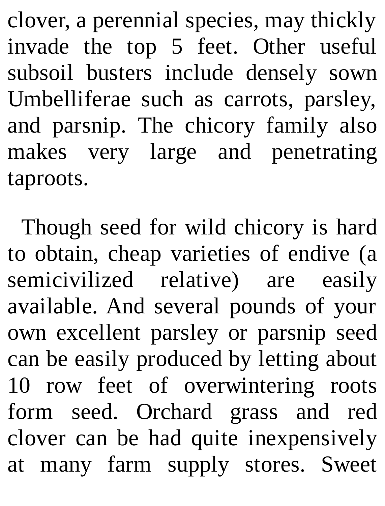clover, a perennial species, may thickly invade the top 5 feet. Other useful subsoil busters include densely sown Umbelliferae such as carrots, parsley, and parsnip. The chicory family also makes very large and penetrating taproots.

Though seed for wild chicory is hard to obtain, cheap varieties of endive (a semicivilized relative) are easily available. And several pounds of your own excellent parsley or parsnip seed can be easily produced by letting about 10 row feet of overwintering roots form seed. Orchard grass and red clover can be had quite inexpensively at many farm supply stores. Sweet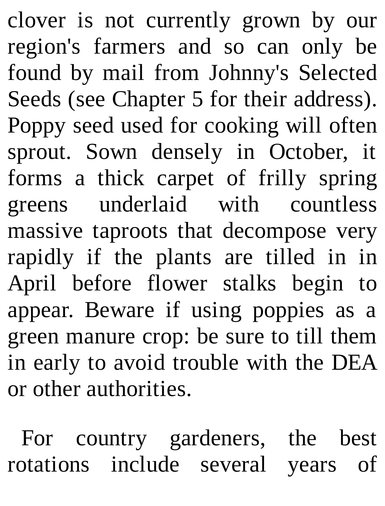clover is not currently grown by our region's farmers and so can only be found by mail from Johnny's Selected Seeds (see Chapter 5 for their address). Poppy seed used for cooking will often sprout. Sown densely in October, it forms a thick carpet of frilly spring greens underlaid with countless massive taproots that decompose very rapidly if the plants are tilled in in April before flower stalks begin to appear. Beware if using poppies as a green manure crop: be sure to till them in early to avoid trouble with the DEA or other authorities.

For country gardeners, the best rotations include several years of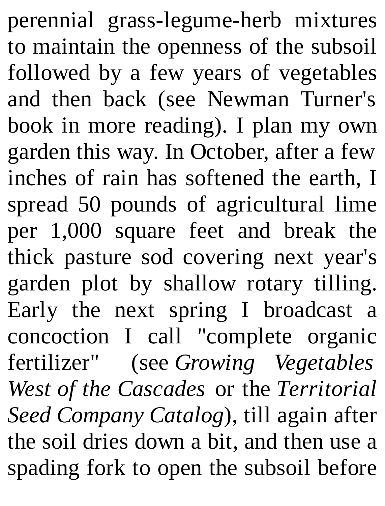perennial grass-legume-herb mixtures to maintain the openness of the subsoil followed by a few years of vegetables and then back (see Newman Turner's book in more reading). I plan my own garden this way. In October, after a few inches of rain has softened the earth, I spread 50 pounds of agricultural lime per 1,000 square feet and break the thick pasture sod covering next year's garden plot by shallow rotary tilling. Early the next spring I broadcast a concoction I call "complete organic fertilizer" (see *Growing Vegetables West of the Cascades* or the *Territorial Seed Company Catalog*), till again after the soil dries down a bit, and then use a spading fork to open the subsoil before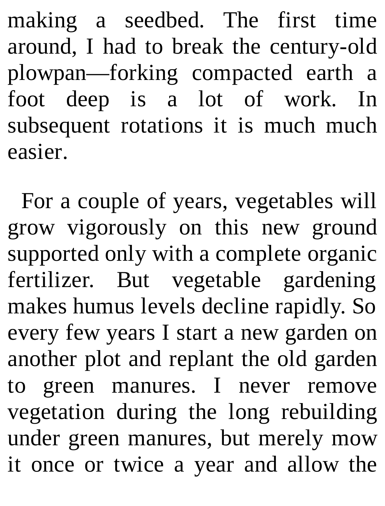making a seedbed. The first time around, I had to break the century-old plowpan—forking compacted earth a foot deep is a lot of work. In subsequent rotations it is much much easier.

For a couple of years, vegetables will grow vigorously on this new ground supported only with a complete organic fertilizer. But vegetable gardening makes humus levels decline rapidly. So every few years I start a new garden on another plot and replant the old garden to green manures. I never remove vegetation during the long rebuilding under green manures, but merely mow it once or twice a year and allow the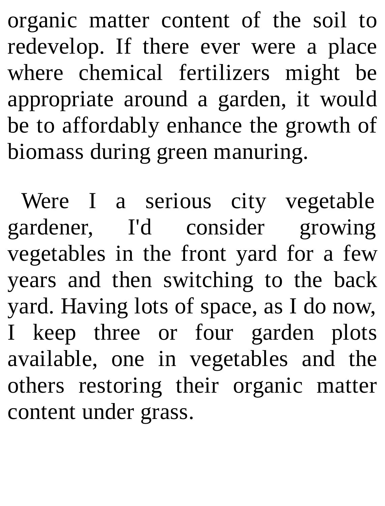organic matter content of the soil to redevelop. If there ever were a place where chemical fertilizers might be appropriate around a garden, it would be to affordably enhance the growth of biomass during green manuring.

Were I a serious city vegetable gardener, I'd consider growing vegetables in the front yard for a few years and then switching to the back yard. Having lots of space, as I do now, I keep three or four garden plots available, one in vegetables and the others restoring their organic matter content under grass.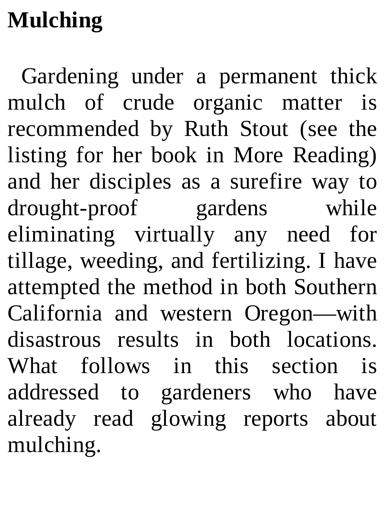# **Mulching**

Gardening under a permanent thick mulch of crude organic matter is recommended by Ruth Stout (see the listing for her book in More Reading) and her disciples as a surefire way to drought-proof gardens while eliminating virtually any need for tillage, weeding, and fertilizing. I have attempted the method in both Southern California and western Oregon—with disastrous results in both locations. What follows in this section is addressed to gardeners who have already read glowing reports about mulching.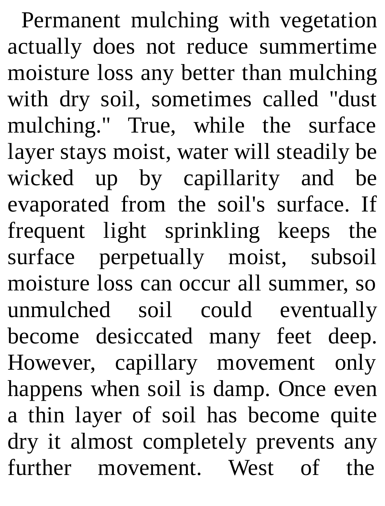Permanent mulching with vegetation actually does not reduce summertime moisture loss any better than mulching with dry soil, sometimes called "dust mulching." True, while the surface layer stays moist, water will steadily be wicked up by capillarity and be evaporated from the soil's surface. If frequent light sprinkling keeps the surface perpetually moist, subsoil moisture loss can occur all summer, so unmulched soil could eventually become desiccated many feet deep. However, capillary movement only happens when soil is damp. Once even a thin layer of soil has become quite dry it almost completely prevents any further movement. West of the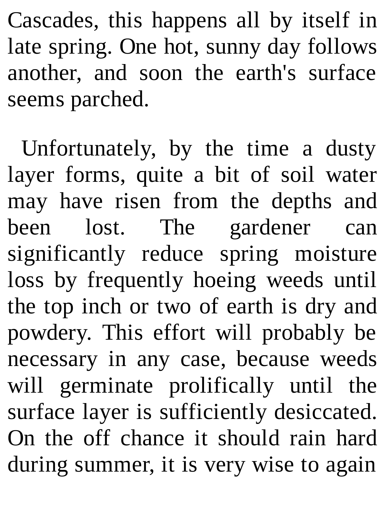Cascades, this happens all by itself in late spring. One hot, sunny day follows another, and soon the earth's surface seems parched.

Unfortunately, by the time a dusty layer forms, quite a bit of soil water may have risen from the depths and been lost. The gardener can significantly reduce spring moisture loss by frequently hoeing weeds until the top inch or two of earth is dry and powdery. This effort will probably be necessary in any case, because weeds will germinate prolifically until the surface layer is sufficiently desiccated. On the off chance it should rain hard during summer, it is very wise to again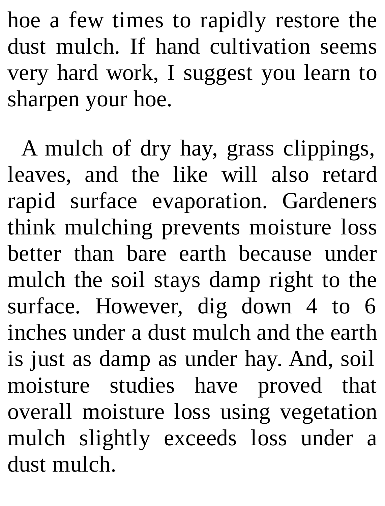hoe a few times to rapidly restore the dust mulch. If hand cultivation seems very hard work, I suggest you learn to sharpen your hoe.

A mulch of dry hay, grass clippings, leaves, and the like will also retard rapid surface evaporation. Gardeners think mulching prevents moisture loss better than bare earth because under mulch the soil stays damp right to the surface. However, dig down 4 to 6 inches under a dust mulch and the earth is just as damp as under hay. And, soil moisture studies have proved that overall moisture loss using vegetation mulch slightly exceeds loss under a dust mulch.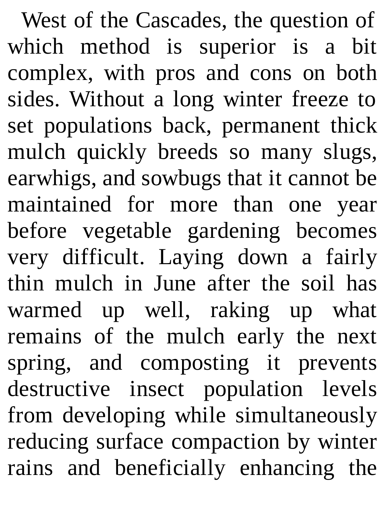West of the Cascades, the question of which method is superior is a bit complex, with pros and cons on both sides. Without a long winter freeze to set populations back, permanent thick mulch quickly breeds so many slugs, earwhigs, and sowbugs that it cannot be maintained for more than one year before vegetable gardening becomes very difficult. Laying down a fairly thin mulch in June after the soil has warmed up well, raking up what remains of the mulch early the next spring, and composting it prevents destructive insect population levels from developing while simultaneously reducing surface compaction by winter rains and beneficially enhancing the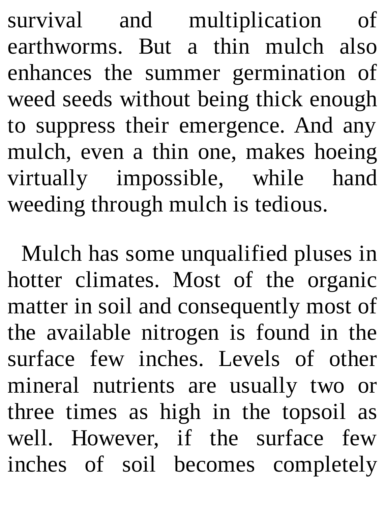survival and multiplication of earthworms. But a thin mulch also enhances the summer germination of weed seeds without being thick enough to suppress their emergence. And any mulch, even a thin one, makes hoeing virtually impossible, while hand weeding through mulch is tedious.

Mulch has some unqualified pluses in hotter climates. Most of the organic matter in soil and consequently most of the available nitrogen is found in the surface few inches. Levels of other mineral nutrients are usually two or three times as high in the topsoil as well. However, if the surface few inches of soil becomes completely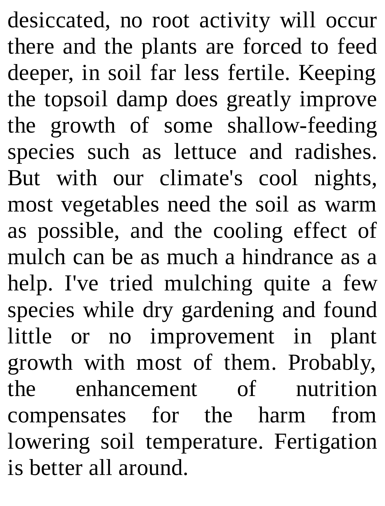desiccated, no root activity will occur there and the plants are forced to feed deeper, in soil far less fertile. Keeping the topsoil damp does greatly improve the growth of some shallow-feeding species such as lettuce and radishes. But with our climate's cool nights, most vegetables need the soil as warm as possible, and the cooling effect of mulch can be as much a hindrance as a help. I've tried mulching quite a few species while dry gardening and found little or no improvement in plant growth with most of them. Probably, the enhancement of nutrition compensates for the harm from lowering soil temperature. Fertigation is better all around.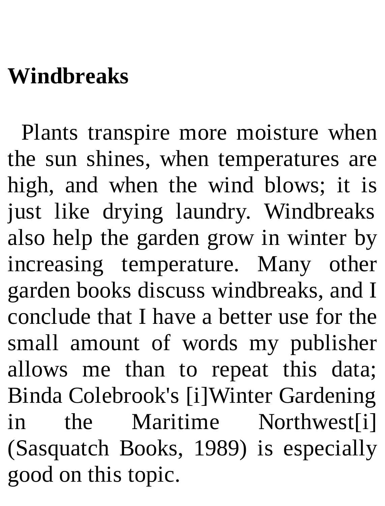## **Windbreaks**

Plants transpire more moisture when the sun shines, when temperatures are high, and when the wind blows; it is just like drying laundry. Windbreaks also help the garden grow in winter by increasing temperature. Many other garden books discuss windbreaks, and I conclude that I have a better use for the small amount of words my publisher allows me than to repeat this data; Binda Colebrook's [i]Winter Gardening in the Maritime Northwest[i] (Sasquatch Books, 1989) is especially good on this topic.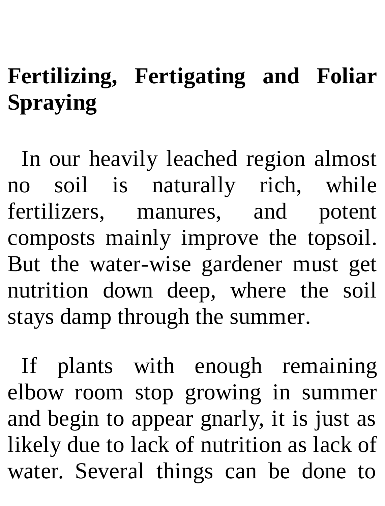# **Fertilizing, Fertigating and Foliar Spraying**

In our heavily leached region almost no soil is naturally rich, while fertilizers, manures, and potent composts mainly improve the topsoil. But the water-wise gardener must get nutrition down deep, where the soil stays damp through the summer.

If plants with enough remaining elbow room stop growing in summer and begin to appear gnarly, it is just as likely due to lack of nutrition as lack of water. Several things can be done to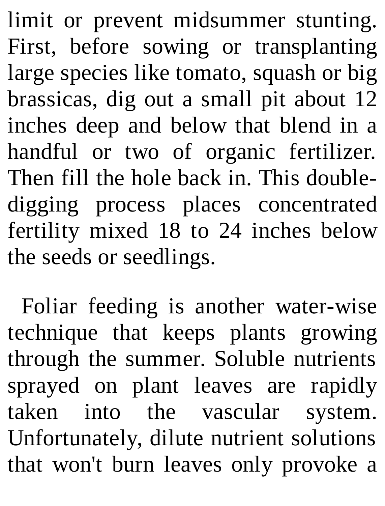limit or prevent midsummer stunting. First, before sowing or transplanting large species like tomato, squash or big brassicas, dig out a small pit about 12 inches deep and below that blend in a handful or two of organic fertilizer. Then fill the hole back in. This doubledigging process places concentrated fertility mixed 18 to 24 inches below the seeds or seedlings.

Foliar feeding is another water-wise technique that keeps plants growing through the summer. Soluble nutrients sprayed on plant leaves are rapidly taken into the vascular system. Unfortunately, dilute nutrient solutions that won't burn leaves only provoke a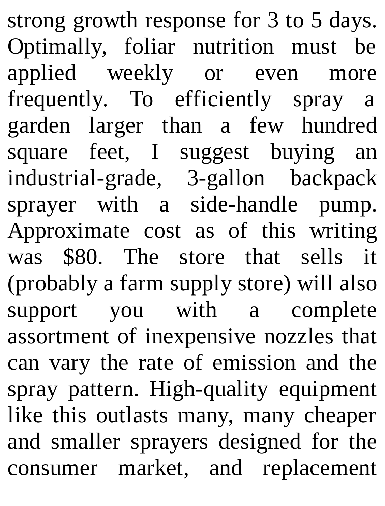strong growth response for 3 to 5 days. Optimally, foliar nutrition must be applied weekly or even more frequently. To efficiently spray a garden larger than a few hundred square feet, I suggest buying an industrial-grade, 3-gallon backpack sprayer with a side-handle pump. Approximate cost as of this writing was \$80. The store that sells it (probably a farm supply store) will also support you with a complete assortment of inexpensive nozzles that can vary the rate of emission and the spray pattern. High-quality equipment like this outlasts many, many cheaper and smaller sprayers designed for the consumer market, and replacement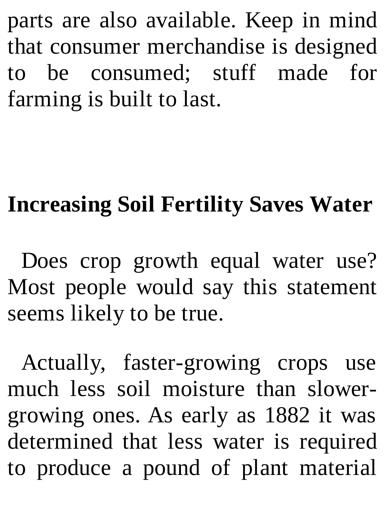parts are also available. Keep in mind that consumer merchandise is designed to be consumed; stuff made for farming is built to last.

# **Increasing Soil Fertility Saves Water**

Does crop growth equal water use? Most people would say this statement seems likely to be true.

Actually, faster-growing crops use much less soil moisture than slowergrowing ones. As early as 1882 it was determined that less water is required to produce a pound of plant material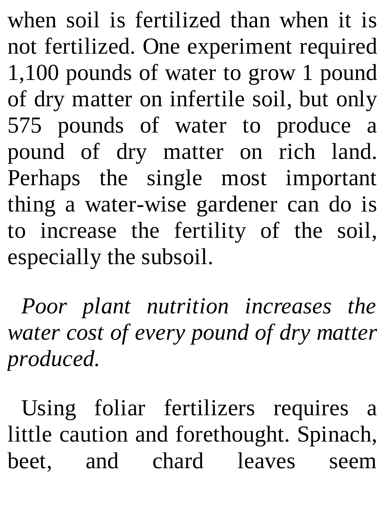when soil is fertilized than when it is not fertilized. One experiment required 1,100 pounds of water to grow 1 pound of dry matter on infertile soil, but only 575 pounds of water to produce a pound of dry matter on rich land. Perhaps the single most important thing a water-wise gardener can do is to increase the fertility of the soil, especially the subsoil.

*Poor plant nutrition increases the water cost of every pound of dry matter produced.*

Using foliar fertilizers requires a little caution and forethought. Spinach, beet, and chard leaves seem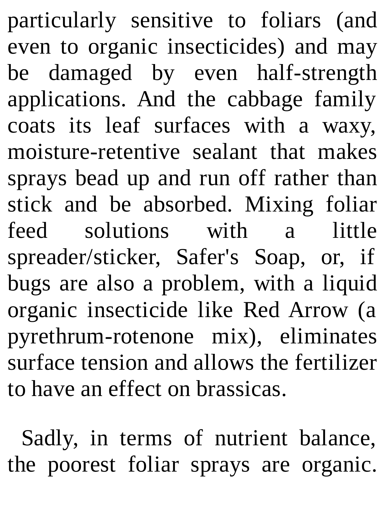particularly sensitive to foliars (and even to organic insecticides) and may be damaged by even half-strength applications. And the cabbage family coats its leaf surfaces with a waxy, moisture-retentive sealant that makes sprays bead up and run off rather than stick and be absorbed. Mixing foliar feed solutions with a little spreader/sticker, Safer's Soap, or, if bugs are also a problem, with a liquid organic insecticide like Red Arrow (a pyrethrum-rotenone mix), eliminates surface tension and allows the fertilizer to have an effect on brassicas.

Sadly, in terms of nutrient balance, the poorest foliar sprays are organic.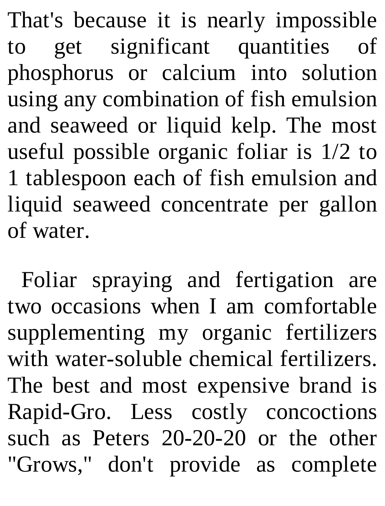That's because it is nearly impossible to get significant quantities of phosphorus or calcium into solution using any combination of fish emulsion and seaweed or liquid kelp. The most useful possible organic foliar is 1/2 to 1 tablespoon each of fish emulsion and liquid seaweed concentrate per gallon of water.

Foliar spraying and fertigation are two occasions when I am comfortable supplementing my organic fertilizers with water-soluble chemical fertilizers. The best and most expensive brand is Rapid-Gro. Less costly concoctions such as Peters 20-20-20 or the other "Grows," don't provide as complete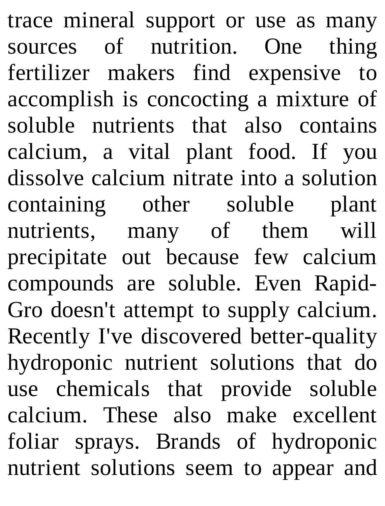trace mineral support or use as many sources of nutrition. One thing fertilizer makers find expensive to accomplish is concocting a mixture of soluble nutrients that also contains calcium, a vital plant food. If you dissolve calcium nitrate into a solution containing other soluble plant nutrients, many of them will precipitate out because few calcium compounds are soluble. Even Rapid-Gro doesn't attempt to supply calcium. Recently I've discovered better-quality hydroponic nutrient solutions that do use chemicals that provide soluble calcium. These also make excellent foliar sprays. Brands of hydroponic nutrient solutions seem to appear and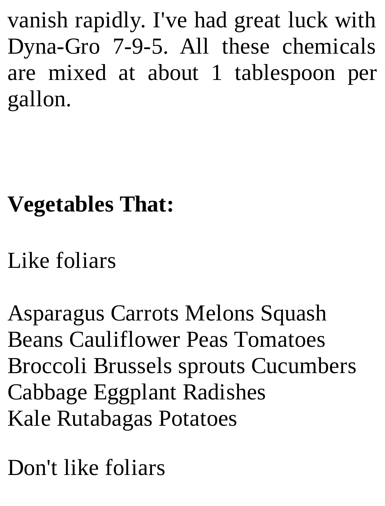vanish rapidly. I've had great luck with Dyna-Gro 7-9-5. All these chemicals are mixed at about 1 tablespoon per gallon.

## **Vegetables That:**

Like foliars

Asparagus Carrots Melons Squash Beans Cauliflower Peas Tomatoes Broccoli Brussels sprouts Cucumbers Cabbage Eggplant Radishes Kale Rutabagas Potatoes

Don't like foliars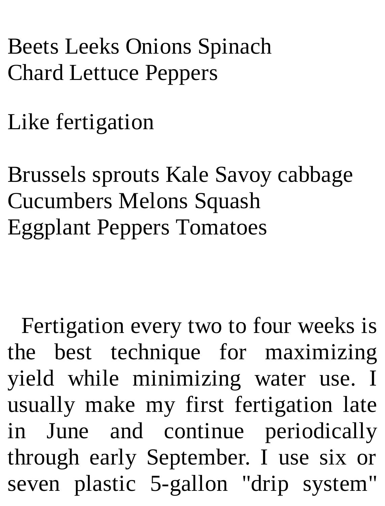### Beets Leeks Onions Spinach Chard Lettuce Peppers

Like fertigation

Brussels sprouts Kale Savoy cabbage Cucumbers Melons Squash Eggplant Peppers Tomatoes

Fertigation every two to four weeks is the best technique for maximizing yield while minimizing water use. I usually make my first fertigation late in June and continue periodically through early September. I use six or seven plastic 5-gallon "drip system"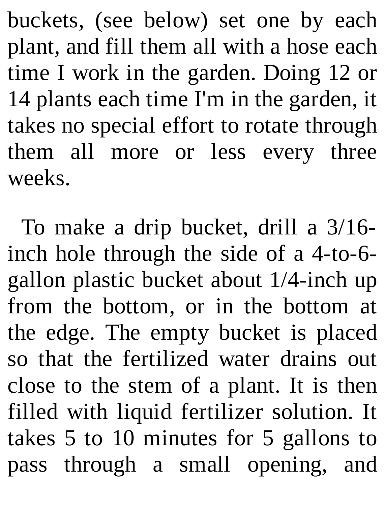buckets, (see below) set one by each plant, and fill them all with a hose each time I work in the garden. Doing 12 or 14 plants each time I'm in the garden, it takes no special effort to rotate through them all more or less every three weeks.

To make a drip bucket, drill a 3/16 inch hole through the side of a 4-to-6 gallon plastic bucket about 1/4-inch up from the bottom, or in the bottom at the edge. The empty bucket is placed so that the fertilized water drains out close to the stem of a plant. It is then filled with liquid fertilizer solution. It takes 5 to 10 minutes for 5 gallons to pass through a small opening, and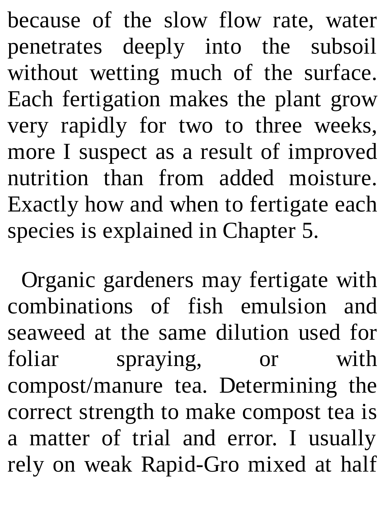because of the slow flow rate, water penetrates deeply into the subsoil without wetting much of the surface. Each fertigation makes the plant grow very rapidly for two to three weeks, more I suspect as a result of improved nutrition than from added moisture. Exactly how and when to fertigate each species is explained in Chapter 5.

Organic gardeners may fertigate with combinations of fish emulsion and seaweed at the same dilution used for foliar spraying, or with compost/manure tea. Determining the correct strength to make compost tea is a matter of trial and error. I usually rely on weak Rapid-Gro mixed at half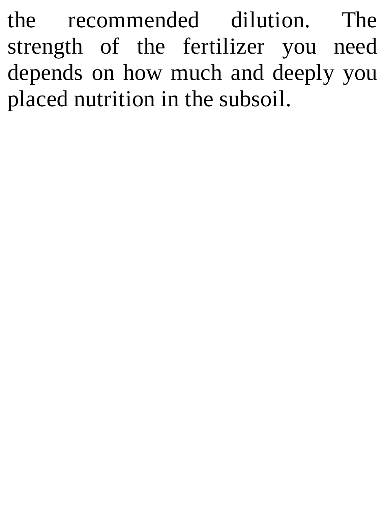the recommended dilution. The strength of the fertilizer you need depends on how much and deeply you placed nutrition in the subsoil.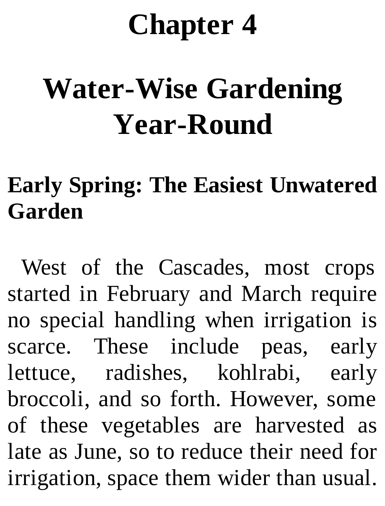## **Chapter 4**

# **Water-Wise Gardening Year-Round**

## **Early Spring: The Easiest Unwatered Garden**

West of the Cascades, most crops started in February and March require no special handling when irrigation is scarce. These include peas, early lettuce, radishes, kohlrabi, early broccoli, and so forth. However, some of these vegetables are harvested as late as June, so to reduce their need for irrigation, space them wider than usual.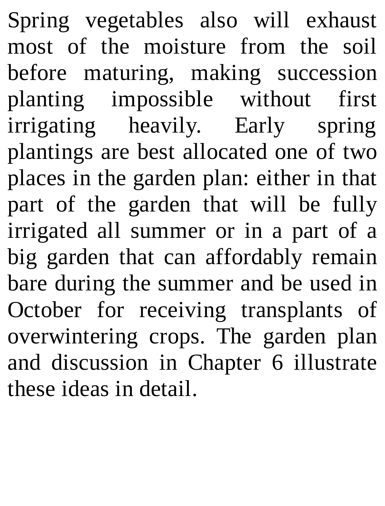Spring vegetables also will exhaust most of the moisture from the soil before maturing, making succession planting impossible without first irrigating heavily. Early spring plantings are best allocated one of two places in the garden plan: either in that part of the garden that will be fully irrigated all summer or in a part of a big garden that can affordably remain bare during the summer and be used in October for receiving transplants of overwintering crops. The garden plan and discussion in Chapter 6 illustrate these ideas in detail.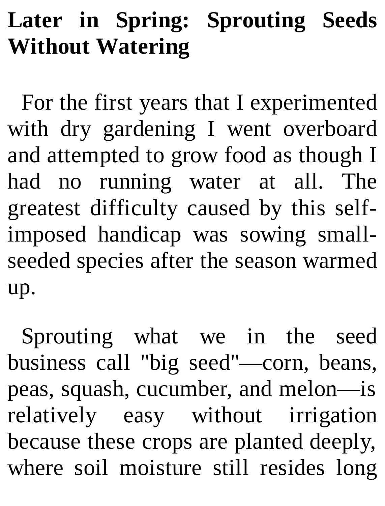## **Later in Spring: Sprouting Seeds Without Watering**

For the first years that I experimented with dry gardening I went overboard and attempted to grow food as though I had no running water at all. The greatest difficulty caused by this selfimposed handicap was sowing smallseeded species after the season warmed up.

Sprouting what we in the seed business call "big seed"—corn, beans, peas, squash, cucumber, and melon—is relatively easy without irrigation because these crops are planted deeply, where soil moisture still resides long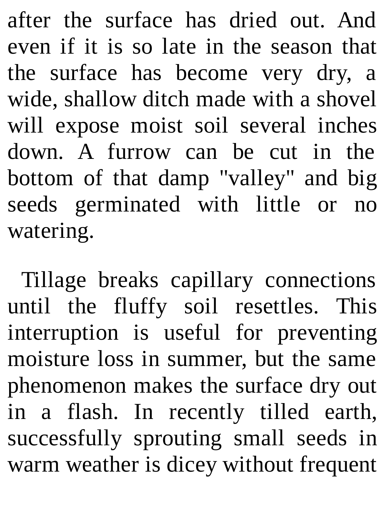after the surface has dried out. And even if it is so late in the season that the surface has become very dry, a wide, shallow ditch made with a shovel will expose moist soil several inches down. A furrow can be cut in the bottom of that damp "valley" and big seeds germinated with little or no watering.

Tillage breaks capillary connections until the fluffy soil resettles. This interruption is useful for preventing moisture loss in summer, but the same phenomenon makes the surface dry out in a flash. In recently tilled earth, successfully sprouting small seeds in warm weather is dicey without frequent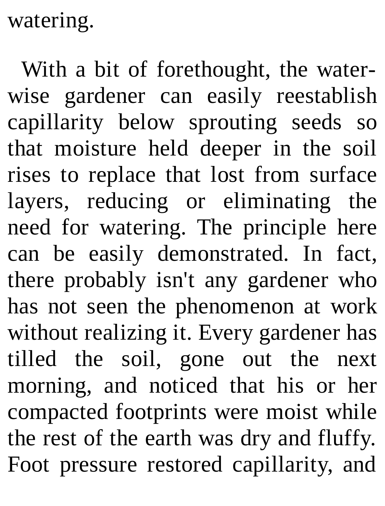watering.

With a bit of forethought, the waterwise gardener can easily reestablish capillarity below sprouting seeds so that moisture held deeper in the soil rises to replace that lost from surface layers, reducing or eliminating the need for watering. The principle here can be easily demonstrated. In fact, there probably isn't any gardener who has not seen the phenomenon at work without realizing it. Every gardener has tilled the soil, gone out the next morning, and noticed that his or her compacted footprints were moist while the rest of the earth was dry and fluffy. Foot pressure restored capillarity, and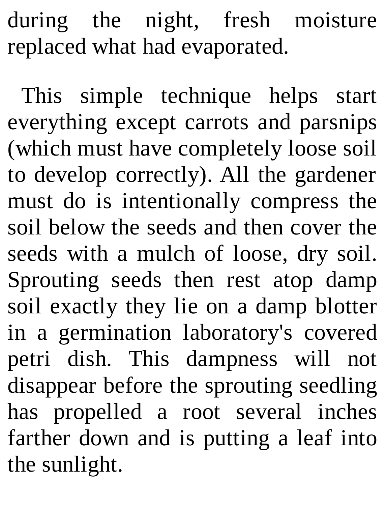during the night, fresh moisture replaced what had evaporated.

This simple technique helps start everything except carrots and parsnips (which must have completely loose soil to develop correctly). All the gardener must do is intentionally compress the soil below the seeds and then cover the seeds with a mulch of loose, dry soil. Sprouting seeds then rest atop damp soil exactly they lie on a damp blotter in a germination laboratory's covered petri dish. This dampness will not disappear before the sprouting seedling has propelled a root several inches farther down and is putting a leaf into the sunlight.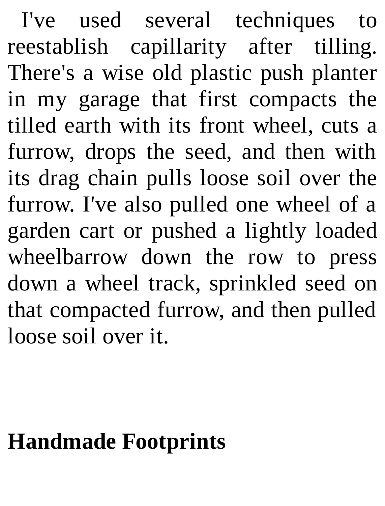I've used several techniques to reestablish capillarity after tilling. There's a wise old plastic push planter in my garage that first compacts the tilled earth with its front wheel, cuts a furrow, drops the seed, and then with its drag chain pulls loose soil over the furrow. I've also pulled one wheel of a garden cart or pushed a lightly loaded wheelbarrow down the row to press down a wheel track, sprinkled seed on that compacted furrow, and then pulled loose soil over it.

#### **Handmade Footprints**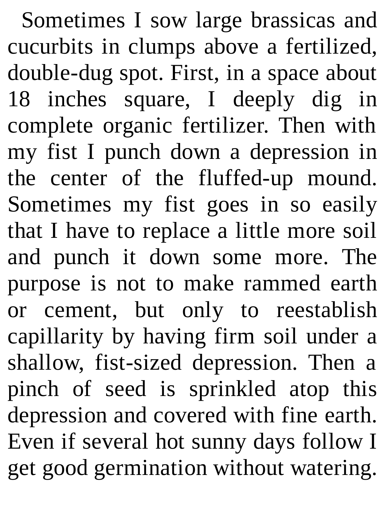Sometimes I sow large brassicas and cucurbits in clumps above a fertilized, double-dug spot. First, in a space about 18 inches square, I deeply dig in complete organic fertilizer. Then with my fist I punch down a depression in the center of the fluffed-up mound. Sometimes my fist goes in so easily that I have to replace a little more soil and punch it down some more. The purpose is not to make rammed earth or cement, but only to reestablish capillarity by having firm soil under a shallow, fist-sized depression. Then a pinch of seed is sprinkled atop this depression and covered with fine earth. Even if several hot sunny days follow I get good germination without watering.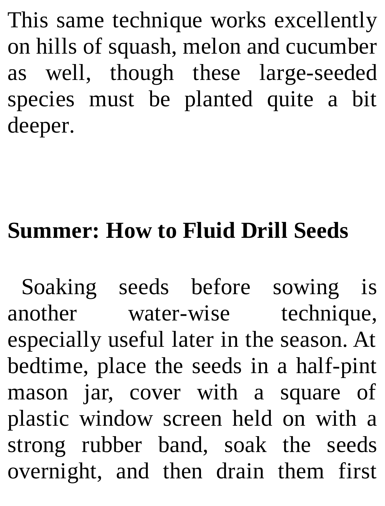This same technique works excellently on hills of squash, melon and cucumber as well, though these large-seeded species must be planted quite a bit deeper.

### **Summer: How to Fluid Drill Seeds**

Soaking seeds before sowing is another water-wise technique, especially useful later in the season. At bedtime, place the seeds in a half-pint mason jar, cover with a square of plastic window screen held on with a strong rubber band, soak the seeds overnight, and then drain them first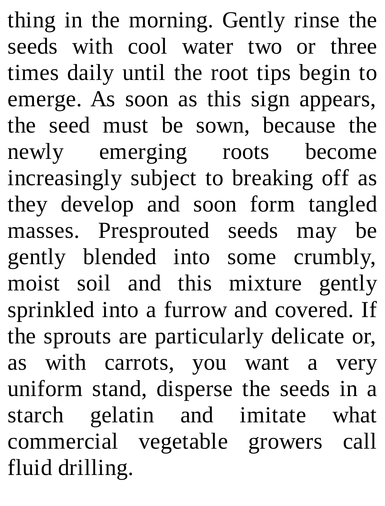thing in the morning. Gently rinse the seeds with cool water two or three times daily until the root tips begin to emerge. As soon as this sign appears, the seed must be sown, because the newly emerging roots become increasingly subject to breaking off as they develop and soon form tangled masses. Presprouted seeds may be gently blended into some crumbly, moist soil and this mixture gently sprinkled into a furrow and covered. If the sprouts are particularly delicate or, as with carrots, you want a very uniform stand, disperse the seeds in a starch gelatin and imitate what commercial vegetable growers call fluid drilling.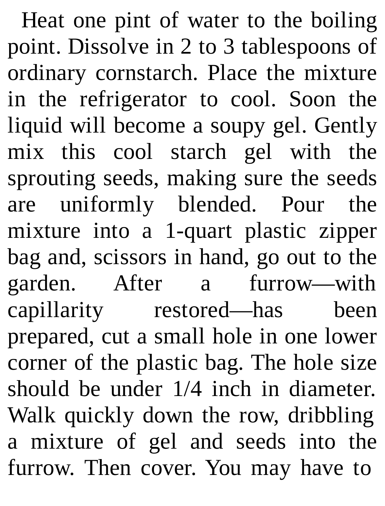Heat one pint of water to the boiling point. Dissolve in 2 to 3 tablespoons of ordinary cornstarch. Place the mixture in the refrigerator to cool. Soon the liquid will become a soupy gel. Gently mix this cool starch gel with the sprouting seeds, making sure the seeds are uniformly blended. Pour the mixture into a 1-quart plastic zipper bag and, scissors in hand, go out to the garden. After a furrow—with capillarity restored—has been prepared, cut a small hole in one lower corner of the plastic bag. The hole size should be under 1/4 inch in diameter. Walk quickly down the row, dribbling a mixture of gel and seeds into the furrow. Then cover. You may have to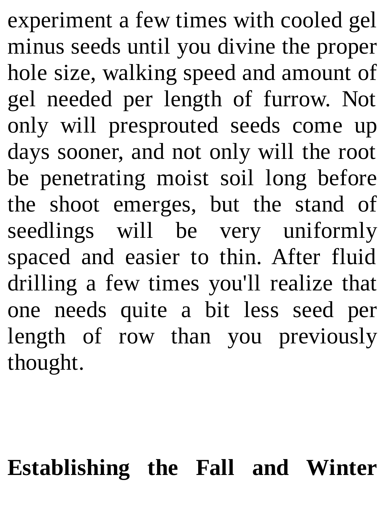experiment a few times with cooled gel minus seeds until you divine the proper hole size, walking speed and amount of gel needed per length of furrow. Not only will presprouted seeds come up days sooner, and not only will the root be penetrating moist soil long before the shoot emerges, but the stand of seedlings will be very uniformly spaced and easier to thin. After fluid drilling a few times you'll realize that one needs quite a bit less seed per length of row than you previously thought.

#### **Establishing the Fall and Winter**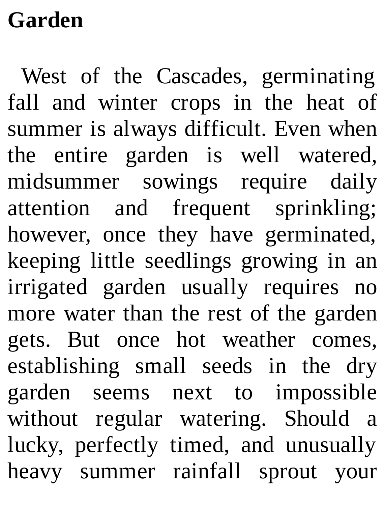## **Garden**

West of the Cascades, germinating fall and winter crops in the heat of summer is always difficult. Even when the entire garden is well watered, midsummer sowings require daily attention and frequent sprinkling; however, once they have germinated, keeping little seedlings growing in an irrigated garden usually requires no more water than the rest of the garden gets. But once hot weather comes, establishing small seeds in the dry garden seems next to impossible without regular watering. Should a lucky, perfectly timed, and unusually heavy summer rainfall sprout your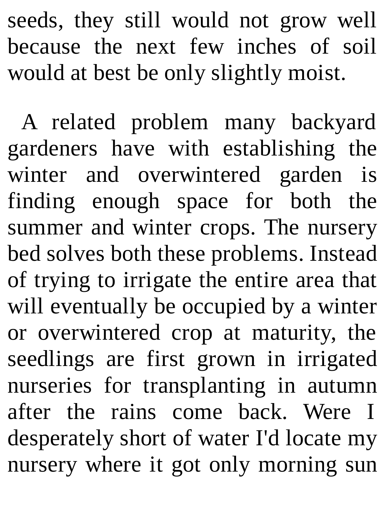seeds, they still would not grow well because the next few inches of soil would at best be only slightly moist.

A related problem many backyard gardeners have with establishing the winter and overwintered garden is finding enough space for both the summer and winter crops. The nursery bed solves both these problems. Instead of trying to irrigate the entire area that will eventually be occupied by a winter or overwintered crop at maturity, the seedlings are first grown in irrigated nurseries for transplanting in autumn after the rains come back. Were I desperately short of water I'd locate my nursery where it got only morning sun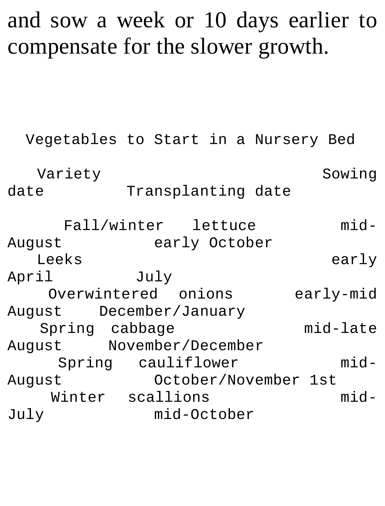### and sow a week or 10 days earlier to compensate for the slower growth.

```
Vegetables to Start in a Nursery Bed
  Variety Sowing
date Transplanting date
    Fall/winter lettuce mid-
August early October
  Leeks early
April July
   Overwintered onions early-mid
August December/January
  Spring cabbage mid-late
August November/December
   Spring cauliflower mid-
August October/November 1st
  Winter scallions mid-
July mid-October
```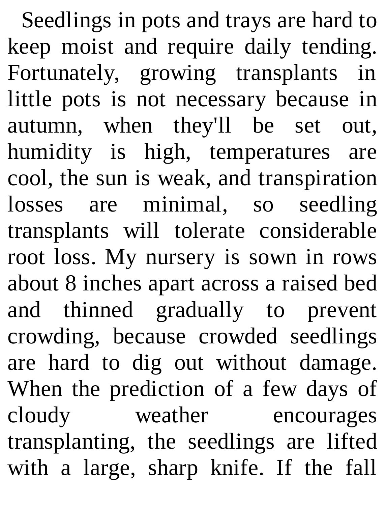Seedlings in pots and trays are hard to keep moist and require daily tending. Fortunately, growing transplants in little pots is not necessary because in autumn, when they'll be set out, humidity is high, temperatures are cool, the sun is weak, and transpiration losses are minimal, so seedling transplants will tolerate considerable root loss. My nursery is sown in rows about 8 inches apart across a raised bed and thinned gradually to prevent crowding, because crowded seedlings are hard to dig out without damage. When the prediction of a few days of cloudy weather encourages transplanting, the seedlings are lifted with a large, sharp knife. If the fall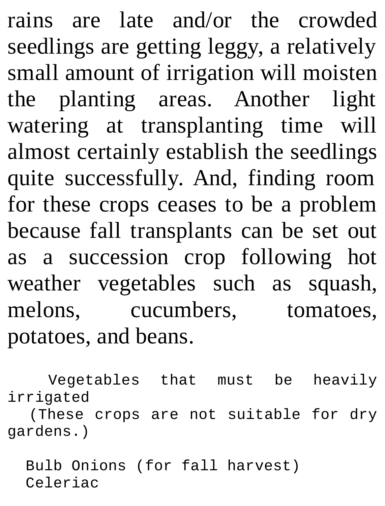rains are late and/or the crowded seedlings are getting leggy, a relatively small amount of irrigation will moisten the planting areas. Another light watering at transplanting time will almost certainly establish the seedlings quite successfully. And, finding room for these crops ceases to be a problem because fall transplants can be set out as a succession crop following hot weather vegetables such as squash, melons, cucumbers, tomatoes, potatoes, and beans.

Vegetables that must be heavily irrigated (These crops are not suitable for dry gardens.)

Bulb Onions (for fall harvest) Celeriac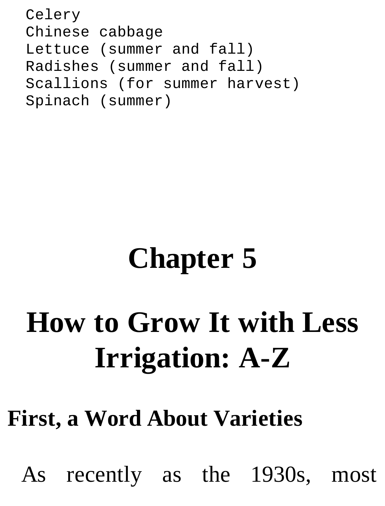Celery Chinese cabbage Lettuce (summer and fall) Radishes (summer and fall) Scallions (for summer harvest) Spinach (summer)

## **Chapter 5**

## **How to Grow It with Less Irrigation: A-Z**

### **First, a Word About Varieties**

As recently as the 1930s, most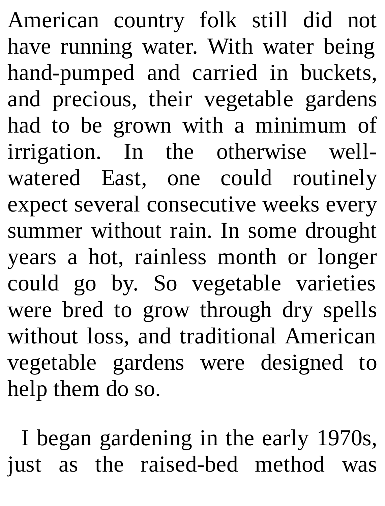American country folk still did not have running water. With water being hand-pumped and carried in buckets, and precious, their vegetable gardens had to be grown with a minimum of irrigation. In the otherwise wellwatered East, one could routinely expect several consecutive weeks every summer without rain. In some drought years a hot, rainless month or longer could go by. So vegetable varieties were bred to grow through dry spells without loss, and traditional American vegetable gardens were designed to help them do so.

I began gardening in the early 1970s, just as the raised-bed method was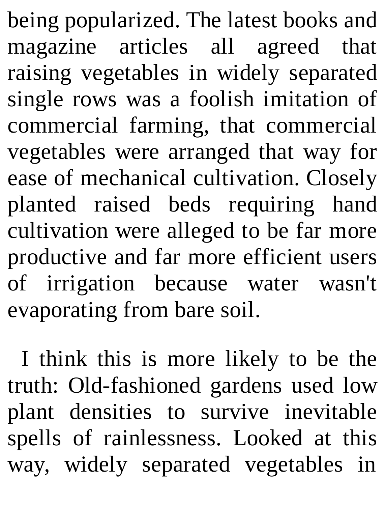being popularized. The latest books and magazine articles all agreed that raising vegetables in widely separated single rows was a foolish imitation of commercial farming, that commercial vegetables were arranged that way for ease of mechanical cultivation. Closely planted raised beds requiring hand cultivation were alleged to be far more productive and far more efficient users of irrigation because water wasn't evaporating from bare soil.

I think this is more likely to be the truth: Old-fashioned gardens used low plant densities to survive inevitable spells of rainlessness. Looked at this way, widely separated vegetables in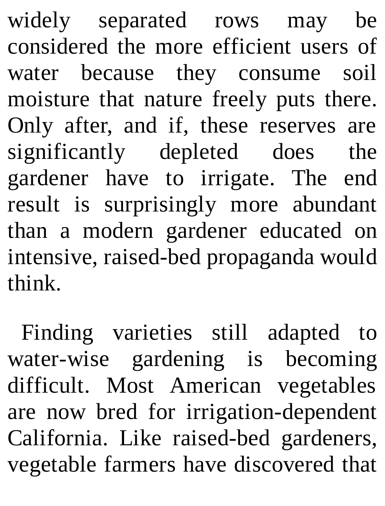widely separated rows may be considered the more efficient users of water because they consume soil moisture that nature freely puts there. Only after, and if, these reserves are significantly depleted does the gardener have to irrigate. The end result is surprisingly more abundant than a modern gardener educated on intensive, raised-bed propaganda would think.

Finding varieties still adapted to water-wise gardening is becoming difficult. Most American vegetables are now bred for irrigation-dependent California. Like raised-bed gardeners, vegetable farmers have discovered that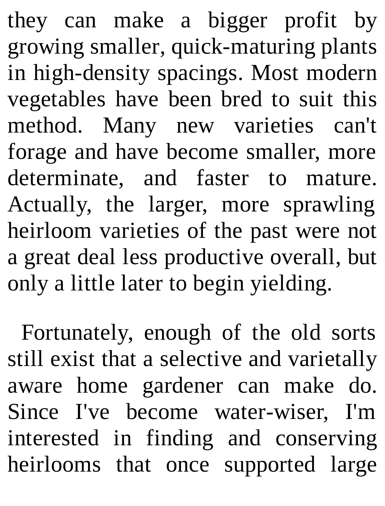they can make a bigger profit by growing smaller, quick-maturing plants in high-density spacings. Most modern vegetables have been bred to suit this method. Many new varieties can't forage and have become smaller, more determinate, and faster to mature. Actually, the larger, more sprawling heirloom varieties of the past were not a great deal less productive overall, but only a little later to begin yielding.

Fortunately, enough of the old sorts still exist that a selective and varietally aware home gardener can make do. Since I've become water-wiser, I'm interested in finding and conserving heirlooms that once supported large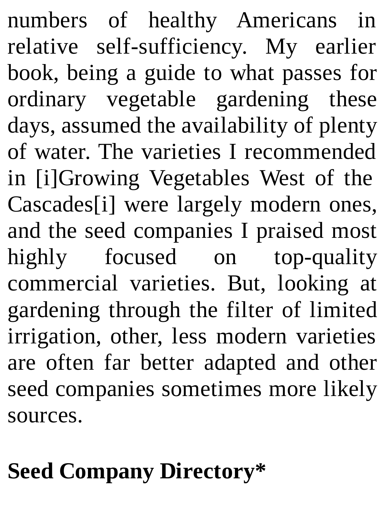numbers of healthy Americans in relative self-sufficiency. My earlier book, being a guide to what passes for ordinary vegetable gardening these days, assumed the availability of plenty of water. The varieties I recommended in [i]Growing Vegetables West of the Cascades[i] were largely modern ones, and the seed companies I praised most highly focused on top-quality commercial varieties. But, looking at gardening through the filter of limited irrigation, other, less modern varieties are often far better adapted and other seed companies sometimes more likely sources.

## **Seed Company Directory\***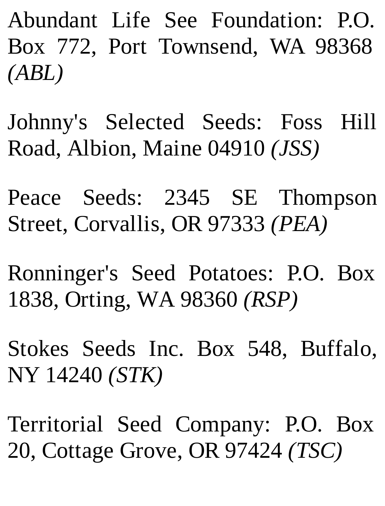Abundant Life See Foundation: P.O. Box 772, Port Townsend, WA 98368 *(ABL)*

Johnny's Selected Seeds: Foss Hill Road, Albion, Maine 04910 *(JSS)*

Peace Seeds: 2345 SE Thompson Street, Corvallis, OR 97333 *(PEA)*

Ronninger's Seed Potatoes: P.O. Box 1838, Orting, WA 98360 *(RSP)*

Stokes Seeds Inc. Box 548, Buffalo, NY 14240 *(STK)*

Territorial Seed Company: P.O. Box 20, Cottage Grove, OR 97424 *(TSC)*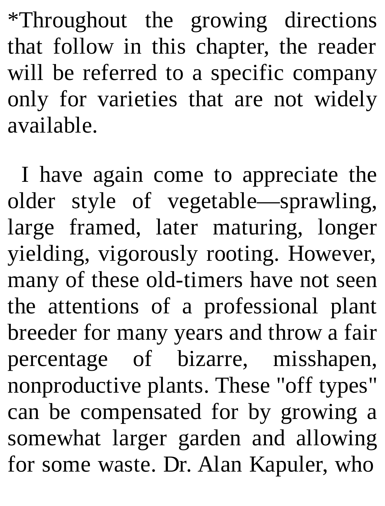\*Throughout the growing directions that follow in this chapter, the reader will be referred to a specific company only for varieties that are not widely available.

I have again come to appreciate the older style of vegetable—sprawling, large framed, later maturing, longer yielding, vigorously rooting. However, many of these old-timers have not seen the attentions of a professional plant breeder for many years and throw a fair percentage of bizarre, misshapen, nonproductive plants. These "off types" can be compensated for by growing a somewhat larger garden and allowing for some waste. Dr. Alan Kapuler, who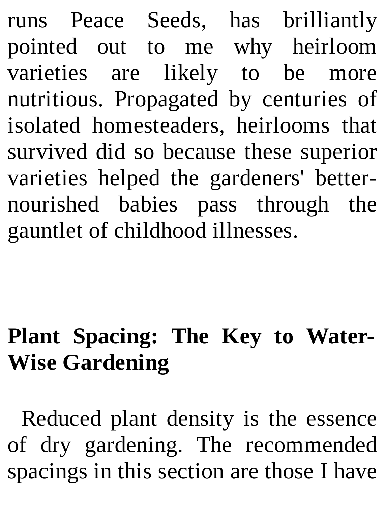runs Peace Seeds, has brilliantly pointed out to me why heirloom varieties are likely to be more nutritious. Propagated by centuries of isolated homesteaders, heirlooms that survived did so because these superior varieties helped the gardeners' betternourished babies pass through the gauntlet of childhood illnesses.

### **Plant Spacing: The Key to Water-Wise Gardening**

Reduced plant density is the essence of dry gardening. The recommended spacings in this section are those I have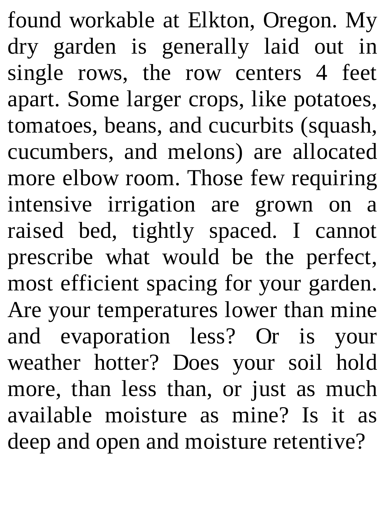found workable at Elkton, Oregon. My dry garden is generally laid out in single rows, the row centers 4 feet apart. Some larger crops, like potatoes, tomatoes, beans, and cucurbits (squash, cucumbers, and melons) are allocated more elbow room. Those few requiring intensive irrigation are grown on a raised bed, tightly spaced. I cannot prescribe what would be the perfect, most efficient spacing for your garden. Are your temperatures lower than mine and evaporation less? Or is your weather hotter? Does your soil hold more, than less than, or just as much available moisture as mine? Is it as deep and open and moisture retentive?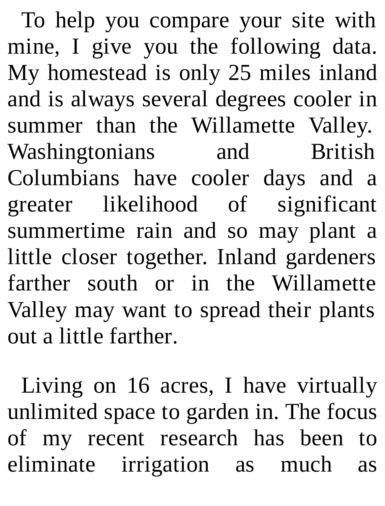To help you compare your site with mine, I give you the following data. My homestead is only 25 miles inland and is always several degrees cooler in summer than the Willamette Valley. Washingtonians and British Columbians have cooler days and a greater likelihood of significant summertime rain and so may plant a little closer together. Inland gardeners farther south or in the Willamette Valley may want to spread their plants out a little farther.

Living on 16 acres, I have virtually unlimited space to garden in. The focus of my recent research has been to eliminate irrigation as much as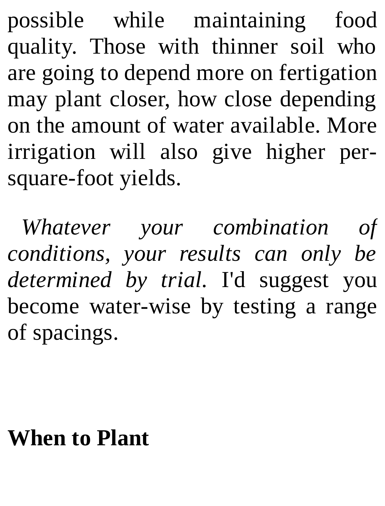possible while maintaining food quality. Those with thinner soil who are going to depend more on fertigation may plant closer, how close depending on the amount of water available. More irrigation will also give higher persquare-foot yields.

*Whatever your combination of conditions, your results can only be determined by trial.* I'd suggest you become water-wise by testing a range of spacings.

### **When to Plant**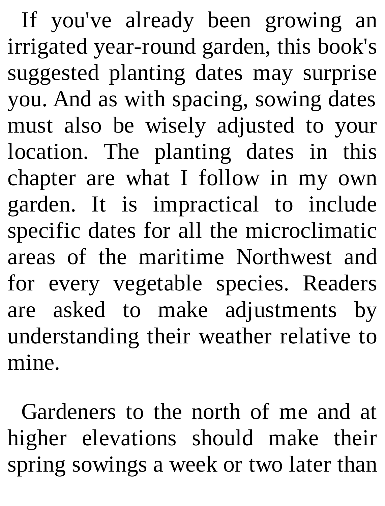If you've already been growing an irrigated year-round garden, this book's suggested planting dates may surprise you. And as with spacing, sowing dates must also be wisely adjusted to your location. The planting dates in this chapter are what I follow in my own garden. It is impractical to include specific dates for all the microclimatic areas of the maritime Northwest and for every vegetable species. Readers are asked to make adjustments by understanding their weather relative to mine.

Gardeners to the north of me and at higher elevations should make their spring sowings a week or two later than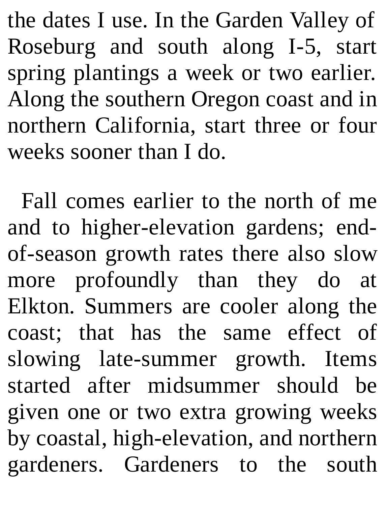the dates I use. In the Garden Valley of Roseburg and south along I-5, start spring plantings a week or two earlier. Along the southern Oregon coast and in northern California, start three or four weeks sooner than I do.

Fall comes earlier to the north of me and to higher-elevation gardens; endof-season growth rates there also slow more profoundly than they do at Elkton. Summers are cooler along the coast; that has the same effect of slowing late-summer growth. Items started after midsummer should be given one or two extra growing weeks by coastal, high-elevation, and northern gardeners. Gardeners to the south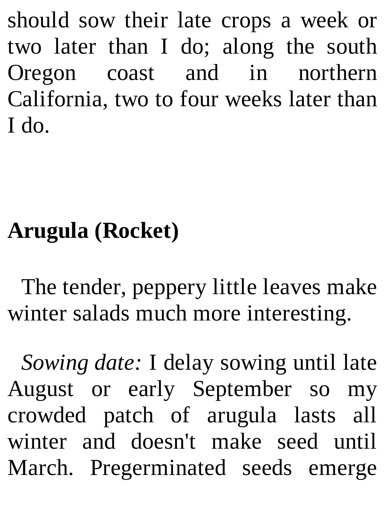should sow their late crops a week or two later than I do; along the south Oregon coast and in northern California, two to four weeks later than I do.

### **Arugula (Rocket)**

The tender, peppery little leaves make winter salads much more interesting.

*Sowing date:* I delay sowing until late August or early September so my crowded patch of arugula lasts all winter and doesn't make seed until March. Pregerminated seeds emerge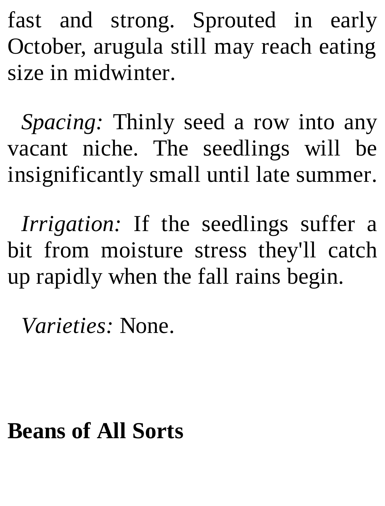fast and strong. Sprouted in early October, arugula still may reach eating size in midwinter.

*Spacing:* Thinly seed a row into any vacant niche. The seedlings will be insignificantly small until late summer.

*Irrigation:* If the seedlings suffer a bit from moisture stress they'll catch up rapidly when the fall rains begin.

*Varieties:* None.

#### **Beans of All Sorts**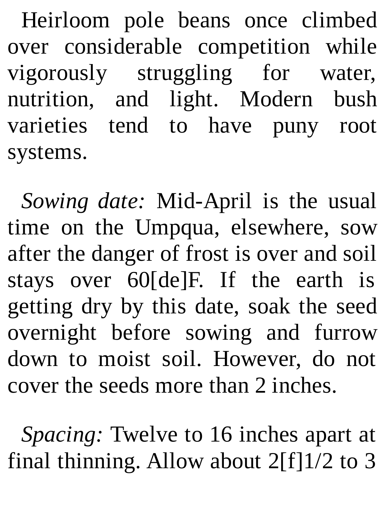Heirloom pole beans once climbed over considerable competition while vigorously struggling for water, nutrition, and light. Modern bush varieties tend to have puny root systems.

*Sowing date:* Mid-April is the usual time on the Umpqua, elsewhere, sow after the danger of frost is over and soil stays over 60[de]F. If the earth is getting dry by this date, soak the seed overnight before sowing and furrow down to moist soil. However, do not cover the seeds more than 2 inches.

*Spacing:* Twelve to 16 inches apart at final thinning. Allow about  $2[f]1/2$  to 3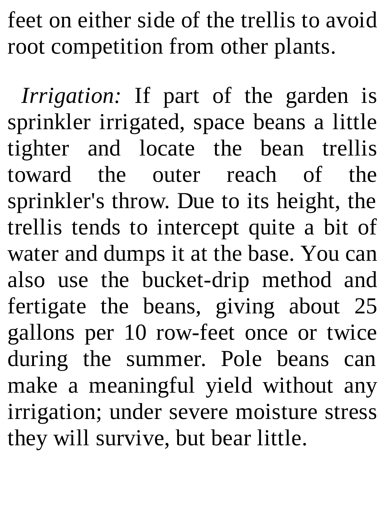feet on either side of the trellis to avoid root competition from other plants.

*Irrigation:* If part of the garden is sprinkler irrigated, space beans a little tighter and locate the bean trellis toward the outer reach of the sprinkler's throw. Due to its height, the trellis tends to intercept quite a bit of water and dumps it at the base. You can also use the bucket-drip method and fertigate the beans, giving about 25 gallons per 10 row-feet once or twice during the summer. Pole beans can make a meaningful yield without any irrigation; under severe moisture stress they will survive, but bear little.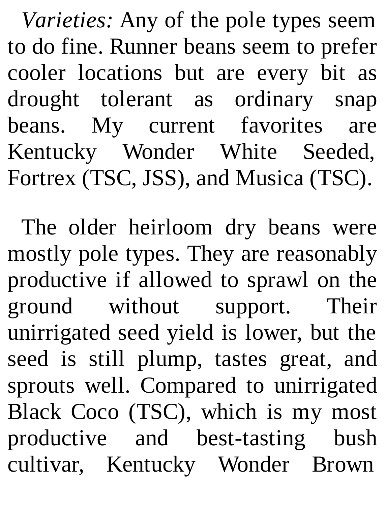*Varieties:* Any of the pole types seem to do fine. Runner beans seem to prefer cooler locations but are every bit as drought tolerant as ordinary snap beans. My current favorites are Kentucky Wonder White Seeded, Fortrex (TSC, JSS), and Musica (TSC).

The older heirloom dry beans were mostly pole types. They are reasonably productive if allowed to sprawl on the ground without support. Their unirrigated seed yield is lower, but the seed is still plump, tastes great, and sprouts well. Compared to unirrigated Black Coco (TSC), which is my most productive and best-tasting bush cultivar, Kentucky Wonder Brown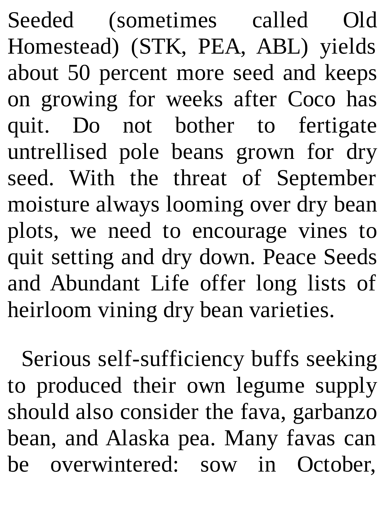Seeded (sometimes called Old Homestead) (STK, PEA, ABL) yields about 50 percent more seed and keeps on growing for weeks after Coco has quit. Do not bother to fertigate untrellised pole beans grown for dry seed. With the threat of September moisture always looming over dry bean plots, we need to encourage vines to quit setting and dry down. Peace Seeds and Abundant Life offer long lists of heirloom vining dry bean varieties.

Serious self-sufficiency buffs seeking to produced their own legume supply should also consider the fava, garbanzo bean, and Alaska pea. Many favas can be overwintered: sow in October,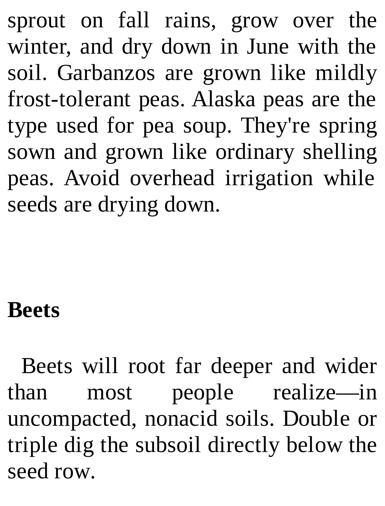sprout on fall rains, grow over the winter, and dry down in June with the soil. Garbanzos are grown like mildly frost-tolerant peas. Alaska peas are the type used for pea soup. They're spring sown and grown like ordinary shelling peas. Avoid overhead irrigation while seeds are drying down.

#### **Beets**

Beets will root far deeper and wider than most people realize—in uncompacted, nonacid soils. Double or triple dig the subsoil directly below the seed row.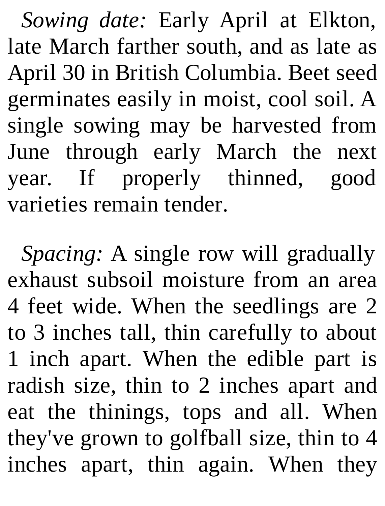*Sowing date:* Early April at Elkton, late March farther south, and as late as April 30 in British Columbia. Beet seed germinates easily in moist, cool soil. A single sowing may be harvested from June through early March the next year. If properly thinned, good varieties remain tender.

*Spacing:* A single row will gradually exhaust subsoil moisture from an area 4 feet wide. When the seedlings are 2 to 3 inches tall, thin carefully to about 1 inch apart. When the edible part is radish size, thin to 2 inches apart and eat the thinings, tops and all. When they've grown to golfball size, thin to 4 inches apart, thin again. When they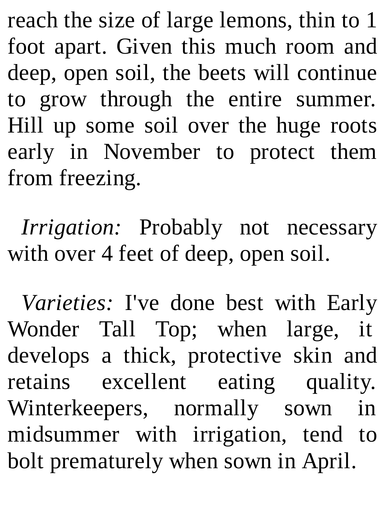reach the size of large lemons, thin to 1 foot apart. Given this much room and deep, open soil, the beets will continue to grow through the entire summer. Hill up some soil over the huge roots early in November to protect them from freezing.

*Irrigation:* Probably not necessary with over 4 feet of deep, open soil.

*Varieties:* I've done best with Early Wonder Tall Top; when large, it develops a thick, protective skin and retains excellent eating quality. Winterkeepers, normally sown in midsummer with irrigation, tend to bolt prematurely when sown in April.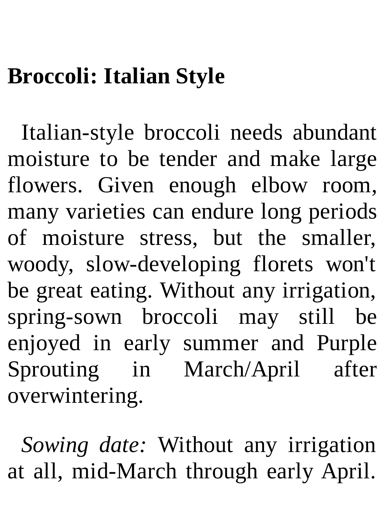### **Broccoli: Italian Style**

Italian-style broccoli needs abundant moisture to be tender and make large flowers. Given enough elbow room, many varieties can endure long periods of moisture stress, but the smaller, woody, slow-developing florets won't be great eating. Without any irrigation, spring-sown broccoli may still be enjoyed in early summer and Purple Sprouting in March/April after overwintering.

*Sowing date:* Without any irrigation at all, mid-March through early April.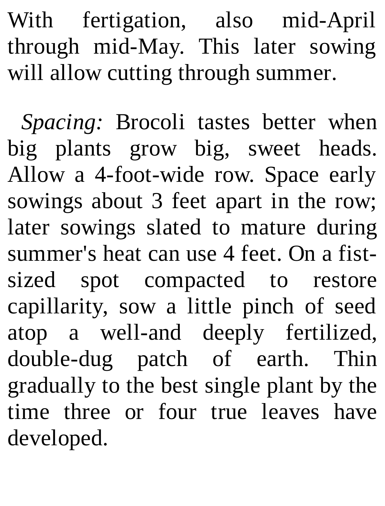With fertigation, also mid-April through mid-May. This later sowing will allow cutting through summer.

*Spacing:* Brocoli tastes better when big plants grow big, sweet heads. Allow a 4-foot-wide row. Space early sowings about 3 feet apart in the row; later sowings slated to mature during summer's heat can use 4 feet. On a fistsized spot compacted to restore capillarity, sow a little pinch of seed atop a well-and deeply fertilized, double-dug patch of earth. Thin gradually to the best single plant by the time three or four true leaves have developed.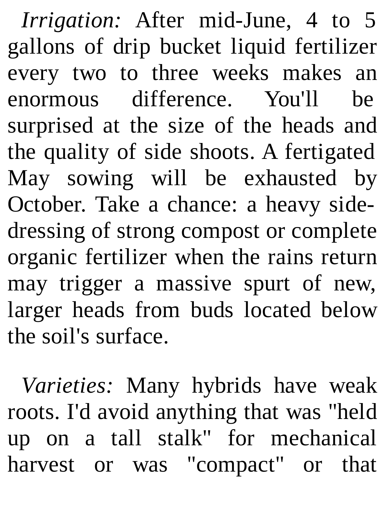*Irrigation:* After mid-June, 4 to 5 gallons of drip bucket liquid fertilizer every two to three weeks makes an enormous difference. You'll be surprised at the size of the heads and the quality of side shoots. A fertigated May sowing will be exhausted by October. Take a chance: a heavy sidedressing of strong compost or complete organic fertilizer when the rains return may trigger a massive spurt of new, larger heads from buds located below the soil's surface.

*Varieties:* Many hybrids have weak roots. I'd avoid anything that was "held up on a tall stalk" for mechanical harvest or was "compact" or that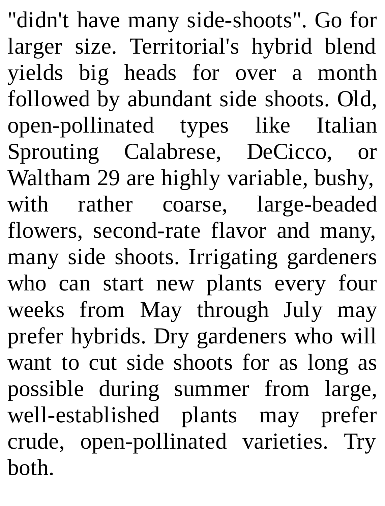"didn't have many side-shoots". Go for larger size. Territorial's hybrid blend yields big heads for over a month followed by abundant side shoots. Old, open-pollinated types like Italian Sprouting Calabrese, DeCicco, or Waltham 29 are highly variable, bushy, with rather coarse, large-beaded flowers, second-rate flavor and many, many side shoots. Irrigating gardeners who can start new plants every four weeks from May through July may prefer hybrids. Dry gardeners who will want to cut side shoots for as long as possible during summer from large, well-established plants may prefer crude, open-pollinated varieties. Try both.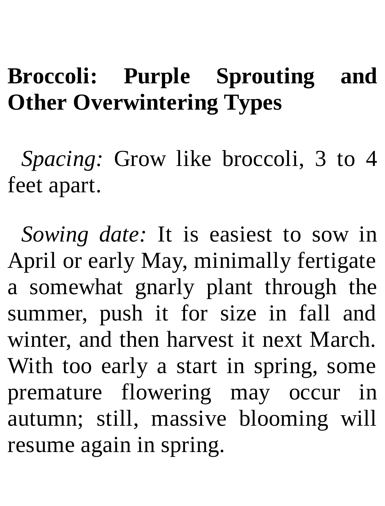#### **Broccoli: Purple Sprouting and Other Overwintering Types**

*Spacing:* Grow like broccoli, 3 to 4 feet apart.

*Sowing date:* It is easiest to sow in April or early May, minimally fertigate a somewhat gnarly plant through the summer, push it for size in fall and winter, and then harvest it next March. With too early a start in spring, some premature flowering may occur in autumn; still, massive blooming will resume again in spring.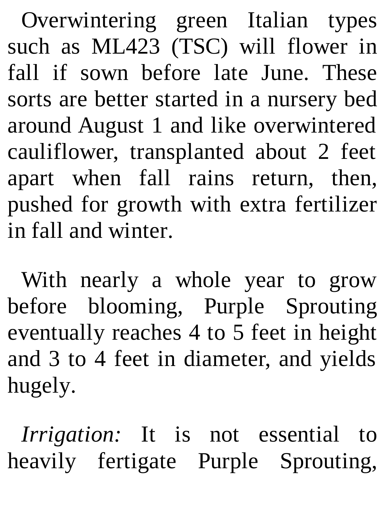Overwintering green Italian types such as ML423 (TSC) will flower in fall if sown before late June. These sorts are better started in a nursery bed around August 1 and like overwintered cauliflower, transplanted about 2 feet apart when fall rains return, then, pushed for growth with extra fertilizer in fall and winter.

With nearly a whole year to grow before blooming, Purple Sprouting eventually reaches 4 to 5 feet in height and 3 to 4 feet in diameter, and yields hugely.

*Irrigation:* It is not essential to heavily fertigate Purple Sprouting,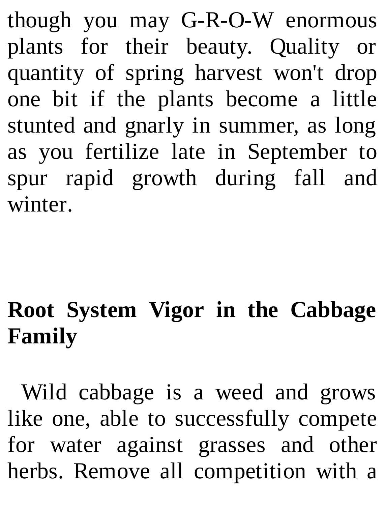though you may G-R-O-W enormous plants for their beauty. Quality or quantity of spring harvest won't drop one bit if the plants become a little stunted and gnarly in summer, as long as you fertilize late in September to spur rapid growth during fall and winter.

# **Root System Vigor in the Cabbage Family**

Wild cabbage is a weed and grows like one, able to successfully compete for water against grasses and other herbs. Remove all competition with a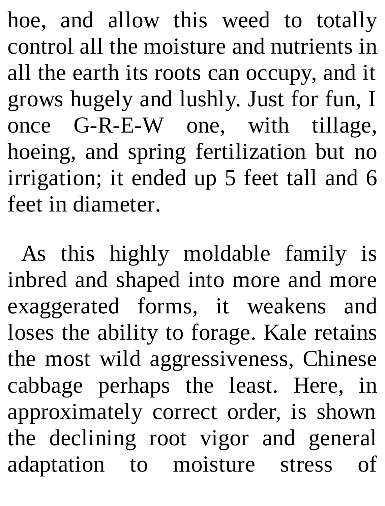hoe, and allow this weed to totally control all the moisture and nutrients in all the earth its roots can occupy, and it grows hugely and lushly. Just for fun, I once G-R-E-W one, with tillage, hoeing, and spring fertilization but no irrigation; it ended up 5 feet tall and 6 feet in diameter.

As this highly moldable family is inbred and shaped into more and more exaggerated forms, it weakens and loses the ability to forage. Kale retains the most wild aggressiveness, Chinese cabbage perhaps the least. Here, in approximately correct order, is shown the declining root vigor and general adaptation to moisture stress of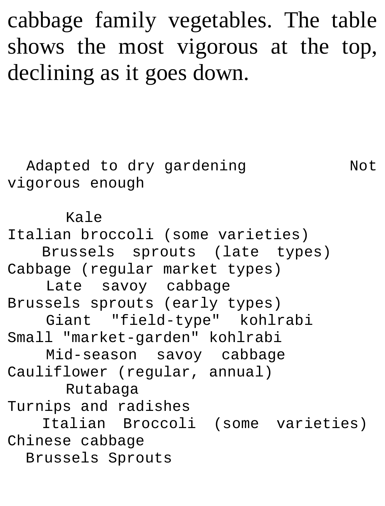cabbage family vegetables. The table shows the most vigorous at the top, declining as it goes down.

Adapted to dry gardening Not vigorous enough Kale Italian broccoli (some varieties) Brussels sprouts (late types) Cabbage (regular market types) Late savoy cabbage Brussels sprouts (early types) Giant "field-type" kohlrabi Small "market-garden" kohlrabi Mid-season savoy cabbage Cauliflower (regular, annual) Rutabaga Turnips and radishes Italian Broccoli (some varieties) Chinese cabbage Brussels Sprouts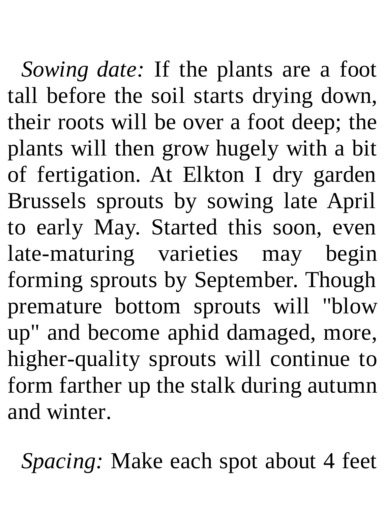*Sowing date:* If the plants are a foot tall before the soil starts drying down, their roots will be over a foot deep; the plants will then grow hugely with a bit of fertigation. At Elkton I dry garden Brussels sprouts by sowing late April to early May. Started this soon, even late-maturing varieties may begin forming sprouts by September. Though premature bottom sprouts will "blow up" and become aphid damaged, more, higher-quality sprouts will continue to form farther up the stalk during autumn and winter.

*Spacing:* Make each spot about 4 feet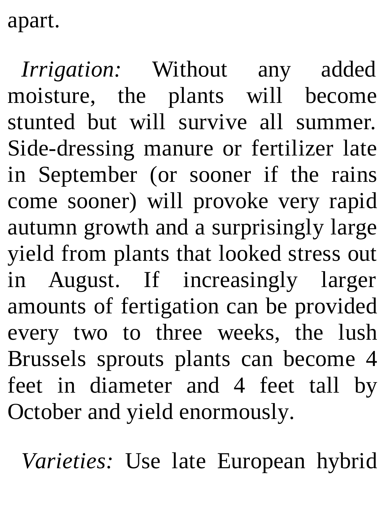apart.

*Irrigation:* Without any added moisture, the plants will become stunted but will survive all summer. Side-dressing manure or fertilizer late in September (or sooner if the rains come sooner) will provoke very rapid autumn growth and a surprisingly large yield from plants that looked stress out in August. If increasingly larger amounts of fertigation can be provided every two to three weeks, the lush Brussels sprouts plants can become 4 feet in diameter and 4 feet tall by October and yield enormously.

*Varieties:* Use late European hybrid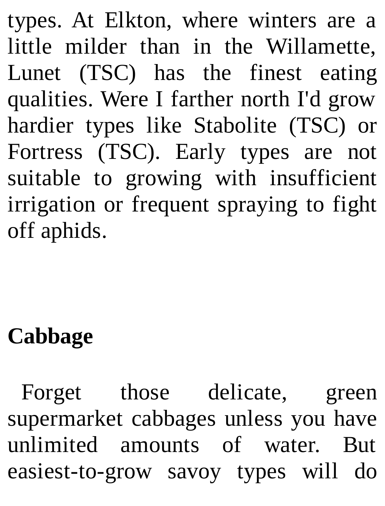types. At Elkton, where winters are a little milder than in the Willamette, Lunet (TSC) has the finest eating qualities. Were I farther north I'd grow hardier types like Stabolite (TSC) or Fortress (TSC). Early types are not suitable to growing with insufficient irrigation or frequent spraying to fight off aphids.

## **Cabbage**

Forget those delicate, green supermarket cabbages unless you have unlimited amounts of water. But easiest-to-grow savoy types will do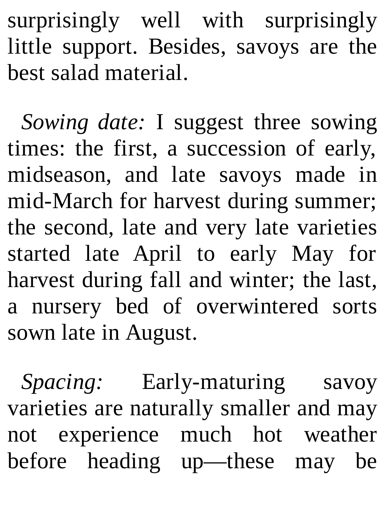surprisingly well with surprisingly little support. Besides, savoys are the best salad material.

*Sowing date:* I suggest three sowing times: the first, a succession of early, midseason, and late savoys made in mid-March for harvest during summer; the second, late and very late varieties started late April to early May for harvest during fall and winter; the last, a nursery bed of overwintered sorts sown late in August.

*Spacing:* Early-maturing savoy varieties are naturally smaller and may not experience much hot weather before heading up—these may be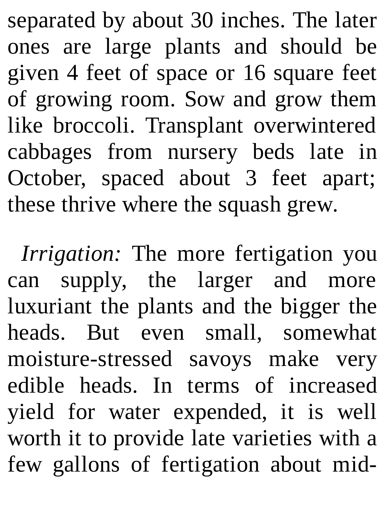separated by about 30 inches. The later ones are large plants and should be given 4 feet of space or 16 square feet of growing room. Sow and grow them like broccoli. Transplant overwintered cabbages from nursery beds late in October, spaced about 3 feet apart; these thrive where the squash grew.

*Irrigation:* The more fertigation you can supply, the larger and more luxuriant the plants and the bigger the heads. But even small, somewhat moisture-stressed savoys make very edible heads. In terms of increased yield for water expended, it is well worth it to provide late varieties with a few gallons of fertigation about mid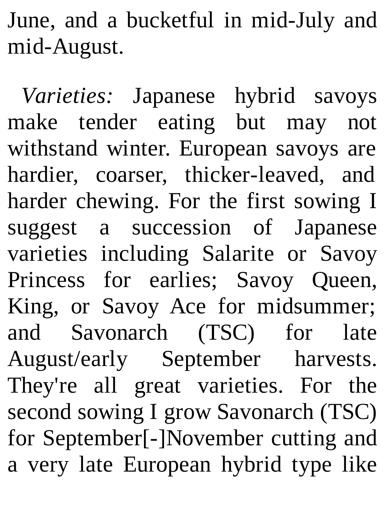June, and a bucketful in mid-July and mid-August.

*Varieties:* Japanese hybrid savoys make tender eating but may not withstand winter. European savoys are hardier, coarser, thicker-leaved, and harder chewing. For the first sowing I suggest a succession of Japanese varieties including Salarite or Savoy Princess for earlies; Savoy Queen, King, or Savoy Ace for midsummer; and Savonarch (TSC) for late August/early September harvests. They're all great varieties. For the second sowing I grow Savonarch (TSC) for September[-]November cutting and a very late European hybrid type like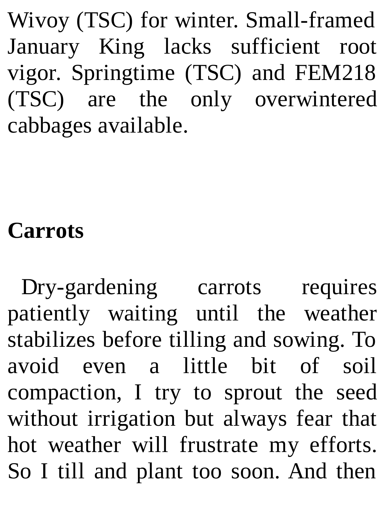Wivoy (TSC) for winter. Small-framed January King lacks sufficient root vigor. Springtime (TSC) and FEM218 (TSC) are the only overwintered cabbages available.

### **Carrots**

Dry-gardening carrots requires patiently waiting until the weather stabilizes before tilling and sowing. To avoid even a little bit of soil compaction, I try to sprout the seed without irrigation but always fear that hot weather will frustrate my efforts. So I till and plant too soon. And then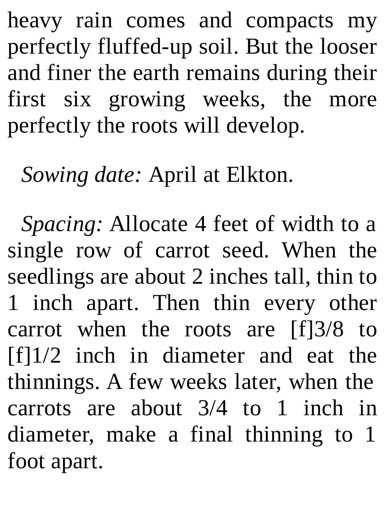heavy rain comes and compacts my perfectly fluffed-up soil. But the looser and finer the earth remains during their first six growing weeks, the more perfectly the roots will develop.

*Sowing date:* April at Elkton.

*Spacing:* Allocate 4 feet of width to a single row of carrot seed. When the seedlings are about 2 inches tall, thin to 1 inch apart. Then thin every other carrot when the roots are [f]3/8 to [f]1/2 inch in diameter and eat the thinnings. A few weeks later, when the carrots are about 3/4 to 1 inch in diameter, make a final thinning to 1 foot apart.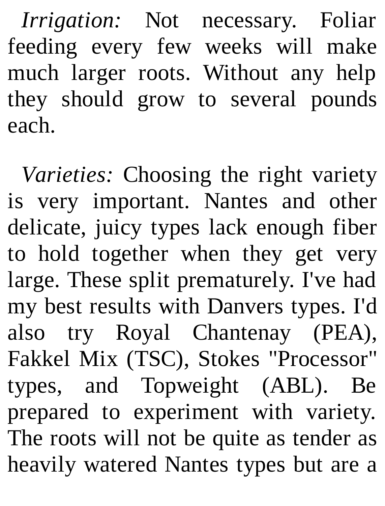*Irrigation:* Not necessary. Foliar feeding every few weeks will make much larger roots. Without any help they should grow to several pounds each.

*Varieties:* Choosing the right variety is very important. Nantes and other delicate, juicy types lack enough fiber to hold together when they get very large. These split prematurely. I've had my best results with Danvers types. I'd also try Royal Chantenay (PEA), Fakkel Mix (TSC), Stokes "Processor" types, and Topweight (ABL). Be prepared to experiment with variety. The roots will not be quite as tender as heavily watered Nantes types but are a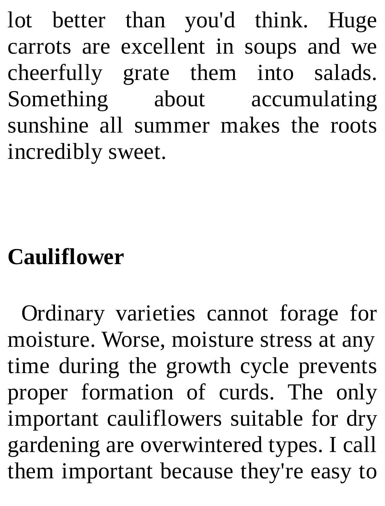lot better than you'd think. Huge carrots are excellent in soups and we cheerfully grate them into salads. Something about accumulating sunshine all summer makes the roots incredibly sweet.

## **Cauliflower**

Ordinary varieties cannot forage for moisture. Worse, moisture stress at any time during the growth cycle prevents proper formation of curds. The only important cauliflowers suitable for dry gardening are overwintered types. I call them important because they're easy to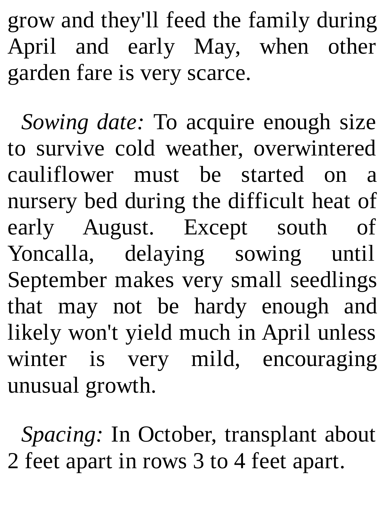grow and they'll feed the family during April and early May, when other garden fare is very scarce.

*Sowing date:* To acquire enough size to survive cold weather, overwintered cauliflower must be started on a nursery bed during the difficult heat of early August. Except south of Yoncalla, delaying sowing until September makes very small seedlings that may not be hardy enough and likely won't yield much in April unless winter is very mild, encouraging unusual growth.

*Spacing:* In October, transplant about 2 feet apart in rows 3 to 4 feet apart.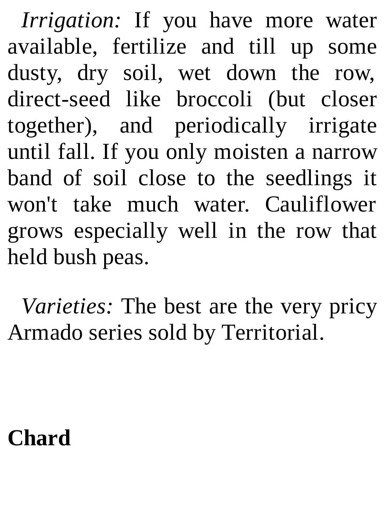*Irrigation:* If you have more water available, fertilize and till up some dusty, dry soil, wet down the row, direct-seed like broccoli (but closer together), and periodically irrigate until fall. If you only moisten a narrow band of soil close to the seedlings it won't take much water. Cauliflower grows especially well in the row that held bush peas.

*Varieties:* The best are the very pricy Armado series sold by Territorial.

### **Chard**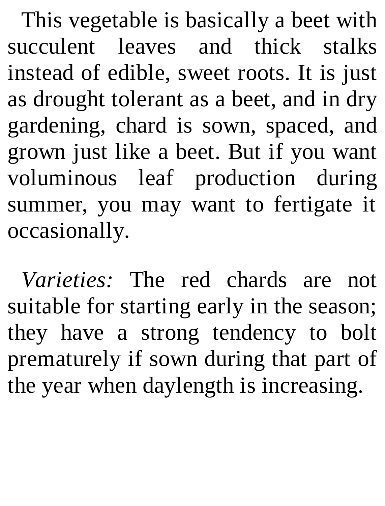This vegetable is basically a beet with succulent leaves and thick stalks instead of edible, sweet roots. It is just as drought tolerant as a beet, and in dry gardening, chard is sown, spaced, and grown just like a beet. But if you want voluminous leaf production during summer, you may want to fertigate it occasionally.

*Varieties:* The red chards are not suitable for starting early in the season; they have a strong tendency to bolt prematurely if sown during that part of the year when daylength is increasing.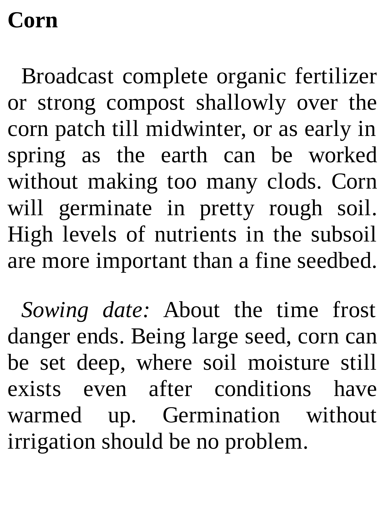## **Corn**

Broadcast complete organic fertilizer or strong compost shallowly over the corn patch till midwinter, or as early in spring as the earth can be worked without making too many clods. Corn will germinate in pretty rough soil. High levels of nutrients in the subsoil are more important than a fine seedbed.

*Sowing date:* About the time frost danger ends. Being large seed, corn can be set deep, where soil moisture still exists even after conditions have warmed up. Germination without irrigation should be no problem.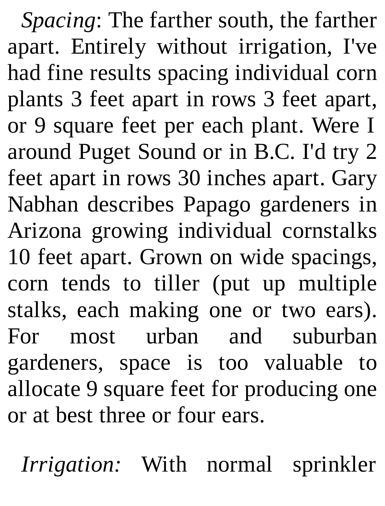*Spacing*: The farther south, the farther apart. Entirely without irrigation, I've had fine results spacing individual corn plants 3 feet apart in rows 3 feet apart, or 9 square feet per each plant. Were I around Puget Sound or in B.C. I'd try 2 feet apart in rows 30 inches apart. Gary Nabhan describes Papago gardeners in Arizona growing individual cornstalks 10 feet apart. Grown on wide spacings, corn tends to tiller (put up multiple stalks, each making one or two ears). For most urban and suburban gardeners, space is too valuable to allocate 9 square feet for producing one or at best three or four ears.

*Irrigation:* With normal sprinkler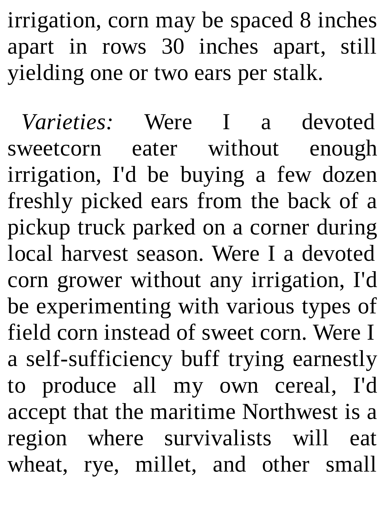irrigation, corn may be spaced 8 inches apart in rows 30 inches apart, still yielding one or two ears per stalk.

*Varieties:* Were I a devoted sweetcorn eater without enough irrigation, I'd be buying a few dozen freshly picked ears from the back of a pickup truck parked on a corner during local harvest season. Were I a devoted corn grower without any irrigation, I'd be experimenting with various types of field corn instead of sweet corn. Were I a self-sufficiency buff trying earnestly to produce all my own cereal, I'd accept that the maritime Northwest is a region where survivalists will eat wheat, rye, millet, and other small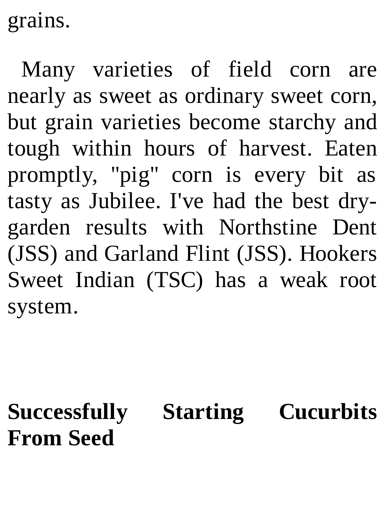grains.

Many varieties of field corn are nearly as sweet as ordinary sweet corn, but grain varieties become starchy and tough within hours of harvest. Eaten promptly, "pig" corn is every bit as tasty as Jubilee. I've had the best drygarden results with Northstine Dent (JSS) and Garland Flint (JSS). Hookers Sweet Indian (TSC) has a weak root system.

**Successfully Starting Cucurbits From Seed**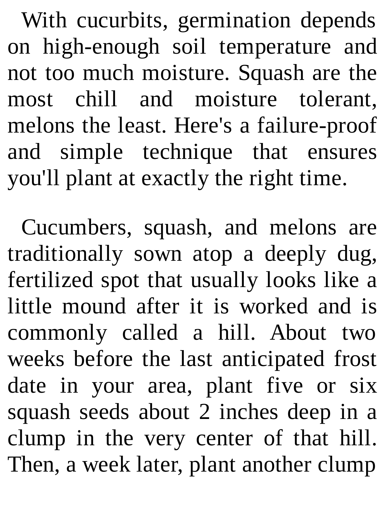With cucurbits, germination depends on high-enough soil temperature and not too much moisture. Squash are the most chill and moisture tolerant, melons the least. Here's a failure-proof and simple technique that ensures you'll plant at exactly the right time.

Cucumbers, squash, and melons are traditionally sown atop a deeply dug, fertilized spot that usually looks like a little mound after it is worked and is commonly called a hill. About two weeks before the last anticipated frost date in your area, plant five or six squash seeds about 2 inches deep in a clump in the very center of that hill. Then, a week later, plant another clump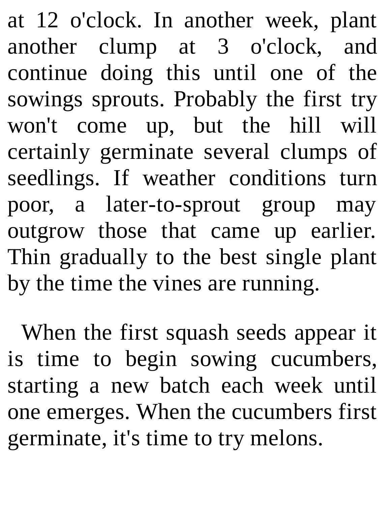at 12 o'clock. In another week, plant another clump at 3 o'clock, and continue doing this until one of the sowings sprouts. Probably the first try won't come up, but the hill will certainly germinate several clumps of seedlings. If weather conditions turn poor, a later-to-sprout group may outgrow those that came up earlier. Thin gradually to the best single plant by the time the vines are running.

When the first squash seeds appear it is time to begin sowing cucumbers, starting a new batch each week until one emerges. When the cucumbers first germinate, it's time to try melons.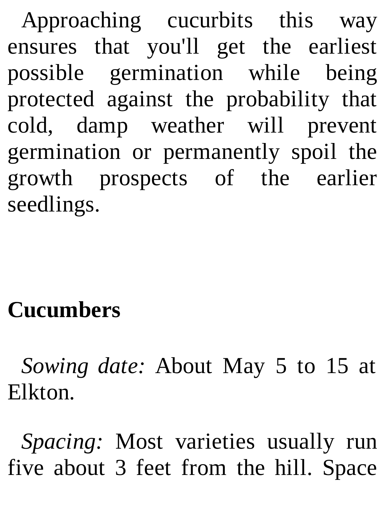Approaching cucurbits this way ensures that you'll get the earliest possible germination while being protected against the probability that cold, damp weather will prevent germination or permanently spoil the growth prospects of the earlier seedlings.

# **Cucumbers**

*Sowing date:* About May 5 to 15 at Elkton.

*Spacing:* Most varieties usually run five about 3 feet from the hill. Space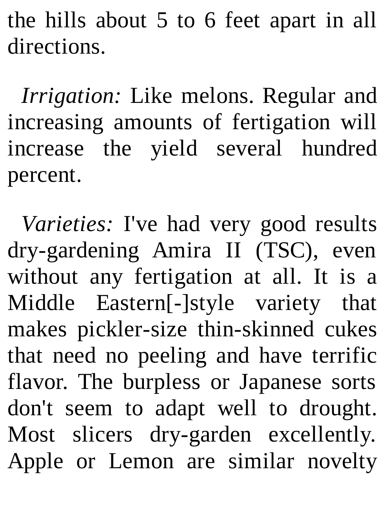the hills about 5 to 6 feet apart in all directions.

*Irrigation:* Like melons. Regular and increasing amounts of fertigation will increase the yield several hundred percent.

*Varieties:* I've had very good results dry-gardening Amira II (TSC), even without any fertigation at all. It is a Middle Eastern[-]style variety that makes pickler-size thin-skinned cukes that need no peeling and have terrific flavor. The burpless or Japanese sorts don't seem to adapt well to drought. Most slicers dry-garden excellently. Apple or Lemon are similar novelty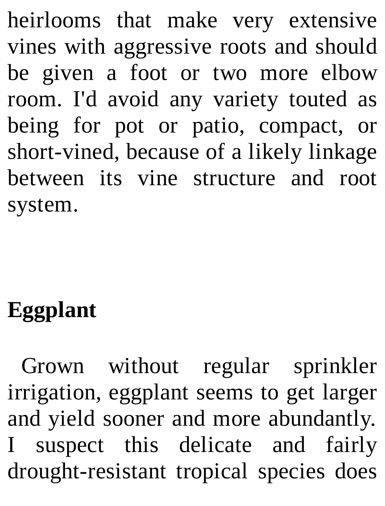heirlooms that make very extensive vines with aggressive roots and should be given a foot or two more elbow room. I'd avoid any variety touted as being for pot or patio, compact, or short-vined, because of a likely linkage between its vine structure and root system.

# **Eggplant**

Grown without regular sprinkler irrigation, eggplant seems to get larger and yield sooner and more abundantly. I suspect this delicate and fairly drought-resistant tropical species does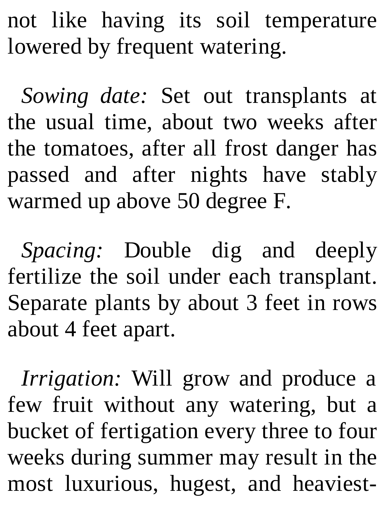not like having its soil temperature lowered by frequent watering.

*Sowing date:* Set out transplants at the usual time, about two weeks after the tomatoes, after all frost danger has passed and after nights have stably warmed up above 50 degree F.

*Spacing:* Double dig and deeply fertilize the soil under each transplant. Separate plants by about 3 feet in rows about 4 feet apart.

*Irrigation:* Will grow and produce a few fruit without any watering, but a bucket of fertigation every three to four weeks during summer may result in the most luxurious, hugest, and heaviest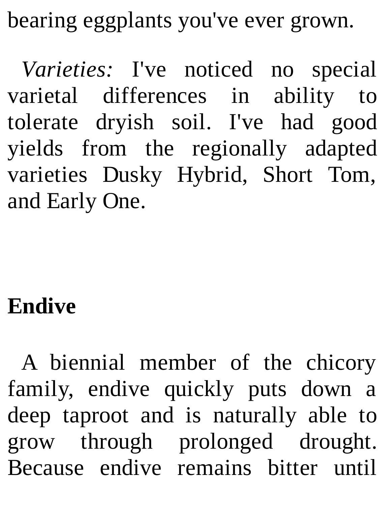bearing eggplants you've ever grown.

*Varieties:* I've noticed no special varietal differences in ability to tolerate dryish soil. I've had good yields from the regionally adapted varieties Dusky Hybrid, Short Tom, and Early One.

### **Endive**

A biennial member of the chicory family, endive quickly puts down a deep taproot and is naturally able to grow through prolonged drought. Because endive remains bitter until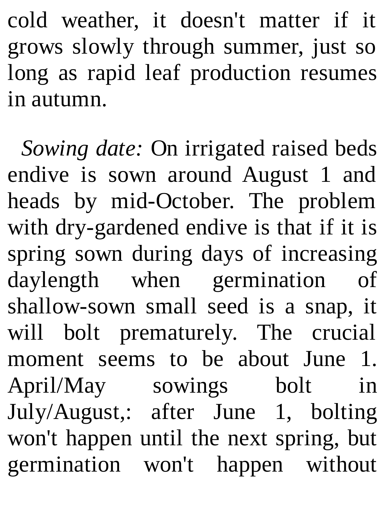cold weather, it doesn't matter if it grows slowly through summer, just so long as rapid leaf production resumes in autumn.

*Sowing date:* On irrigated raised beds endive is sown around August 1 and heads by mid-October. The problem with dry-gardened endive is that if it is spring sown during days of increasing daylength when germination of shallow-sown small seed is a snap, it will bolt prematurely. The crucial moment seems to be about June 1. April/May sowings bolt in July/August,: after June 1, bolting won't happen until the next spring, but germination won't happen without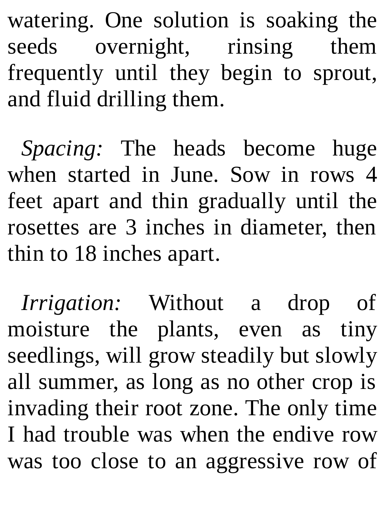watering. One solution is soaking the seeds overnight, rinsing them frequently until they begin to sprout, and fluid drilling them.

*Spacing:* The heads become huge when started in June. Sow in rows 4 feet apart and thin gradually until the rosettes are 3 inches in diameter, then thin to 18 inches apart.

*Irrigation:* Without a drop of moisture the plants, even as tiny seedlings, will grow steadily but slowly all summer, as long as no other crop is invading their root zone. The only time I had trouble was when the endive row was too close to an aggressive row of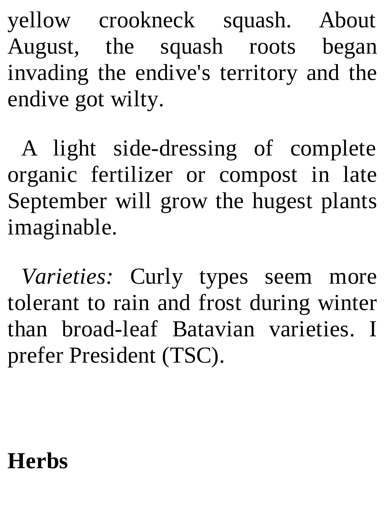yellow crookneck squash. About August, the squash roots began invading the endive's territory and the endive got wilty.

A light side-dressing of complete organic fertilizer or compost in late September will grow the hugest plants imaginable.

*Varieties:* Curly types seem more tolerant to rain and frost during winter than broad-leaf Batavian varieties. I prefer President (TSC).

### **Herbs**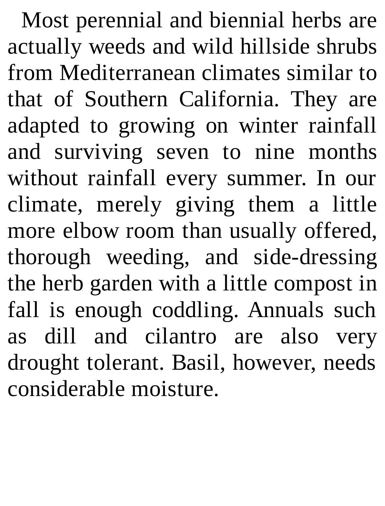Most perennial and biennial herbs are actually weeds and wild hillside shrubs from Mediterranean climates similar to that of Southern California. They are adapted to growing on winter rainfall and surviving seven to nine months without rainfall every summer. In our climate, merely giving them a little more elbow room than usually offered, thorough weeding, and side-dressing the herb garden with a little compost in fall is enough coddling. Annuals such as dill and cilantro are also very drought tolerant. Basil, however, needs considerable moisture.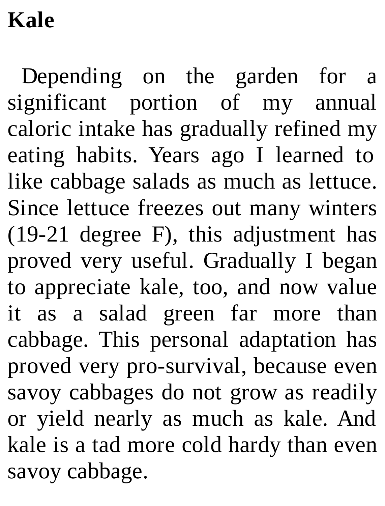# **Kale**

Depending on the garden for a significant portion of my annual caloric intake has gradually refined my eating habits. Years ago I learned to like cabbage salads as much as lettuce. Since lettuce freezes out many winters (19-21 degree F), this adjustment has proved very useful. Gradually I began to appreciate kale, too, and now value it as a salad green far more than cabbage. This personal adaptation has proved very pro-survival, because even savoy cabbages do not grow as readily or yield nearly as much as kale. And kale is a tad more cold hardy than even savoy cabbage.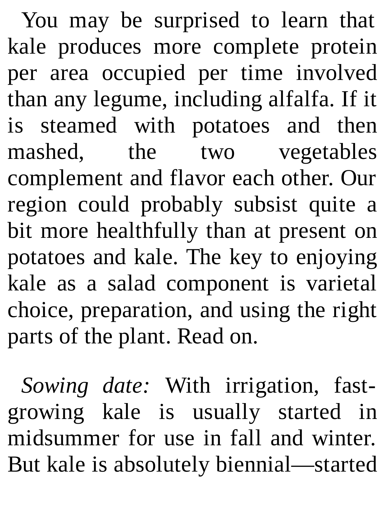You may be surprised to learn that kale produces more complete protein per area occupied per time involved than any legume, including alfalfa. If it is steamed with potatoes and then mashed, the two vegetables complement and flavor each other. Our region could probably subsist quite a bit more healthfully than at present on potatoes and kale. The key to enjoying kale as a salad component is varietal choice, preparation, and using the right parts of the plant. Read on.

*Sowing date:* With irrigation, fastgrowing kale is usually started in midsummer for use in fall and winter. But kale is absolutely biennial—started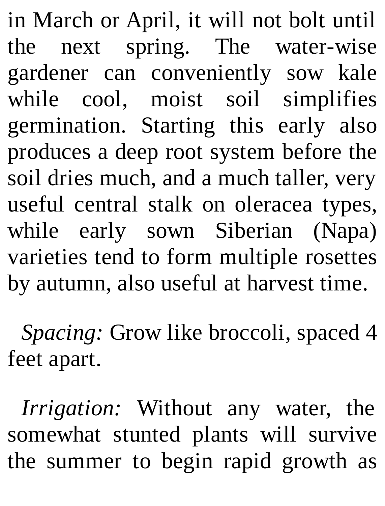in March or April, it will not bolt until the next spring. The water-wise gardener can conveniently sow kale while cool, moist soil simplifies germination. Starting this early also produces a deep root system before the soil dries much, and a much taller, very useful central stalk on oleracea types, while early sown Siberian (Napa) varieties tend to form multiple rosettes by autumn, also useful at harvest time.

*Spacing:* Grow like broccoli, spaced 4 feet apart.

*Irrigation:* Without any water, the somewhat stunted plants will survive the summer to begin rapid growth as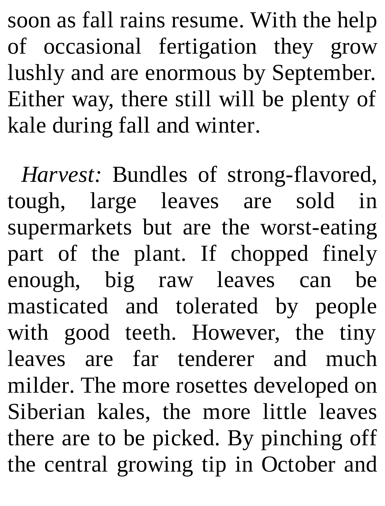soon as fall rains resume. With the help of occasional fertigation they grow lushly and are enormous by September. Either way, there still will be plenty of kale during fall and winter.

*Harvest:* Bundles of strong-flavored, tough, large leaves are sold in supermarkets but are the worst-eating part of the plant. If chopped finely enough, big raw leaves can be masticated and tolerated by people with good teeth. However, the tiny leaves are far tenderer and much milder. The more rosettes developed on Siberian kales, the more little leaves there are to be picked. By pinching off the central growing tip in October and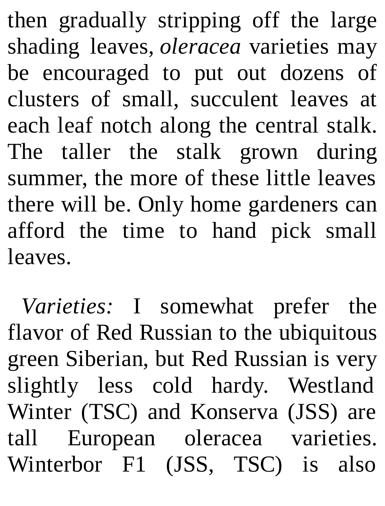then gradually stripping off the large shading leaves, *oleracea* varieties may be encouraged to put out dozens of clusters of small, succulent leaves at each leaf notch along the central stalk. The taller the stalk grown during summer, the more of these little leaves there will be. Only home gardeners can afford the time to hand pick small leaves.

*Varieties:* I somewhat prefer the flavor of Red Russian to the ubiquitous green Siberian, but Red Russian is very slightly less cold hardy. Westland Winter (TSC) and Konserva (JSS) are tall European oleracea varieties. Winterbor F1 (JSS, TSC) is also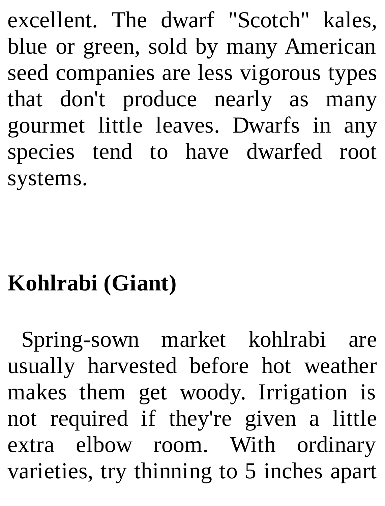excellent. The dwarf "Scotch" kales, blue or green, sold by many American seed companies are less vigorous types that don't produce nearly as many gourmet little leaves. Dwarfs in any species tend to have dwarfed root systems.

# **Kohlrabi (Giant)**

Spring-sown market kohlrabi are usually harvested before hot weather makes them get woody. Irrigation is not required if they're given a little extra elbow room. With ordinary varieties, try thinning to 5 inches apart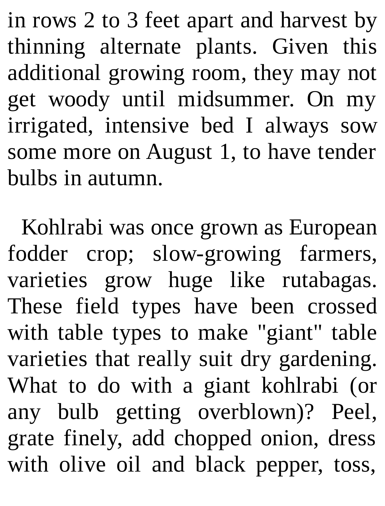in rows 2 to 3 feet apart and harvest by thinning alternate plants. Given this additional growing room, they may not get woody until midsummer. On my irrigated, intensive bed I always sow some more on August 1, to have tender bulbs in autumn.

Kohlrabi was once grown as European fodder crop; slow-growing farmers, varieties grow huge like rutabagas. These field types have been crossed with table types to make "giant" table varieties that really suit dry gardening. What to do with a giant kohlrabi (or any bulb getting overblown)? Peel, grate finely, add chopped onion, dress with olive oil and black pepper, toss,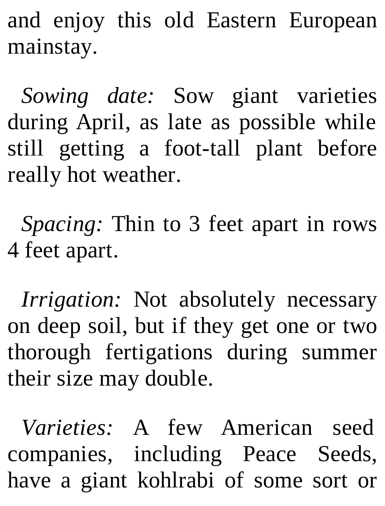and enjoy this old Eastern European mainstay.

*Sowing date:* Sow giant varieties during April, as late as possible while still getting a foot-tall plant before really hot weather.

*Spacing:* Thin to 3 feet apart in rows 4 feet apart.

*Irrigation:* Not absolutely necessary on deep soil, but if they get one or two thorough fertigations during summer their size may double.

*Varieties:* A few American seed companies, including Peace Seeds, have a giant kohlrabi of some sort or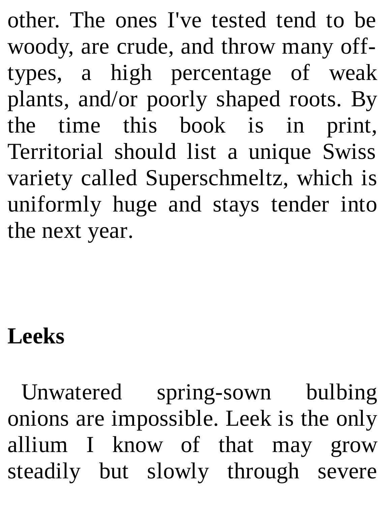other. The ones I've tested tend to be woody, are crude, and throw many offtypes, a high percentage of weak plants, and/or poorly shaped roots. By the time this book is in print, Territorial should list a unique Swiss variety called Superschmeltz, which is uniformly huge and stays tender into the next year.

### **Leeks**

Unwatered spring-sown bulbing onions are impossible. Leek is the only allium I know of that may grow steadily but slowly through severe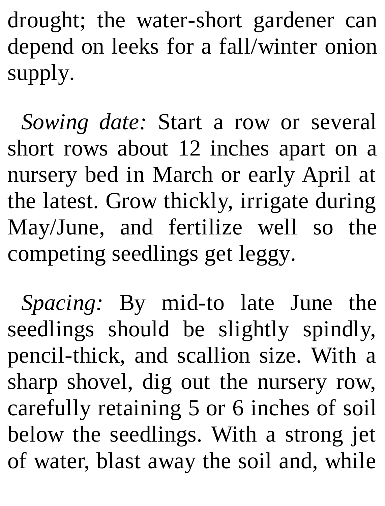drought; the water-short gardener can depend on leeks for a fall/winter onion supply.

*Sowing date:* Start a row or several short rows about 12 inches apart on a nursery bed in March or early April at the latest. Grow thickly, irrigate during May/June, and fertilize well so the competing seedlings get leggy.

*Spacing:* By mid-to late June the seedlings should be slightly spindly, pencil-thick, and scallion size. With a sharp shovel, dig out the nursery row, carefully retaining 5 or 6 inches of soil below the seedlings. With a strong jet of water, blast away the soil and, while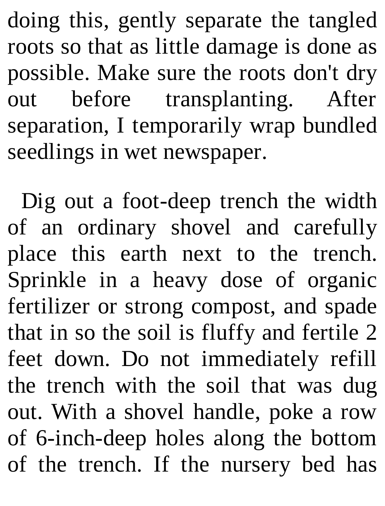doing this, gently separate the tangled roots so that as little damage is done as possible. Make sure the roots don't dry out before transplanting. After separation, I temporarily wrap bundled seedlings in wet newspaper.

Dig out a foot-deep trench the width of an ordinary shovel and carefully place this earth next to the trench. Sprinkle in a heavy dose of organic fertilizer or strong compost, and spade that in so the soil is fluffy and fertile 2 feet down. Do not immediately refill the trench with the soil that was dug out. With a shovel handle, poke a row of 6-inch-deep holes along the bottom of the trench. If the nursery bed has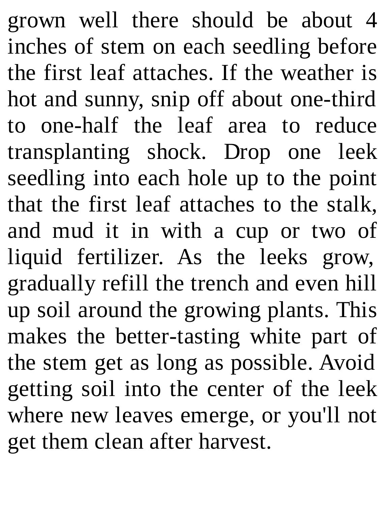grown well there should be about 4 inches of stem on each seedling before the first leaf attaches. If the weather is hot and sunny, snip off about one-third to one-half the leaf area to reduce transplanting shock. Drop one leek seedling into each hole up to the point that the first leaf attaches to the stalk, and mud it in with a cup or two of liquid fertilizer. As the leeks grow, gradually refill the trench and even hill up soil around the growing plants. This makes the better-tasting white part of the stem get as long as possible. Avoid getting soil into the center of the leek where new leaves emerge, or you'll not get them clean after harvest.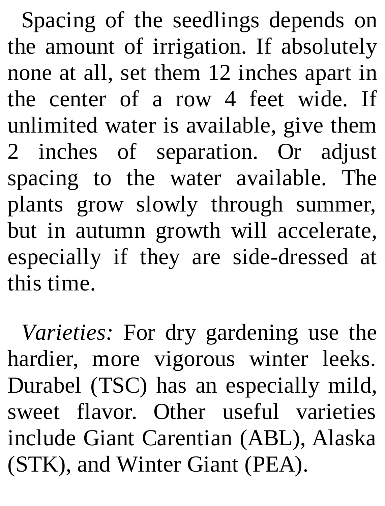Spacing of the seedlings depends on the amount of irrigation. If absolutely none at all, set them 12 inches apart in the center of a row 4 feet wide. If unlimited water is available, give them 2 inches of separation. Or adjust spacing to the water available. The plants grow slowly through summer, but in autumn growth will accelerate, especially if they are side-dressed at this time.

*Varieties:* For dry gardening use the hardier, more vigorous winter leeks. Durabel (TSC) has an especially mild, sweet flavor. Other useful varieties include Giant Carentian (ABL), Alaska (STK), and Winter Giant (PEA).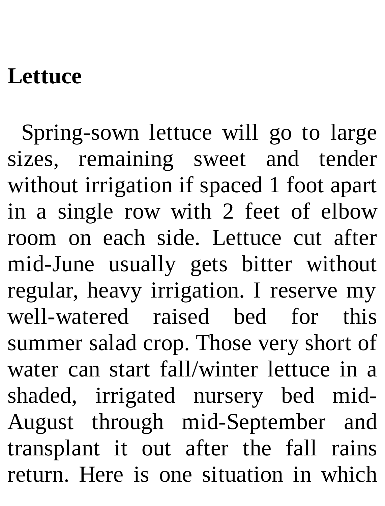#### **Lettuce**

Spring-sown lettuce will go to large sizes, remaining sweet and tender without irrigation if spaced 1 foot apart in a single row with 2 feet of elbow room on each side. Lettuce cut after mid-June usually gets bitter without regular, heavy irrigation. I reserve my well-watered raised bed for this summer salad crop. Those very short of water can start fall/winter lettuce in a shaded, irrigated nursery bed mid-August through mid-September and transplant it out after the fall rains return. Here is one situation in which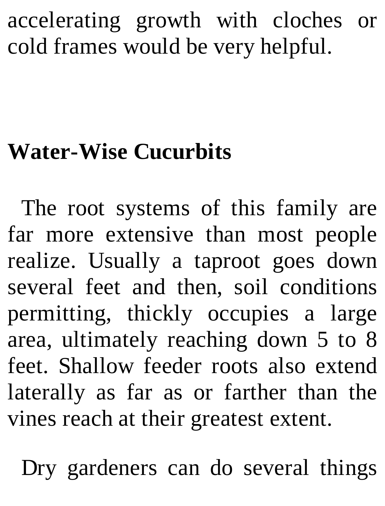accelerating growth with cloches or cold frames would be very helpful.

### **Water-Wise Cucurbits**

The root systems of this family are far more extensive than most people realize. Usually a taproot goes down several feet and then, soil conditions permitting, thickly occupies a large area, ultimately reaching down 5 to 8 feet. Shallow feeder roots also extend laterally as far as or farther than the vines reach at their greatest extent.

Dry gardeners can do several things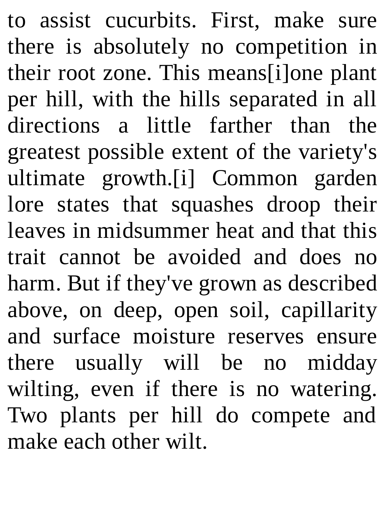to assist cucurbits. First, make sure there is absolutely no competition in their root zone. This means[i]one plant per hill, with the hills separated in all directions a little farther than the greatest possible extent of the variety's ultimate growth.[i] Common garden lore states that squashes droop their leaves in midsummer heat and that this trait cannot be avoided and does no harm. But if they've grown as described above, on deep, open soil, capillarity and surface moisture reserves ensure there usually will be no midday wilting, even if there is no watering. Two plants per hill do compete and make each other wilt.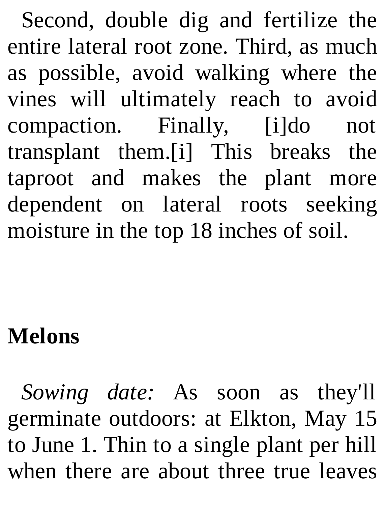Second, double dig and fertilize the entire lateral root zone. Third, as much as possible, avoid walking where the vines will ultimately reach to avoid compaction. Finally, [i]do not transplant them.[i] This breaks the taproot and makes the plant more dependent on lateral roots seeking moisture in the top 18 inches of soil.

### **Melons**

*Sowing date:* As soon as they'll germinate outdoors: at Elkton, May 15 to June 1. Thin to a single plant per hill when there are about three true leaves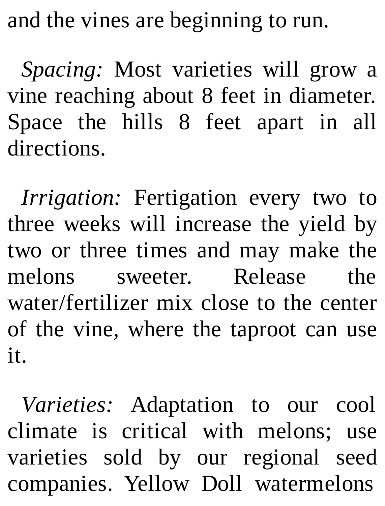and the vines are beginning to run.

*Spacing:* Most varieties will grow a vine reaching about 8 feet in diameter. Space the hills 8 feet apart in all directions.

*Irrigation:* Fertigation every two to three weeks will increase the yield by two or three times and may make the melons sweeter. Release the water/fertilizer mix close to the center of the vine, where the taproot can use it.

*Varieties:* Adaptation to our cool climate is critical with melons; use varieties sold by our regional seed companies. Yellow Doll watermelons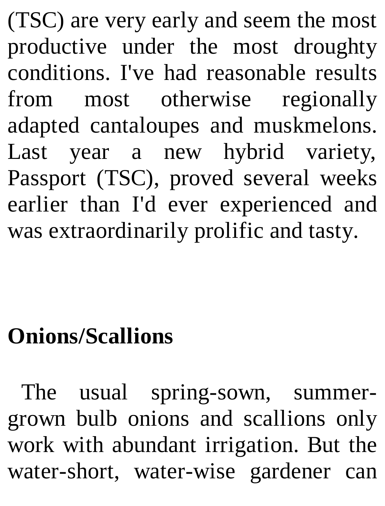(TSC) are very early and seem the most productive under the most droughty conditions. I've had reasonable results from most otherwise regionally adapted cantaloupes and muskmelons. Last year a new hybrid variety, Passport (TSC), proved several weeks earlier than I'd ever experienced and was extraordinarily prolific and tasty.

# **Onions/Scallions**

The usual spring-sown, summergrown bulb onions and scallions only work with abundant irrigation. But the water-short, water-wise gardener can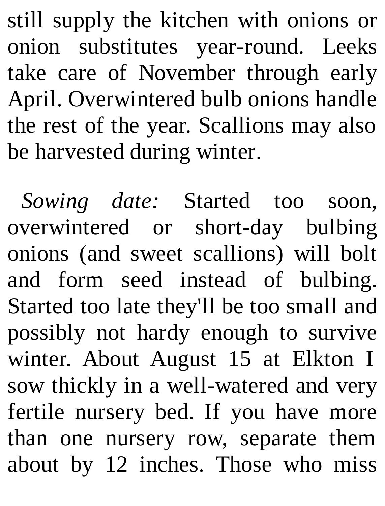still supply the kitchen with onions or onion substitutes year-round. Leeks take care of November through early April. Overwintered bulb onions handle the rest of the year. Scallions may also be harvested during winter.

*Sowing date:* Started too soon, overwintered or short-day bulbing onions (and sweet scallions) will bolt and form seed instead of bulbing. Started too late they'll be too small and possibly not hardy enough to survive winter. About August 15 at Elkton I sow thickly in a well-watered and very fertile nursery bed. If you have more than one nursery row, separate them about by 12 inches. Those who miss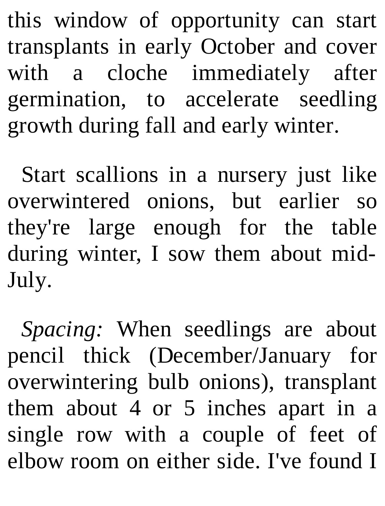this window of opportunity can start transplants in early October and cover with a cloche immediately after germination, to accelerate seedling growth during fall and early winter.

Start scallions in a nursery just like overwintered onions, but earlier so they're large enough for the table during winter, I sow them about mid-July.

*Spacing:* When seedlings are about pencil thick (December/January for overwintering bulb onions), transplant them about 4 or 5 inches apart in a single row with a couple of feet of elbow room on either side. I've found I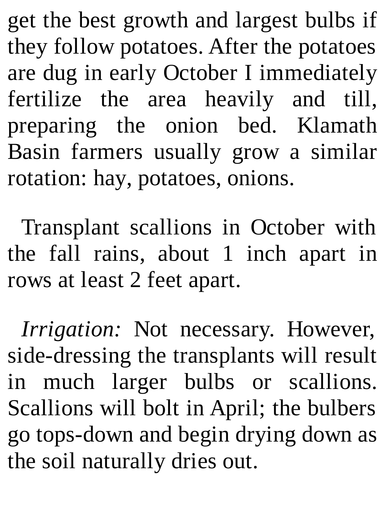get the best growth and largest bulbs if they follow potatoes. After the potatoes are dug in early October I immediately fertilize the area heavily and till, preparing the onion bed. Klamath Basin farmers usually grow a similar rotation: hay, potatoes, onions.

Transplant scallions in October with the fall rains, about 1 inch apart in rows at least 2 feet apart.

*Irrigation:* Not necessary. However, side-dressing the transplants will result in much larger bulbs or scallions. Scallions will bolt in April; the bulbers go tops-down and begin drying down as the soil naturally dries out.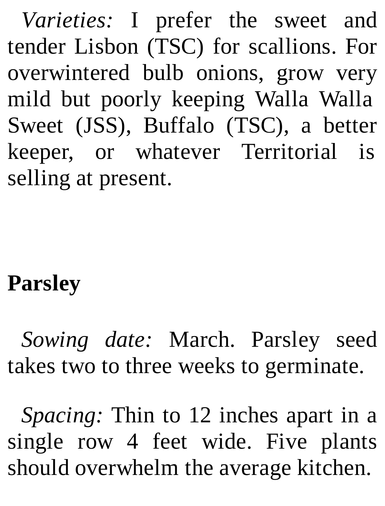*Varieties:* I prefer the sweet and tender Lisbon (TSC) for scallions. For overwintered bulb onions, grow very mild but poorly keeping Walla Walla Sweet (JSS), Buffalo (TSC), a better keeper, or whatever Territorial is selling at present.

# **Parsley**

*Sowing date:* March. Parsley seed takes two to three weeks to germinate.

*Spacing:* Thin to 12 inches apart in a single row 4 feet wide. Five plants should overwhelm the average kitchen.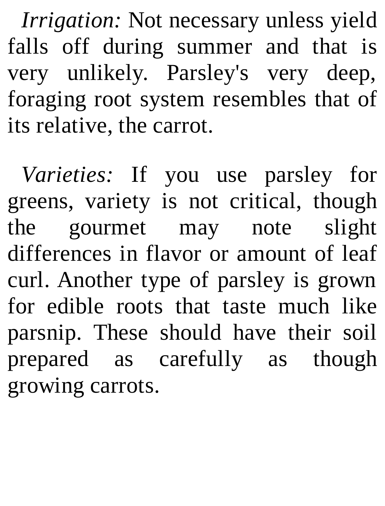*Irrigation:* Not necessary unless yield falls off during summer and that is very unlikely. Parsley's very deep, foraging root system resembles that of its relative, the carrot.

*Varieties:* If you use parsley for greens, variety is not critical, though the gourmet may note slight differences in flavor or amount of leaf curl. Another type of parsley is grown for edible roots that taste much like parsnip. These should have their soil prepared as carefully as though growing carrots.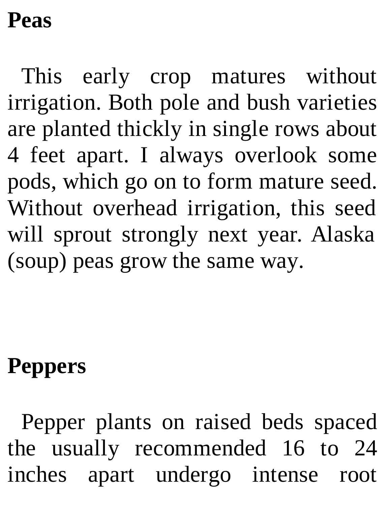#### **Peas**

This early crop matures without irrigation. Both pole and bush varieties are planted thickly in single rows about 4 feet apart. I always overlook some pods, which go on to form mature seed. Without overhead irrigation, this seed will sprout strongly next year. Alaska (soup) peas grow the same way.

# **Peppers**

Pepper plants on raised beds spaced the usually recommended 16 to 24 inches apart undergo intense root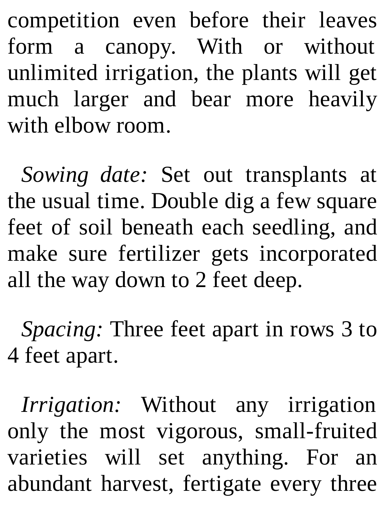competition even before their leaves form a canopy. With or without unlimited irrigation, the plants will get much larger and bear more heavily with elbow room.

*Sowing date:* Set out transplants at the usual time. Double dig a few square feet of soil beneath each seedling, and make sure fertilizer gets incorporated all the way down to 2 feet deep.

*Spacing:* Three feet apart in rows 3 to 4 feet apart.

*Irrigation:* Without any irrigation only the most vigorous, small-fruited varieties will set anything. For an abundant harvest, fertigate every three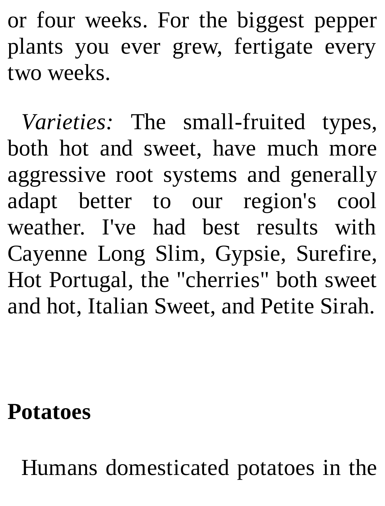or four weeks. For the biggest pepper plants you ever grew, fertigate every two weeks.

*Varieties:* The small-fruited types, both hot and sweet, have much more aggressive root systems and generally adapt better to our region's cool weather. I've had best results with Cayenne Long Slim, Gypsie, Surefire, Hot Portugal, the "cherries" both sweet and hot, Italian Sweet, and Petite Sirah.

**Potatoes**

Humans domesticated potatoes in the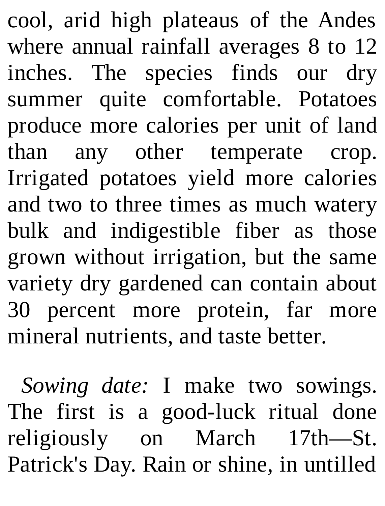cool, arid high plateaus of the Andes where annual rainfall averages 8 to 12 inches. The species finds our dry summer quite comfortable. Potatoes produce more calories per unit of land than any other temperate crop. Irrigated potatoes yield more calories and two to three times as much watery bulk and indigestible fiber as those grown without irrigation, but the same variety dry gardened can contain about 30 percent more protein, far more mineral nutrients, and taste better.

*Sowing date:* I make two sowings. The first is a good-luck ritual done religiously on March 17th—St. Patrick's Day. Rain or shine, in untilled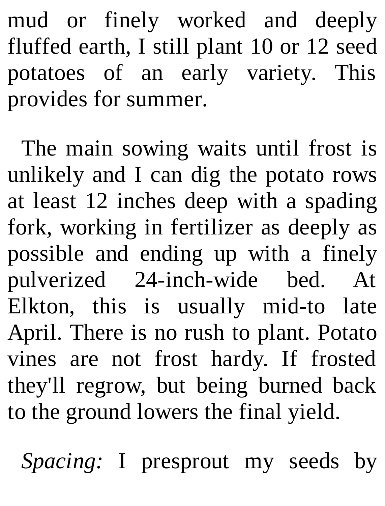mud or finely worked and deeply fluffed earth, I still plant 10 or 12 seed potatoes of an early variety. This provides for summer.

The main sowing waits until frost is unlikely and I can dig the potato rows at least 12 inches deep with a spading fork, working in fertilizer as deeply as possible and ending up with a finely pulverized 24-inch-wide bed. At Elkton, this is usually mid-to late April. There is no rush to plant. Potato vines are not frost hardy. If frosted they'll regrow, but being burned back to the ground lowers the final yield.

*Spacing:* I presprout my seeds by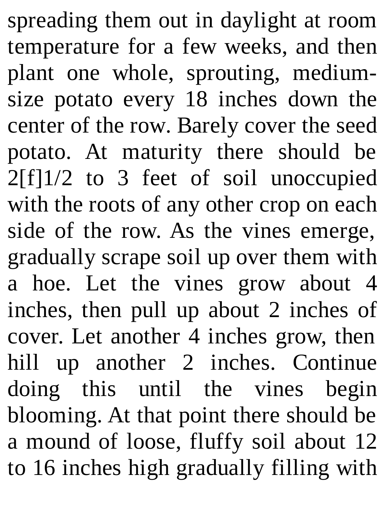spreading them out in daylight at room temperature for a few weeks, and then plant one whole, sprouting, mediumsize potato every 18 inches down the center of the row. Barely cover the seed potato. At maturity there should be 2[f]1/2 to 3 feet of soil unoccupied with the roots of any other crop on each side of the row. As the vines emerge, gradually scrape soil up over them with a hoe. Let the vines grow about 4 inches, then pull up about 2 inches of cover. Let another 4 inches grow, then hill up another 2 inches. Continue doing this until the vines begin blooming. At that point there should be a mound of loose, fluffy soil about 12 to 16 inches high gradually filling with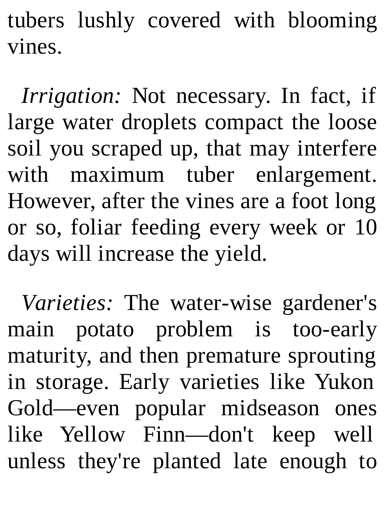tubers lushly covered with blooming vines.

*Irrigation:* Not necessary. In fact, if large water droplets compact the loose soil you scraped up, that may interfere with maximum tuber enlargement. However, after the vines are a foot long or so, foliar feeding every week or 10 days will increase the yield.

*Varieties:* The water-wise gardener's main potato problem is too-early maturity, and then premature sprouting in storage. Early varieties like Yukon Gold—even popular midseason ones like Yellow Finn—don't keep well unless they're planted late enough to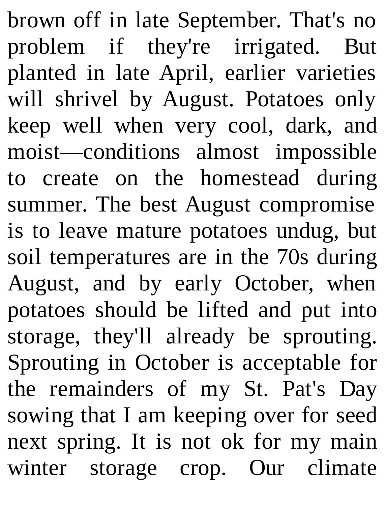brown off in late September. That's no problem if they're irrigated. But planted in late April, earlier varieties will shrivel by August. Potatoes only keep well when very cool, dark, and moist—conditions almost impossible to create on the homestead during summer. The best August compromise is to leave mature potatoes undug, but soil temperatures are in the 70s during August, and by early October, when potatoes should be lifted and put into storage, they'll already be sprouting. Sprouting in October is acceptable for the remainders of my St. Pat's Day sowing that I am keeping over for seed next spring. It is not ok for my main winter storage crop. Our climate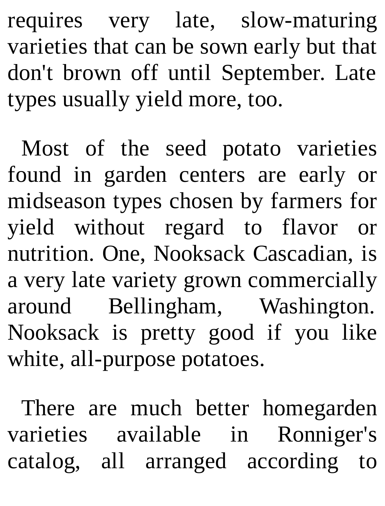requires very late, slow-maturing varieties that can be sown early but that don't brown off until September. Late types usually yield more, too.

Most of the seed potato varieties found in garden centers are early or midseason types chosen by farmers for yield without regard to flavor or nutrition. One, Nooksack Cascadian, is a very late variety grown commercially around Bellingham, Washington. Nooksack is pretty good if you like white, all-purpose potatoes.

There are much better homegarden varieties available in Ronniger's catalog, all arranged according to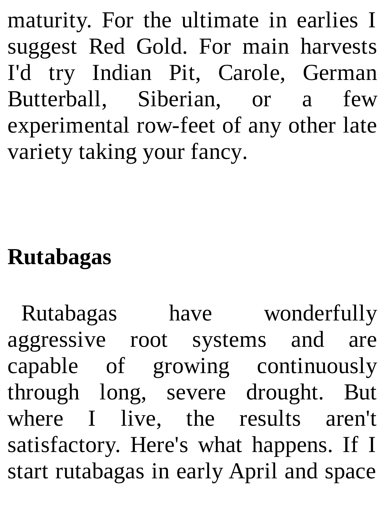maturity. For the ultimate in earlies I suggest Red Gold. For main harvests I'd try Indian Pit, Carole, German Butterball, Siberian, or a few experimental row-feet of any other late variety taking your fancy.

## **Rutabagas**

Rutabagas have wonderfully aggressive root systems and are capable of growing continuously through long, severe drought. But where I live, the results aren't satisfactory. Here's what happens. If I start rutabagas in early April and space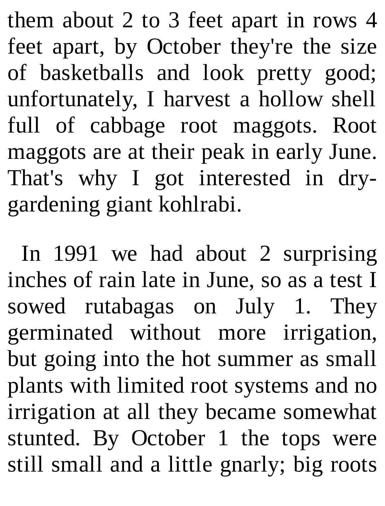them about 2 to 3 feet apart in rows 4 feet apart, by October they're the size of basketballs and look pretty good; unfortunately, I harvest a hollow shell full of cabbage root maggots. Root maggots are at their peak in early June. That's why I got interested in drygardening giant kohlrabi.

In 1991 we had about 2 surprising inches of rain late in June, so as a test I sowed rutabagas on July 1. They germinated without more irrigation, but going into the hot summer as small plants with limited root systems and no irrigation at all they became somewhat stunted. By October 1 the tops were still small and a little gnarly; big roots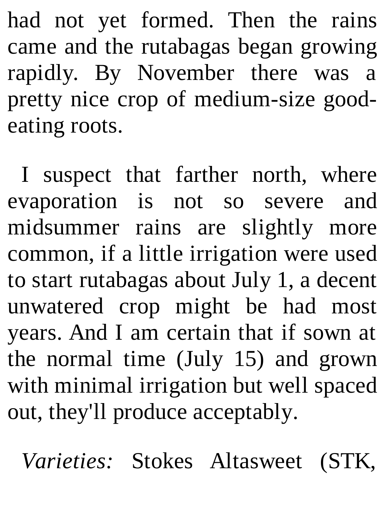had not yet formed. Then the rains came and the rutabagas began growing rapidly. By November there was a pretty nice crop of medium-size goodeating roots.

I suspect that farther north, where evaporation is not so severe and midsummer rains are slightly more common, if a little irrigation were used to start rutabagas about July 1, a decent unwatered crop might be had most years. And I am certain that if sown at the normal time (July 15) and grown with minimal irrigation but well spaced out, they'll produce acceptably.

*Varieties:* Stokes Altasweet (STK,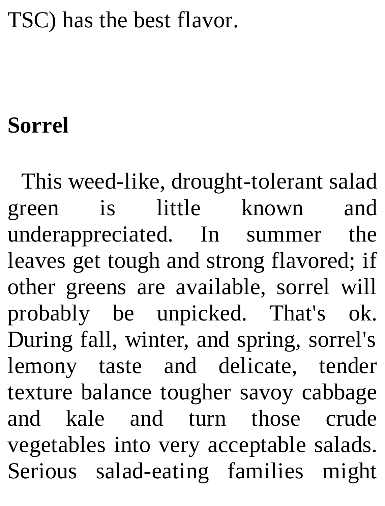## TSC) has the best flavor.

## **Sorrel**

This weed-like, drought-tolerant salad green is little known and underappreciated. In summer the leaves get tough and strong flavored; if other greens are available, sorrel will probably be unpicked. That's ok. During fall, winter, and spring, sorrel's lemony taste and delicate, tender texture balance tougher savoy cabbage and kale and turn those crude vegetables into very acceptable salads. Serious salad-eating families might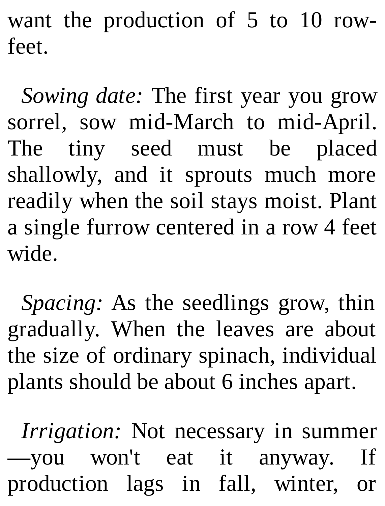want the production of 5 to 10 rowfeet.

*Sowing date:* The first year you grow sorrel, sow mid-March to mid-April. The tiny seed must be placed shallowly, and it sprouts much more readily when the soil stays moist. Plant a single furrow centered in a row 4 feet wide.

*Spacing:* As the seedlings grow, thin gradually. When the leaves are about the size of ordinary spinach, individual plants should be about 6 inches apart.

*Irrigation:* Not necessary in summer —you won't eat it anyway. If production lags in fall, winter, or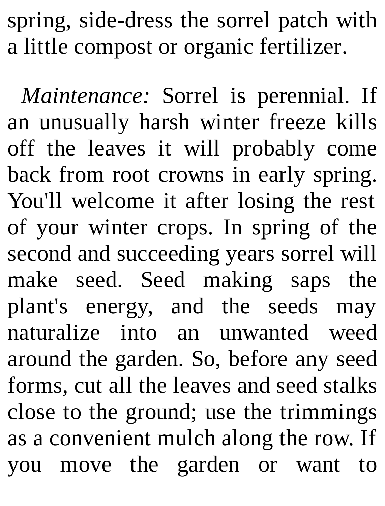spring, side-dress the sorrel patch with a little compost or organic fertilizer.

*Maintenance:* Sorrel is perennial. If an unusually harsh winter freeze kills off the leaves it will probably come back from root crowns in early spring. You'll welcome it after losing the rest of your winter crops. In spring of the second and succeeding years sorrel will make seed. Seed making saps the plant's energy, and the seeds may naturalize into an unwanted weed around the garden. So, before any seed forms, cut all the leaves and seed stalks close to the ground; use the trimmings as a convenient mulch along the row. If you move the garden or want to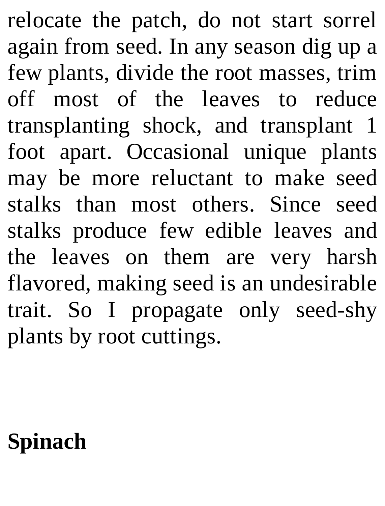relocate the patch, do not start sorrel again from seed. In any season dig up a few plants, divide the root masses, trim off most of the leaves to reduce transplanting shock, and transplant 1 foot apart. Occasional unique plants may be more reluctant to make seed stalks than most others. Since seed stalks produce few edible leaves and the leaves on them are very harsh flavored, making seed is an undesirable trait. So I propagate only seed-shy plants by root cuttings.

## **Spinach**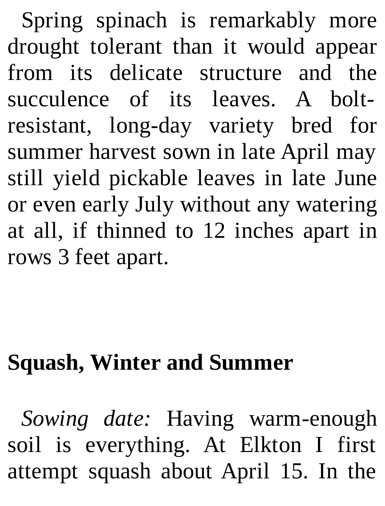Spring spinach is remarkably more drought tolerant than it would appear from its delicate structure and the succulence of its leaves. A boltresistant, long-day variety bred for summer harvest sown in late April may still yield pickable leaves in late June or even early July without any watering at all, if thinned to 12 inches apart in rows 3 feet apart.

## **Squash, Winter and Summer**

*Sowing date:* Having warm-enough soil is everything. At Elkton I first attempt squash about April 15. In the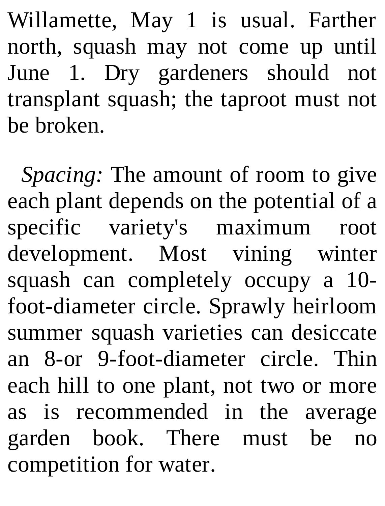Willamette, May 1 is usual. Farther north, squash may not come up until June 1. Dry gardeners should not transplant squash; the taproot must not be broken.

*Spacing:* The amount of room to give each plant depends on the potential of a specific variety's maximum root development. Most vining winter squash can completely occupy a 10 foot-diameter circle. Sprawly heirloom summer squash varieties can desiccate an 8-or 9-foot-diameter circle. Thin each hill to one plant, not two or more as is recommended in the average garden book. There must be no competition for water.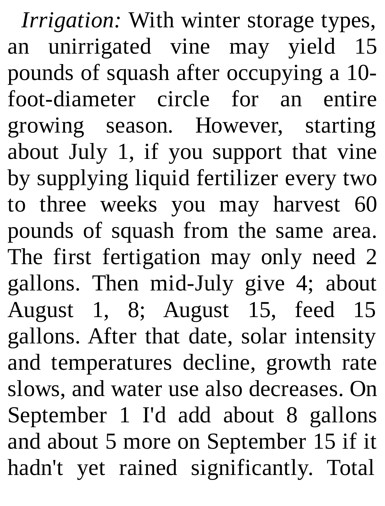*Irrigation:* With winter storage types, an unirrigated vine may yield 15 pounds of squash after occupying a 10 foot-diameter circle for an entire growing season. However, starting about July 1, if you support that vine by supplying liquid fertilizer every two to three weeks you may harvest 60 pounds of squash from the same area. The first fertigation may only need 2 gallons. Then mid-July give 4; about August 1, 8; August 15, feed 15 gallons. After that date, solar intensity and temperatures decline, growth rate slows, and water use also decreases. On September 1 I'd add about 8 gallons and about 5 more on September 15 if it hadn't yet rained significantly. Total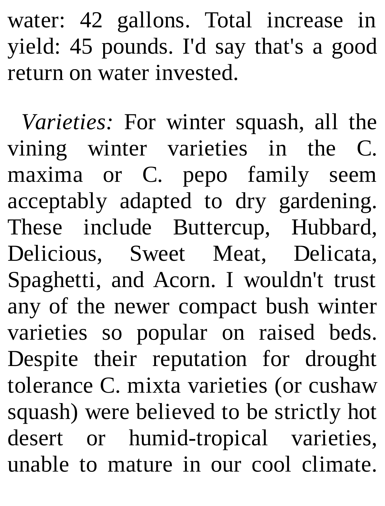water: 42 gallons. Total increase in yield: 45 pounds. I'd say that's a good return on water invested.

*Varieties:* For winter squash, all the vining winter varieties in the C. maxima or C. pepo family seem acceptably adapted to dry gardening. These include Buttercup, Hubbard, Delicious, Sweet Meat, Delicata, Spaghetti, and Acorn. I wouldn't trust any of the newer compact bush winter varieties so popular on raised beds. Despite their reputation for drought tolerance C. mixta varieties (or cushaw squash) were believed to be strictly hot desert or humid-tropical varieties, unable to mature in our cool climate.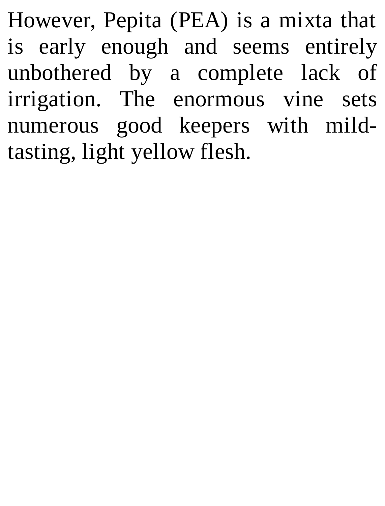However, Pepita (PEA) is a mixta that is early enough and seems entirely unbothered by a complete lack of irrigation. The enormous vine sets numerous good keepers with mildtasting, light yellow flesh.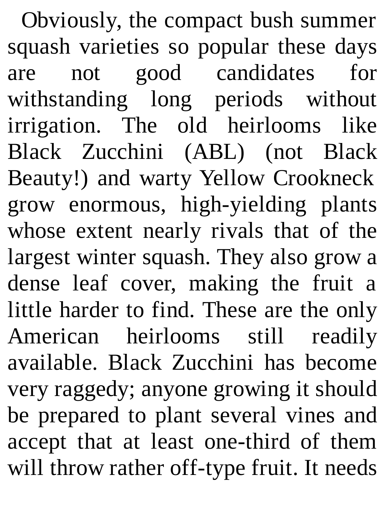Obviously, the compact bush summer squash varieties so popular these days are not good candidates for withstanding long periods without irrigation. The old heirlooms like Black Zucchini (ABL) (not Black Beauty!) and warty Yellow Crookneck grow enormous, high-yielding plants whose extent nearly rivals that of the largest winter squash. They also grow a dense leaf cover, making the fruit a little harder to find. These are the only American heirlooms still readily available. Black Zucchini has become very raggedy; anyone growing it should be prepared to plant several vines and accept that at least one-third of them will throw rather off-type fruit. It needs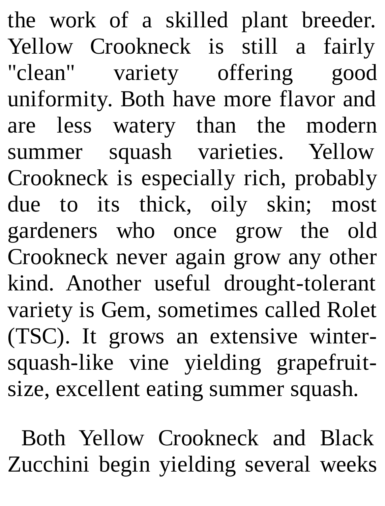the work of a skilled plant breeder. Yellow Crookneck is still a fairly "clean" variety offering good uniformity. Both have more flavor and are less watery than the modern summer squash varieties. Yellow Crookneck is especially rich, probably due to its thick, oily skin; most gardeners who once grow the old Crookneck never again grow any other kind. Another useful drought-tolerant variety is Gem, sometimes called Rolet (TSC). It grows an extensive wintersquash-like vine yielding grapefruitsize, excellent eating summer squash.

Both Yellow Crookneck and Black Zucchini begin yielding several weeks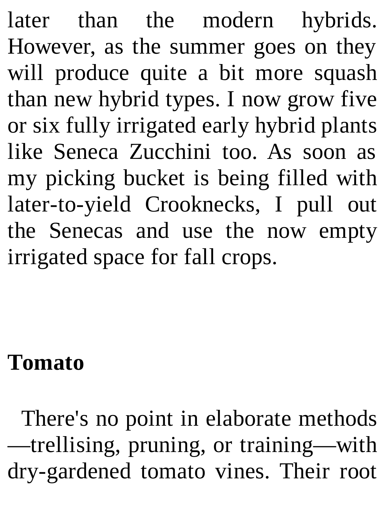later than the modern hybrids. However, as the summer goes on they will produce quite a bit more squash than new hybrid types. I now grow five or six fully irrigated early hybrid plants like Seneca Zucchini too. As soon as my picking bucket is being filled with later-to-yield Crooknecks, I pull out the Senecas and use the now empty irrigated space for fall crops.

#### **Tomato**

There's no point in elaborate methods —trellising, pruning, or training—with dry-gardened tomato vines. Their root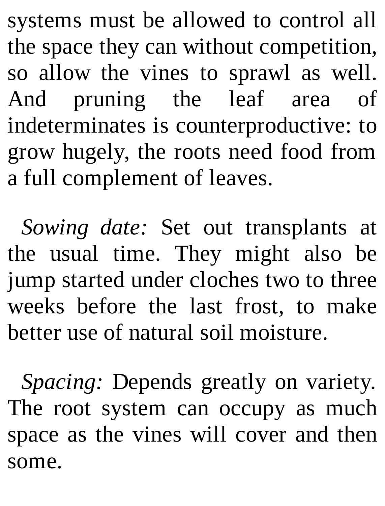systems must be allowed to control all the space they can without competition, so allow the vines to sprawl as well. And pruning the leaf area of indeterminates is counterproductive: to grow hugely, the roots need food from a full complement of leaves.

*Sowing date:* Set out transplants at the usual time. They might also be jump started under cloches two to three weeks before the last frost, to make better use of natural soil moisture.

*Spacing:* Depends greatly on variety. The root system can occupy as much space as the vines will cover and then some.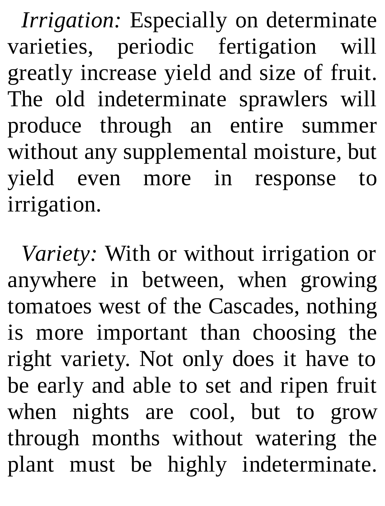*Irrigation:* Especially on determinate varieties, periodic fertigation will greatly increase yield and size of fruit. The old indeterminate sprawlers will produce through an entire summer without any supplemental moisture, but yield even more in response to irrigation.

*Variety:* With or without irrigation or anywhere in between, when growing tomatoes west of the Cascades, nothing is more important than choosing the right variety. Not only does it have to be early and able to set and ripen fruit when nights are cool, but to grow through months without watering the plant must be highly indeterminate.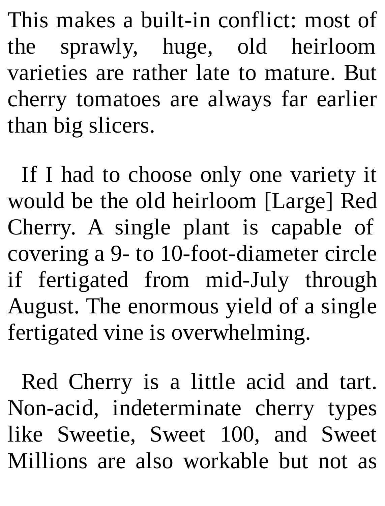This makes a built-in conflict: most of the sprawly, huge, old heirloom varieties are rather late to mature. But cherry tomatoes are always far earlier than big slicers.

If I had to choose only one variety it would be the old heirloom [Large] Red Cherry. A single plant is capable of covering a 9- to 10-foot-diameter circle if fertigated from mid-July through August. The enormous yield of a single fertigated vine is overwhelming.

Red Cherry is a little acid and tart. Non-acid, indeterminate cherry types like Sweetie, Sweet 100, and Sweet Millions are also workable but not as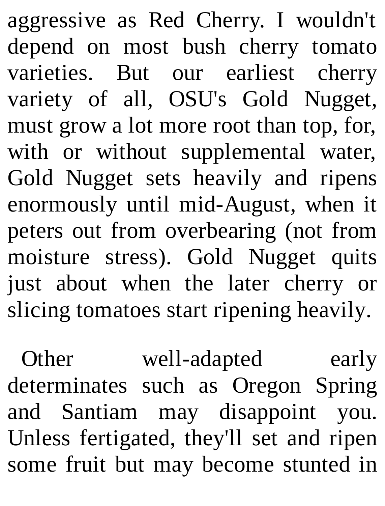aggressive as Red Cherry. I wouldn't depend on most bush cherry tomato varieties. But our earliest cherry variety of all, OSU's Gold Nugget, must grow a lot more root than top, for, with or without supplemental water, Gold Nugget sets heavily and ripens enormously until mid-August, when it peters out from overbearing (not from moisture stress). Gold Nugget quits just about when the later cherry or slicing tomatoes start ripening heavily.

Other well-adapted early determinates such as Oregon Spring and Santiam may disappoint you. Unless fertigated, they'll set and ripen some fruit but may become stunted in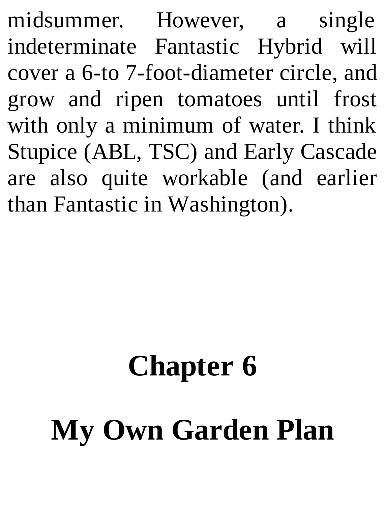midsummer. However, a single indeterminate Fantastic Hybrid will cover a 6-to 7-foot-diameter circle, and grow and ripen tomatoes until frost with only a minimum of water. I think Stupice (ABL, TSC) and Early Cascade are also quite workable (and earlier than Fantastic in Washington).

# **Chapter 6 My Own Garden Plan**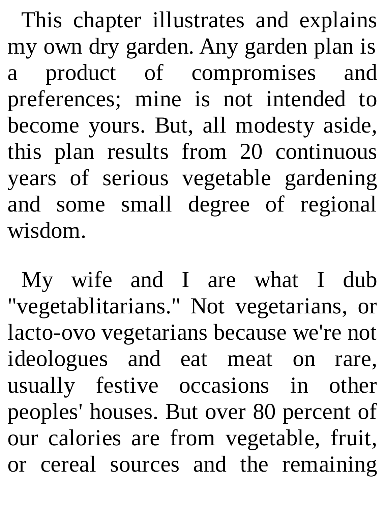This chapter illustrates and explains my own dry garden. Any garden plan is a product of compromises and preferences; mine is not intended to become yours. But, all modesty aside, this plan results from 20 continuous years of serious vegetable gardening and some small degree of regional wisdom.

My wife and I are what I dub "vegetablitarians." Not vegetarians, or lacto-ovo vegetarians because we're not ideologues and eat meat on rare, usually festive occasions in other peoples' houses. But over 80 percent of our calories are from vegetable, fruit, or cereal sources and the remaining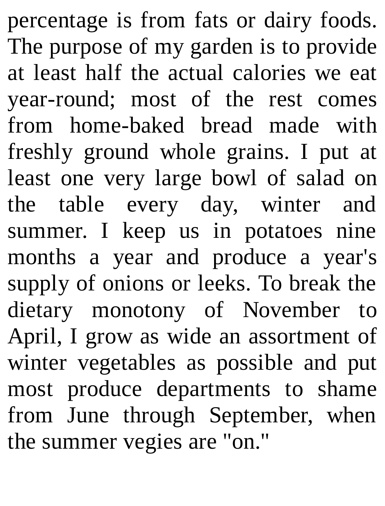percentage is from fats or dairy foods. The purpose of my garden is to provide at least half the actual calories we eat year-round; most of the rest comes from home-baked bread made with freshly ground whole grains. I put at least one very large bowl of salad on the table every day, winter and summer. I keep us in potatoes nine months a year and produce a year's supply of onions or leeks. To break the dietary monotony of November to April, I grow as wide an assortment of winter vegetables as possible and put most produce departments to shame from June through September, when the summer vegies are "on."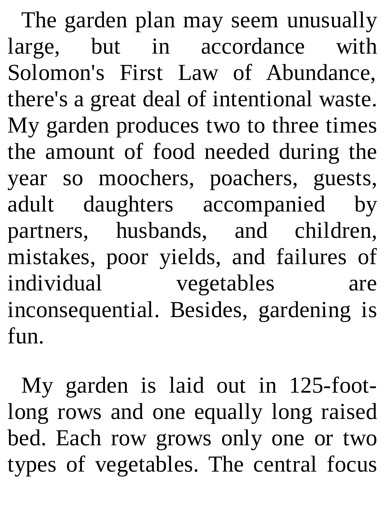The garden plan may seem unusually large, but in accordance with Solomon's First Law of Abundance, there's a great deal of intentional waste. My garden produces two to three times the amount of food needed during the year so moochers, poachers, guests, adult daughters accompanied by partners, husbands, and children, mistakes, poor yields, and failures of individual vegetables are inconsequential. Besides, gardening is fun.

My garden is laid out in 125-footlong rows and one equally long raised bed. Each row grows only one or two types of vegetables. The central focus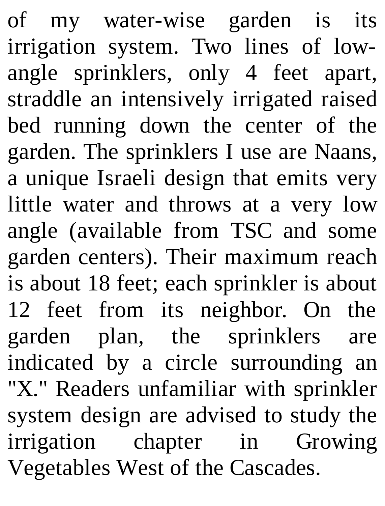of my water-wise garden is its irrigation system. Two lines of lowangle sprinklers, only 4 feet apart, straddle an intensively irrigated raised bed running down the center of the garden. The sprinklers I use are Naans, a unique Israeli design that emits very little water and throws at a very low angle (available from TSC and some garden centers). Their maximum reach is about 18 feet; each sprinkler is about 12 feet from its neighbor. On the garden plan, the sprinklers are indicated by a circle surrounding an "X." Readers unfamiliar with sprinkler system design are advised to study the irrigation chapter in Growing Vegetables West of the Cascades.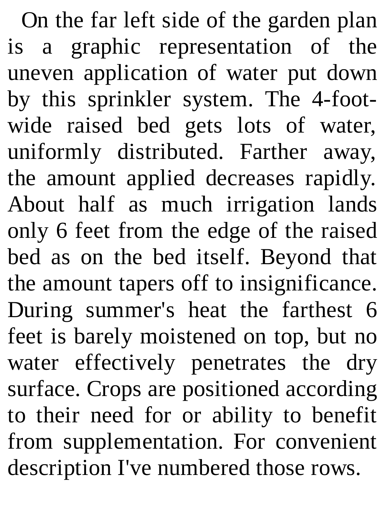On the far left side of the garden plan is a graphic representation of the uneven application of water put down by this sprinkler system. The 4-footwide raised bed gets lots of water, uniformly distributed. Farther away, the amount applied decreases rapidly. About half as much irrigation lands only 6 feet from the edge of the raised bed as on the bed itself. Beyond that the amount tapers off to insignificance. During summer's heat the farthest 6 feet is barely moistened on top, but no water effectively penetrates the dry surface. Crops are positioned according to their need for or ability to benefit from supplementation. For convenient description I've numbered those rows.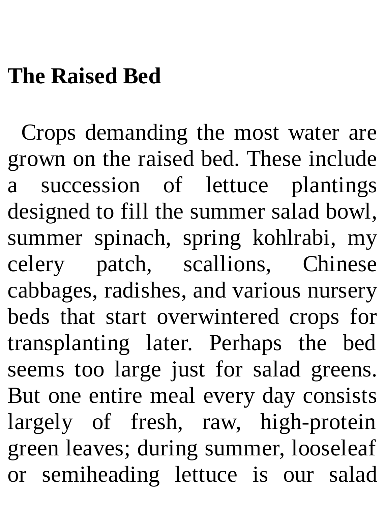## **The Raised Bed**

Crops demanding the most water are grown on the raised bed. These include a succession of lettuce plantings designed to fill the summer salad bowl, summer spinach, spring kohlrabi, my celery patch, scallions, Chinese cabbages, radishes, and various nursery beds that start overwintered crops for transplanting later. Perhaps the bed seems too large just for salad greens. But one entire meal every day consists largely of fresh, raw, high-protein green leaves; during summer, looseleaf or semiheading lettuce is our salad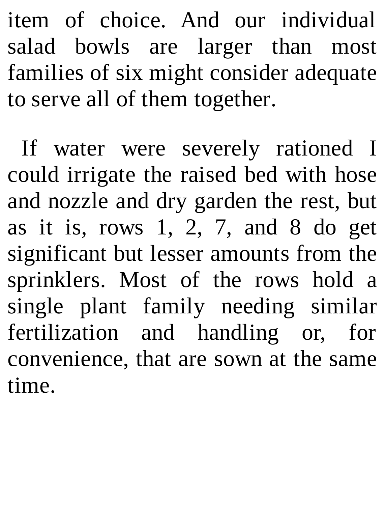item of choice. And our individual salad bowls are larger than most families of six might consider adequate to serve all of them together.

If water were severely rationed I could irrigate the raised bed with hose and nozzle and dry garden the rest, but as it is, rows  $1, 2, 7$ , and  $8$  do get significant but lesser amounts from the sprinklers. Most of the rows hold a single plant family needing similar fertilization and handling or, for convenience, that are sown at the same time.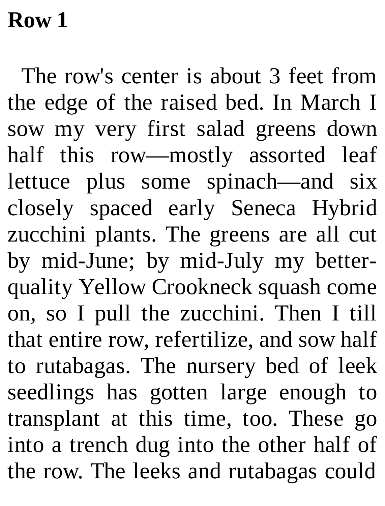#### **Row 1**

The row's center is about 3 feet from the edge of the raised bed. In March I sow my very first salad greens down half this row—mostly assorted leaf lettuce plus some spinach—and six closely spaced early Seneca Hybrid zucchini plants. The greens are all cut by mid-June; by mid-July my betterquality Yellow Crookneck squash come on, so I pull the zucchini. Then I till that entire row, refertilize, and sow half to rutabagas. The nursery bed of leek seedlings has gotten large enough to transplant at this time, too. These go into a trench dug into the other half of the row. The leeks and rutabagas could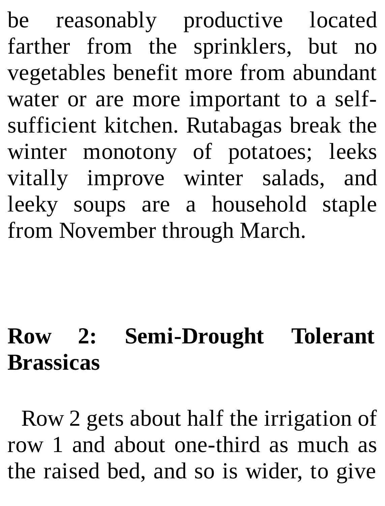be reasonably productive located farther from the sprinklers, but no vegetables benefit more from abundant water or are more important to a selfsufficient kitchen. Rutabagas break the winter monotony of potatoes; leeks vitally improve winter salads, and leeky soups are a household staple from November through March.

## **Row 2: Semi-Drought Tolerant Brassicas**

Row 2 gets about half the irrigation of row 1 and about one-third as much as the raised bed, and so is wider, to give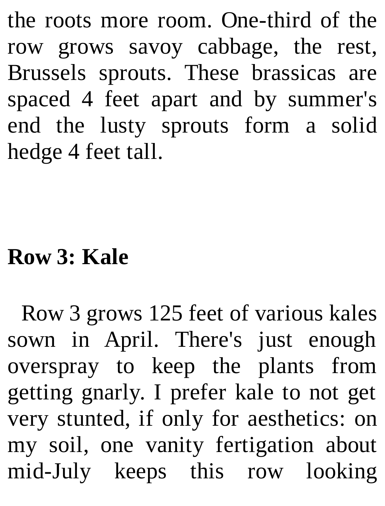the roots more room. One-third of the row grows savoy cabbage, the rest, Brussels sprouts. These brassicas are spaced 4 feet apart and by summer's end the lusty sprouts form a solid hedge 4 feet tall.

#### **Row 3: Kale**

Row 3 grows 125 feet of various kales sown in April. There's just enough overspray to keep the plants from getting gnarly. I prefer kale to not get very stunted, if only for aesthetics: on my soil, one vanity fertigation about mid-July keeps this row looking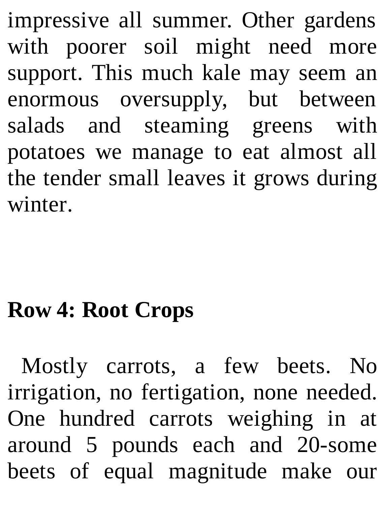impressive all summer. Other gardens with poorer soil might need more support. This much kale may seem an enormous oversupply, but between salads and steaming greens with potatoes we manage to eat almost all the tender small leaves it grows during winter.

#### **Row 4: Root Crops**

Mostly carrots, a few beets. No irrigation, no fertigation, none needed. One hundred carrots weighing in at around 5 pounds each and 20-some beets of equal magnitude make our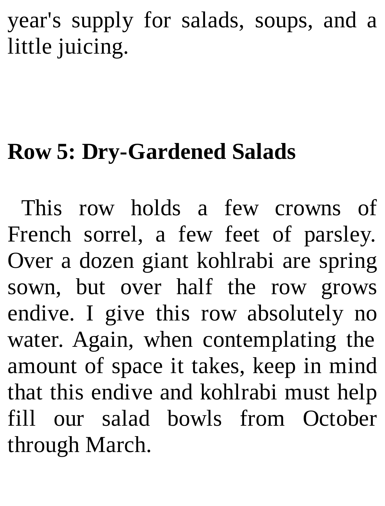year's supply for salads, soups, and a little juicing.

### **Row 5: Dry-Gardened Salads**

This row holds a few crowns of French sorrel, a few feet of parsley. Over a dozen giant kohlrabi are spring sown, but over half the row grows endive. I give this row absolutely no water. Again, when contemplating the amount of space it takes, keep in mind that this endive and kohlrabi must help fill our salad bowls from October through March.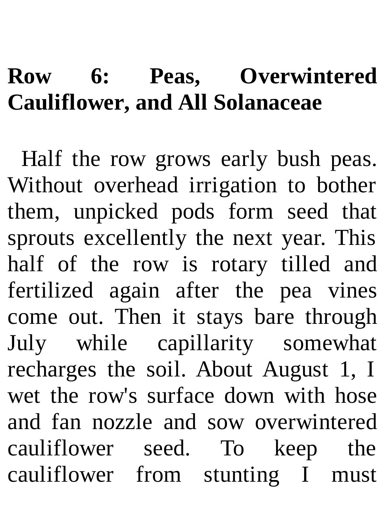#### **Row 6: Peas, Overwintered Cauliflower, and All Solanaceae**

Half the row grows early bush peas. Without overhead irrigation to bother them, unpicked pods form seed that sprouts excellently the next year. This half of the row is rotary tilled and fertilized again after the pea vines come out. Then it stays bare through July while capillarity somewhat recharges the soil. About August 1, I wet the row's surface down with hose and fan nozzle and sow overwintered cauliflower seed. To keep the cauliflower from stunting I must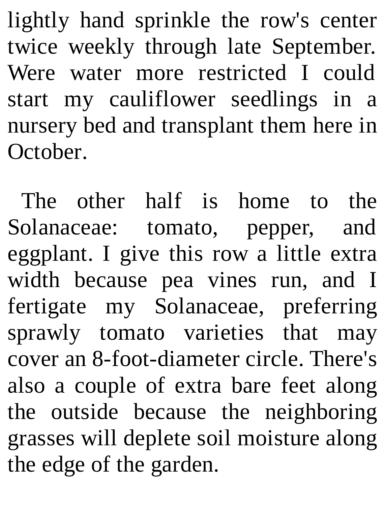lightly hand sprinkle the row's center twice weekly through late September. Were water more restricted I could start my cauliflower seedlings in a nursery bed and transplant them here in October.

The other half is home to the Solanaceae: tomato, pepper, and eggplant. I give this row a little extra width because pea vines run, and I fertigate my Solanaceae, preferring sprawly tomato varieties that may cover an 8-foot-diameter circle. There's also a couple of extra bare feet along the outside because the neighboring grasses will deplete soil moisture along the edge of the garden.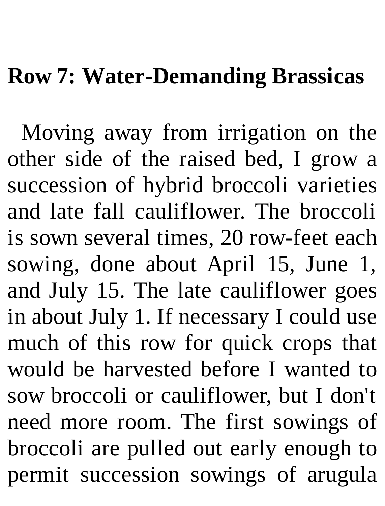#### **Row 7: Water-Demanding Brassicas**

Moving away from irrigation on the other side of the raised bed, I grow a succession of hybrid broccoli varieties and late fall cauliflower. The broccoli is sown several times, 20 row-feet each sowing, done about April 15, June 1, and July 15. The late cauliflower goes in about July 1. If necessary I could use much of this row for quick crops that would be harvested before I wanted to sow broccoli or cauliflower, but I don't need more room. The first sowings of broccoli are pulled out early enough to permit succession sowings of arugula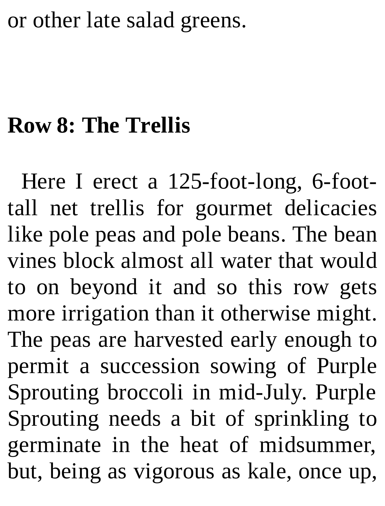#### or other late salad greens.

#### **Row 8: The Trellis**

Here I erect a 125-foot-long, 6-foottall net trellis for gourmet delicacies like pole peas and pole beans. The bean vines block almost all water that would to on beyond it and so this row gets more irrigation than it otherwise might. The peas are harvested early enough to permit a succession sowing of Purple Sprouting broccoli in mid-July. Purple Sprouting needs a bit of sprinkling to germinate in the heat of midsummer, but, being as vigorous as kale, once up,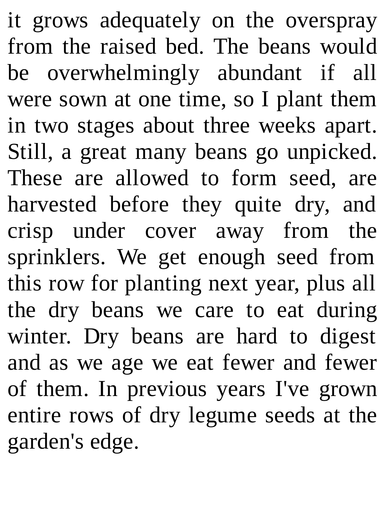it grows adequately on the overspray from the raised bed. The beans would be overwhelmingly abundant if all were sown at one time, so I plant them in two stages about three weeks apart. Still, a great many beans go unpicked. These are allowed to form seed, are harvested before they quite dry, and crisp under cover away from the sprinklers. We get enough seed from this row for planting next year, plus all the dry beans we care to eat during winter. Dry beans are hard to digest and as we age we eat fewer and fewer of them. In previous years I've grown entire rows of dry legume seeds at the garden's edge.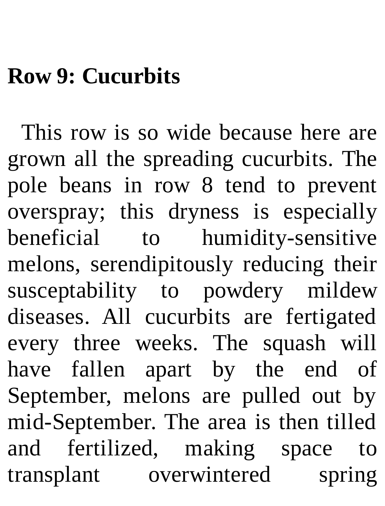#### **Row 9: Cucurbits**

This row is so wide because here are grown all the spreading cucurbits. The pole beans in row 8 tend to prevent overspray; this dryness is especially beneficial to humidity-sensitive melons, serendipitously reducing their susceptability to powdery mildew diseases. All cucurbits are fertigated every three weeks. The squash will have fallen apart by the end of September, melons are pulled out by mid-September. The area is then tilled and fertilized, making space to transplant overwintered spring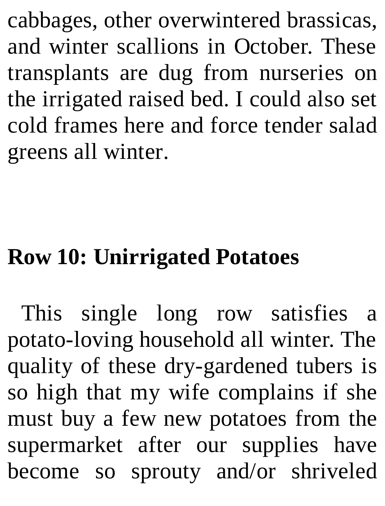cabbages, other overwintered brassicas, and winter scallions in October. These transplants are dug from nurseries on the irrigated raised bed. I could also set cold frames here and force tender salad greens all winter.

## **Row 10: Unirrigated Potatoes**

This single long row satisfies a potato-loving household all winter. The quality of these dry-gardened tubers is so high that my wife complains if she must buy a few new potatoes from the supermarket after our supplies have become so sprouty and/or shriveled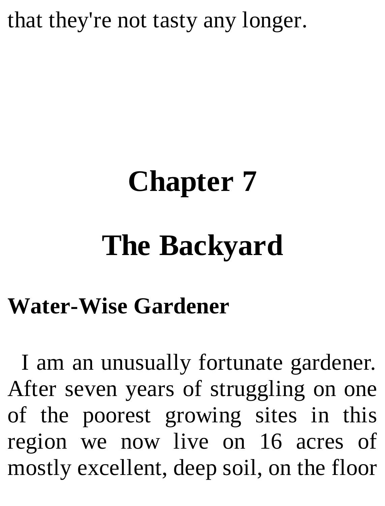that they're not tasty any longer.

# **Chapter 7**

# **The Backyard**

#### **Water-Wise Gardener**

I am an unusually fortunate gardener. After seven years of struggling on one of the poorest growing sites in this region we now live on 16 acres of mostly excellent, deep soil, on the floor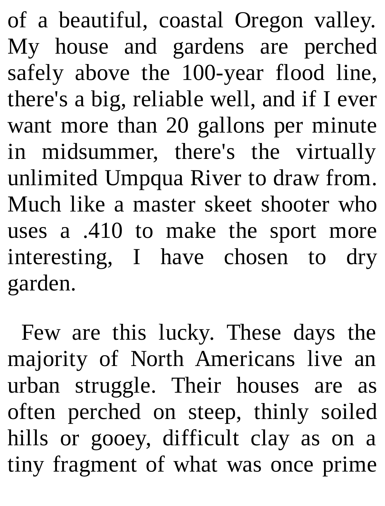of a beautiful, coastal Oregon valley. My house and gardens are perched safely above the 100-year flood line, there's a big, reliable well, and if I ever want more than 20 gallons per minute in midsummer, there's the virtually unlimited Umpqua River to draw from. Much like a master skeet shooter who uses a .410 to make the sport more interesting, I have chosen to dry garden.

Few are this lucky. These days the majority of North Americans live an urban struggle. Their houses are as often perched on steep, thinly soiled hills or gooey, difficult clay as on a tiny fragment of what was once prime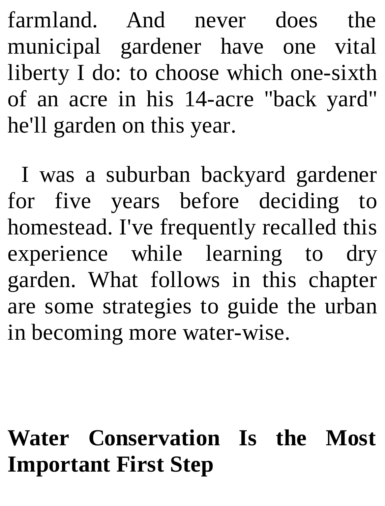farmland. And never does the municipal gardener have one vital liberty I do: to choose which one-sixth of an acre in his 14-acre "back yard" he'll garden on this year.

I was a suburban backyard gardener for five years before deciding to homestead. I've frequently recalled this experience while learning to dry garden. What follows in this chapter are some strategies to guide the urban in becoming more water-wise.

### **Water Conservation Is the Most Important First Step**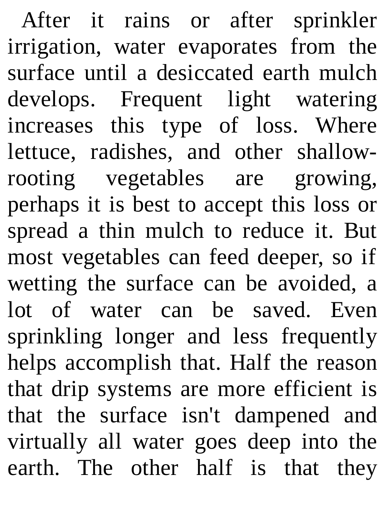After it rains or after sprinkler irrigation, water evaporates from the surface until a desiccated earth mulch develops. Frequent light watering increases this type of loss. Where lettuce, radishes, and other shallowrooting vegetables are growing, perhaps it is best to accept this loss or spread a thin mulch to reduce it. But most vegetables can feed deeper, so if wetting the surface can be avoided, a lot of water can be saved. Even sprinkling longer and less frequently helps accomplish that. Half the reason that drip systems are more efficient is that the surface isn't dampened and virtually all water goes deep into the earth. The other half is that they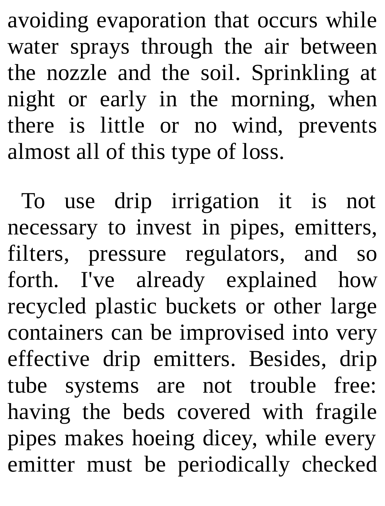avoiding evaporation that occurs while water sprays through the air between the nozzle and the soil. Sprinkling at night or early in the morning, when there is little or no wind, prevents almost all of this type of loss.

To use drip irrigation it is not necessary to invest in pipes, emitters, filters, pressure regulators, and so forth. I've already explained how recycled plastic buckets or other large containers can be improvised into very effective drip emitters. Besides, drip tube systems are not trouble free: having the beds covered with fragile pipes makes hoeing dicey, while every emitter must be periodically checked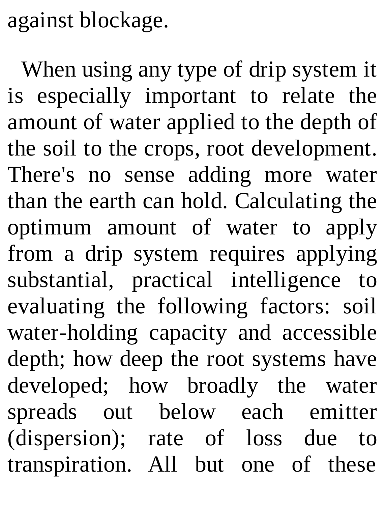against blockage.

When using any type of drip system it is especially important to relate the amount of water applied to the depth of the soil to the crops, root development. There's no sense adding more water than the earth can hold. Calculating the optimum amount of water to apply from a drip system requires applying substantial, practical intelligence to evaluating the following factors: soil water-holding capacity and accessible depth; how deep the root systems have developed; how broadly the water spreads out below each emitter (dispersion); rate of loss due to transpiration. All but one of these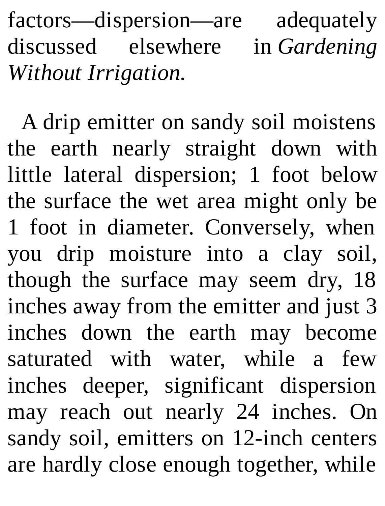factors—dispersion—are adequately discussed elsewhere in *Gardening Without Irrigation.*

A drip emitter on sandy soil moistens the earth nearly straight down with little lateral dispersion; 1 foot below the surface the wet area might only be 1 foot in diameter. Conversely, when you drip moisture into a clay soil, though the surface may seem dry, 18 inches away from the emitter and just 3 inches down the earth may become saturated with water, while a few inches deeper, significant dispersion may reach out nearly 24 inches. On sandy soil, emitters on 12-inch centers are hardly close enough together, while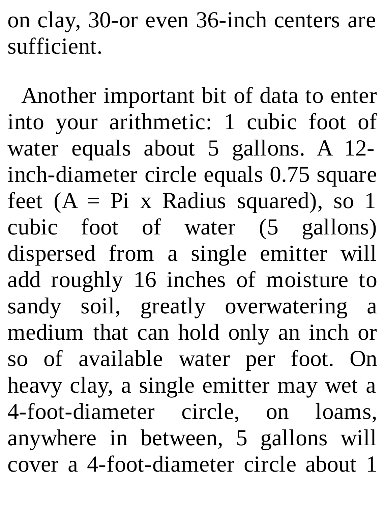on clay, 30-or even 36-inch centers are sufficient.

Another important bit of data to enter into your arithmetic: 1 cubic foot of water equals about 5 gallons. A 12 inch-diameter circle equals 0.75 square feet  $(A = Pi \times Radius \; squared)$ , so 1 cubic foot of water (5 gallons) dispersed from a single emitter will add roughly 16 inches of moisture to sandy soil, greatly overwatering a medium that can hold only an inch or so of available water per foot. On heavy clay, a single emitter may wet a 4-foot-diameter circle, on loams, anywhere in between, 5 gallons will cover a 4-foot-diameter circle about 1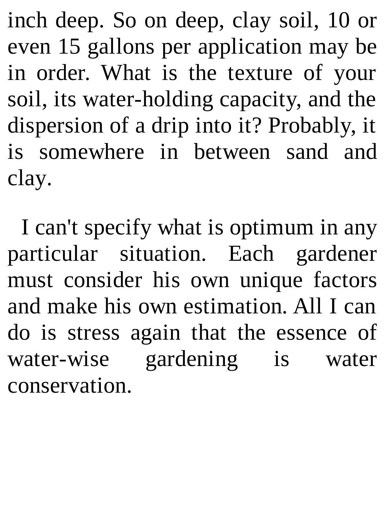inch deep. So on deep, clay soil, 10 or even 15 gallons per application may be in order. What is the texture of your soil, its water-holding capacity, and the dispersion of a drip into it? Probably, it is somewhere in between sand and clay.

I can't specify what is optimum in any particular situation. Each gardener must consider his own unique factors and make his own estimation. All I can do is stress again that the essence of water-wise gardening is water conservation.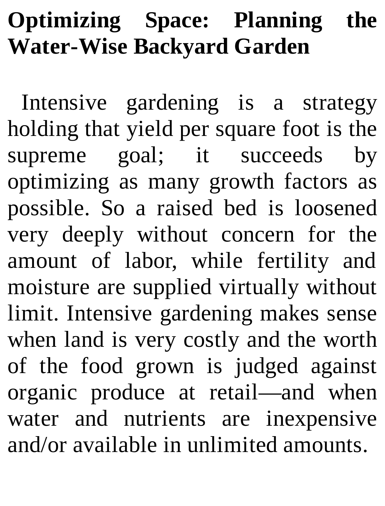## **Optimizing Space: Planning the Water-Wise Backyard Garden**

Intensive gardening is a strategy holding that yield per square foot is the supreme goal; it succeeds by optimizing as many growth factors as possible. So a raised bed is loosened very deeply without concern for the amount of labor, while fertility and moisture are supplied virtually without limit. Intensive gardening makes sense when land is very costly and the worth of the food grown is judged against organic produce at retail—and when water and nutrients are inexpensive and/or available in unlimited amounts.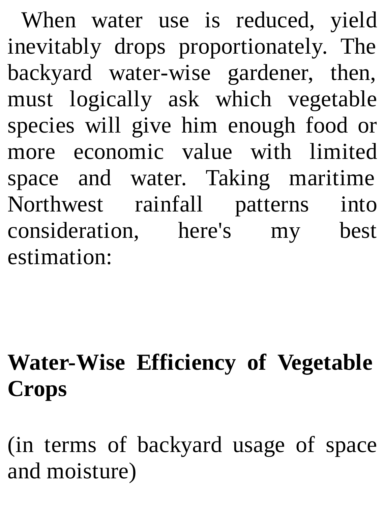When water use is reduced, yield inevitably drops proportionately. The backyard water-wise gardener, then, must logically ask which vegetable species will give him enough food or more economic value with limited space and water. Taking maritime Northwest rainfall patterns into consideration, here's my best estimation:

## **Water-Wise Efficiency of Vegetable Crops**

(in terms of backyard usage of space and moisture)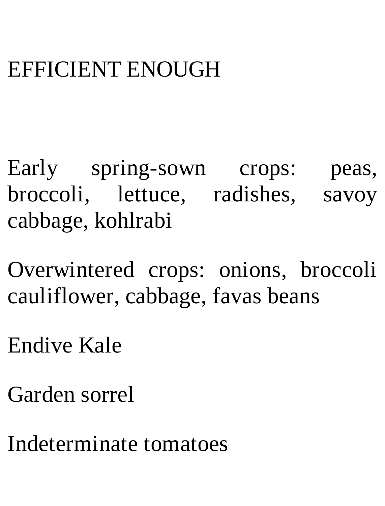#### EFFICIENT ENOUGH

Early spring-sown crops: peas, broccoli, lettuce, radishes, savoy cabbage, kohlrabi

Overwintered crops: onions, broccoli cauliflower, cabbage, favas beans

Endive Kale

Garden sorrel

Indeterminate tomatoes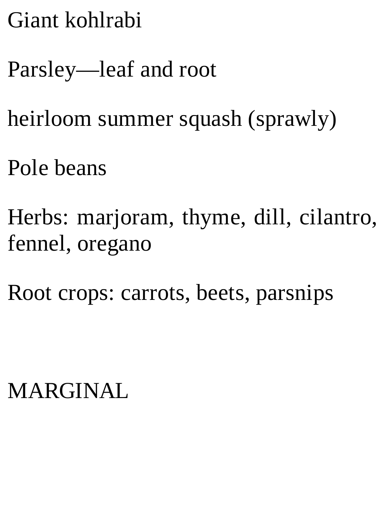Giant kohlrabi

Parsley—leaf and root

heirloom summer squash (sprawly)

Pole beans

Herbs: marjoram, thyme, dill, cilantro, fennel, oregano

Root crops: carrots, beets, parsnips

MARGINAL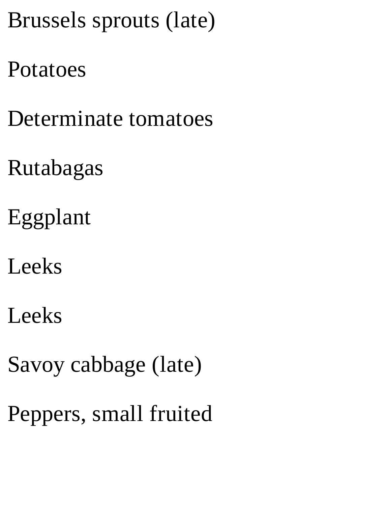## Brussels sprouts (late)

#### Potatoes

Determinate tomatoes

- Rutabagas
- Eggplant
- Leeks
- Leeks
- Savoy cabbage (late)
- Peppers, small fruited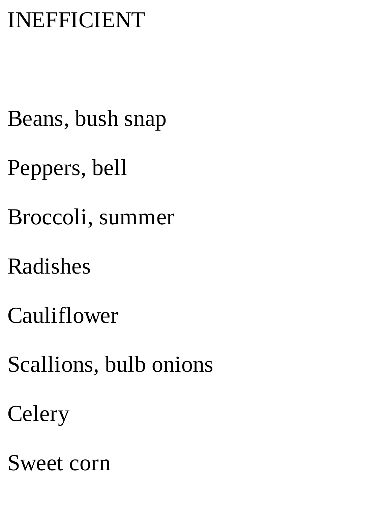## INEFFICIENT

- Beans, bush snap
- Peppers, bell
- Broccoli, summer
- Radishes
- Cauliflower
- Scallions, bulb onions
- **Celery**
- Sweet corn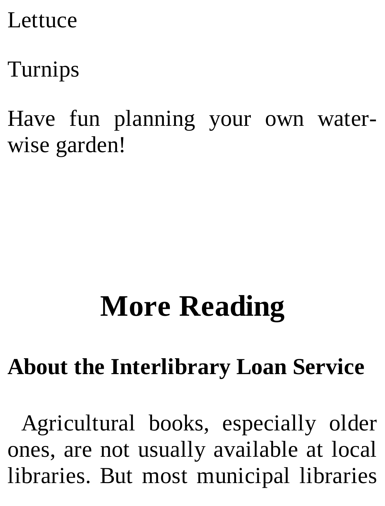#### Lettuce

# Turnips

Have fun planning your own waterwise garden!

# **More Reading**

## **About the Interlibrary Loan Service**

Agricultural books, especially older ones, are not usually available at local libraries. But most municipal libraries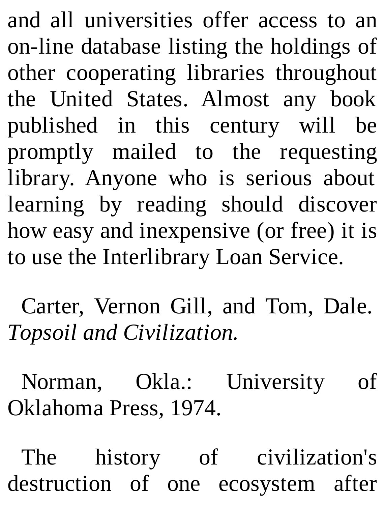and all universities offer access to an on-line database listing the holdings of other cooperating libraries throughout the United States. Almost any book published in this century will be promptly mailed to the requesting library. Anyone who is serious about learning by reading should discover how easy and inexpensive (or free) it is to use the Interlibrary Loan Service.

Carter, Vernon Gill, and Tom, Dale. *Topsoil and Civilization.*

Norman, Okla.: University of Oklahoma Press, 1974.

The history of civilization's destruction of one ecosystem after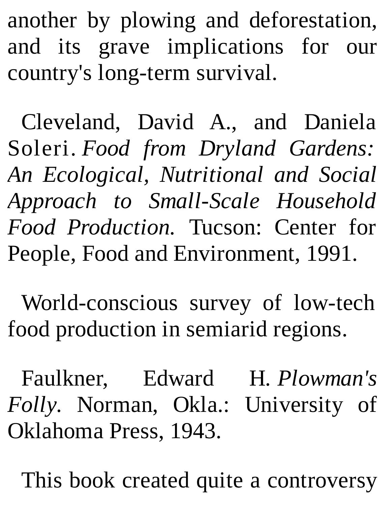another by plowing and deforestation, and its grave implications for our country's long-term survival.

Cleveland, David A., and Daniela Soleri. *Food from Dryland Gardens: An Ecological, Nutritional and Social Approach to Small-Scale Household Food Production.* Tucson: Center for People, Food and Environment, 1991.

World-conscious survey of low-tech food production in semiarid regions.

Faulkner, Edward H. *Plowman's Folly.* Norman, Okla.: University of Oklahoma Press, 1943.

This book created quite a controversy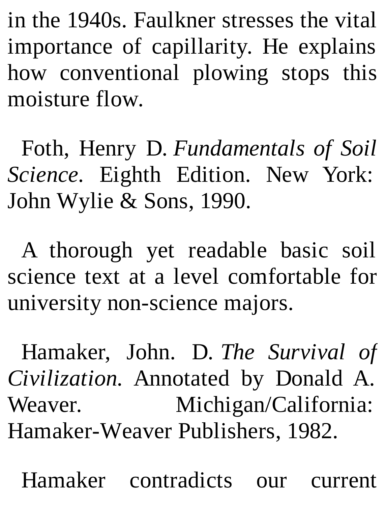in the 1940s. Faulkner stresses the vital importance of capillarity. He explains how conventional plowing stops this moisture flow.

Foth, Henry D. *Fundamentals of Soil Science.* Eighth Edition. New York: John Wylie & Sons, 1990.

A thorough yet readable basic soil science text at a level comfortable for university non-science majors.

Hamaker, John. D. *The Survival of Civilization.* Annotated by Donald A. Weaver. Michigan/California: Hamaker-Weaver Publishers, 1982.

Hamaker contradicts our current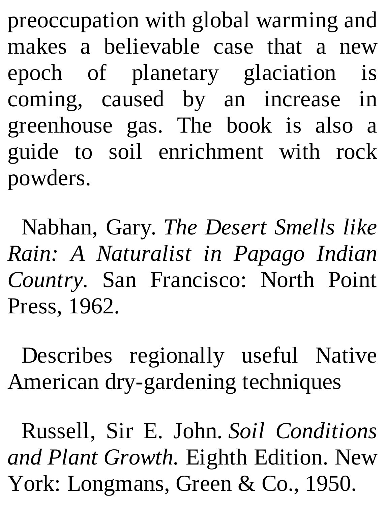preoccupation with global warming and makes a believable case that a new epoch of planetary glaciation is coming, caused by an increase in greenhouse gas. The book is also a guide to soil enrichment with rock powders.

Nabhan, Gary. *The Desert Smells like Rain: A Naturalist in Papago Indian Country.* San Francisco: North Point Press, 1962.

Describes regionally useful Native American dry-gardening techniques

Russell, Sir E. John. *Soil Conditions and Plant Growth.* Eighth Edition. New York: Longmans, Green & Co., 1950.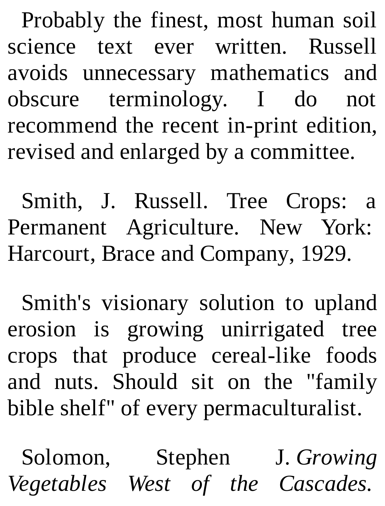Probably the finest, most human soil science text ever written. Russell avoids unnecessary mathematics and obscure terminology. I do not recommend the recent in-print edition, revised and enlarged by a committee.

Smith, J. Russell. Tree Crops: a Permanent Agriculture. New York: Harcourt, Brace and Company, 1929.

Smith's visionary solution to upland erosion is growing unirrigated tree crops that produce cereal-like foods and nuts. Should sit on the "family bible shelf" of every permaculturalist.

Solomon, Stephen J. *Growing Vegetables West of the Cascades.*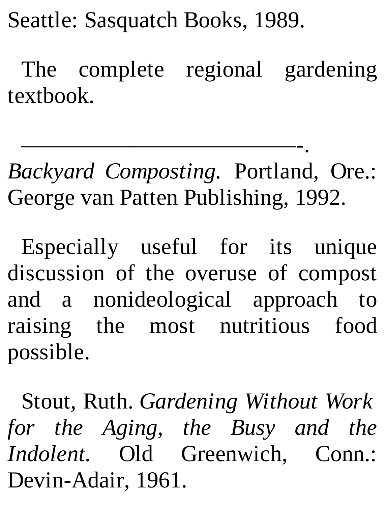Seattle: Sasquatch Books, 1989.

The complete regional gardening textbook.

————————————-. *Backyard Composting.* Portland, Ore.: George van Patten Publishing, 1992.

Especially useful for its unique discussion of the overuse of compost and a nonideological approach to raising the most nutritious food possible.

Stout, Ruth. *Gardening Without Work for the Aging, the Busy and the Indolent.* Old Greenwich, Conn.: Devin-Adair, 1961.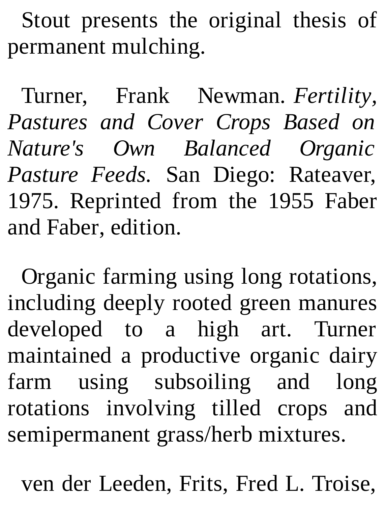Stout presents the original thesis of permanent mulching.

Turner, Frank Newman. *Fertility, Pastures and Cover Crops Based on Nature's Own Balanced Organic Pasture Feeds.* San Diego: Rateaver, 1975. Reprinted from the 1955 Faber and Faber, edition.

Organic farming using long rotations, including deeply rooted green manures developed to a high art. Turner maintained a productive organic dairy farm using subsoiling and long rotations involving tilled crops and semipermanent grass/herb mixtures.

ven der Leeden, Frits, Fred L. Troise,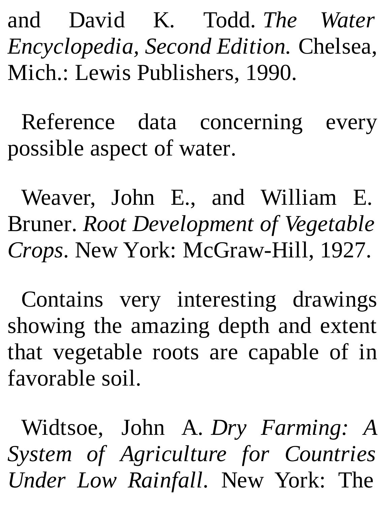and David K. Todd. *The Water Encyclopedia, Second Edition.* Chelsea, Mich.: Lewis Publishers, 1990.

Reference data concerning every possible aspect of water.

Weaver, John E., and William E. Bruner. *Root Development of Vegetable Crops.* New York: McGraw-Hill, 1927.

Contains very interesting drawings showing the amazing depth and extent that vegetable roots are capable of in favorable soil.

Widtsoe, John A. *Dry Farming: A System of Agriculture for Countries Under Low Rainfall.* New York: The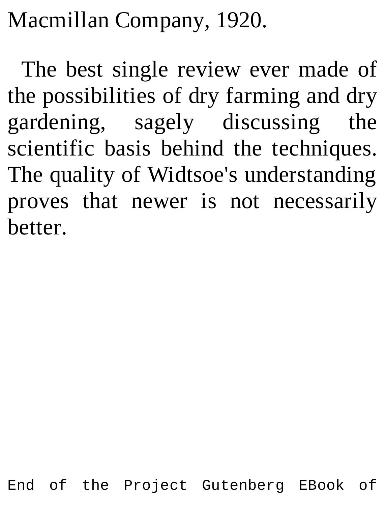Macmillan Company, 1920.

The best single review ever made of the possibilities of dry farming and dry gardening, sagely discussing the scientific basis behind the techniques. The quality of Widtsoe's understanding proves that newer is not necessarily better.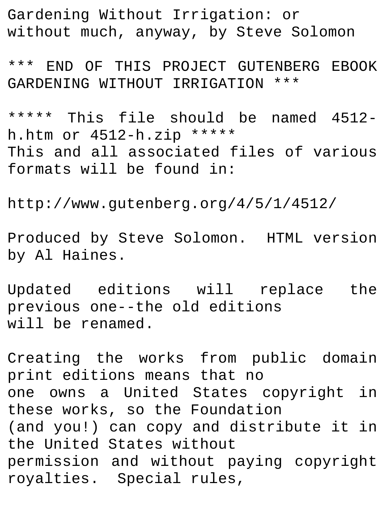Gardening Without Irrigation: or without much, anyway, by Steve Solomon

\*\*\* END OF THIS PROJECT GUTENBERG EBOOK GARDENING WITHOUT IRRIGATION \*\*\*

\*\*\*\*\* This file should be named 4512 h.htm or 4512-h.zip \*\*\*\*\* This and all associated files of various formats will be found in:

http://www.gutenberg.org/4/5/1/4512/

Produced by Steve Solomon. HTML version by Al Haines.

Updated editions will replace the previous one--the old editions will be renamed.

Creating the works from public domain print editions means that no one owns a United States copyright in these works, so the Foundation (and you!) can copy and distribute it in the United States without permission and without paying copyright royalties. Special rules,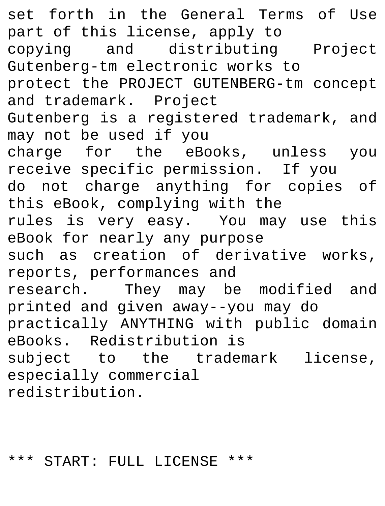set forth in the General Terms of Use part of this license, apply to copying and distributing Project Gutenberg-tm electronic works to protect the PROJECT GUTENBERG-tm concept and trademark. Project Gutenberg is a registered trademark, and may not be used if you charge for the eBooks, unless you receive specific permission. If you do not charge anything for copies of this eBook, complying with the rules is very easy. You may use this eBook for nearly any purpose such as creation of derivative works, reports, performances and research. They may be modified and printed and given away--you may do practically ANYTHING with public domain eBooks. Redistribution is subject to the trademark license, especially commercial redistribution.

## \*\*\* START: FULL LICENSE \*\*\*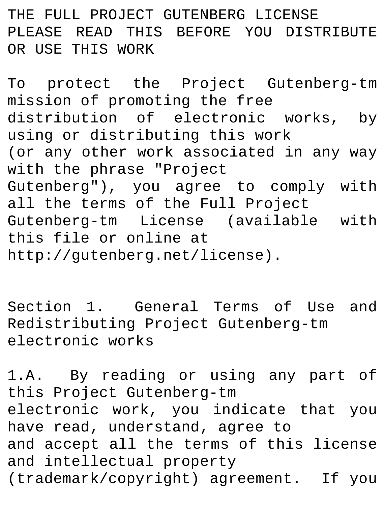THE FULL PROJECT GUTENBERG LICENSE PLEASE READ THIS BEFORE YOU DISTRIBUTE OR USE THIS WORK

To protect the Project Gutenberg-tm mission of promoting the free distribution of electronic works, by using or distributing this work (or any other work associated in any way with the phrase "Project Gutenberg"), you agree to comply with all the terms of the Full Project Gutenberg-tm License (available with this file or online at http://gutenberg.net/license).

Section 1. General Terms of Use and Redistributing Project Gutenberg-tm electronic works

1.A. By reading or using any part of this Project Gutenberg-tm electronic work, you indicate that you have read, understand, agree to and accept all the terms of this license and intellectual property (trademark/copyright) agreement. If you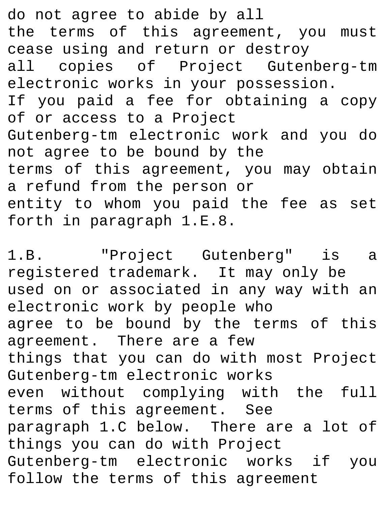do not agree to abide by all the terms of this agreement, you must cease using and return or destroy all copies of Project Gutenberg-tm electronic works in your possession. If you paid a fee for obtaining a copy of or access to a Project Gutenberg-tm electronic work and you do not agree to be bound by the terms of this agreement, you may obtain a refund from the person or entity to whom you paid the fee as set forth in paragraph 1.E.8.

1.B. "Project Gutenberg" is a registered trademark. It may only be used on or associated in any way with an electronic work by people who agree to be bound by the terms of this agreement. There are a few things that you can do with most Project Gutenberg-tm electronic works even without complying with the full terms of this agreement. See paragraph 1.C below. There are a lot of things you can do with Project Gutenberg-tm electronic works if you follow the terms of this agreement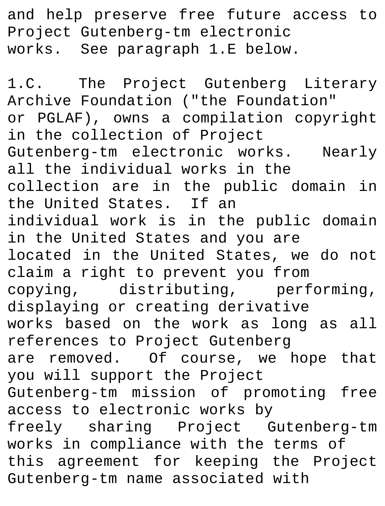and help preserve free future access to Project Gutenberg-tm electronic works. See paragraph 1.E below.

1.C. The Project Gutenberg Literary Archive Foundation ("the Foundation" or PGLAF), owns a compilation copyright in the collection of Project Gutenberg-tm electronic works. Nearly all the individual works in the collection are in the public domain in the United States. If an individual work is in the public domain in the United States and you are located in the United States, we do not claim a right to prevent you from copying, distributing, performing, displaying or creating derivative works based on the work as long as all references to Project Gutenberg are removed. Of course, we hope that you will support the Project Gutenberg-tm mission of promoting free access to electronic works by freely sharing Project Gutenberg-tm works in compliance with the terms of this agreement for keeping the Project Gutenberg-tm name associated with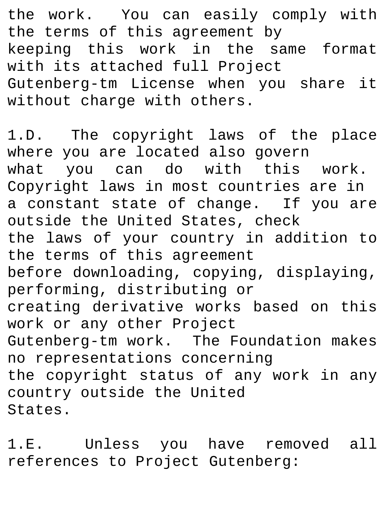the work. You can easily comply with the terms of this agreement by keeping this work in the same format with its attached full Project Gutenberg-tm License when you share it without charge with others.

1.D. The copyright laws of the place where you are located also govern what you can do with this work. Copyright laws in most countries are in a constant state of change. If you are outside the United States, check the laws of your country in addition to the terms of this agreement before downloading, copying, displaying, performing, distributing or creating derivative works based on this work or any other Project Gutenberg-tm work. The Foundation makes no representations concerning the copyright status of any work in any country outside the United States.

1.E. Unless you have removed all references to Project Gutenberg: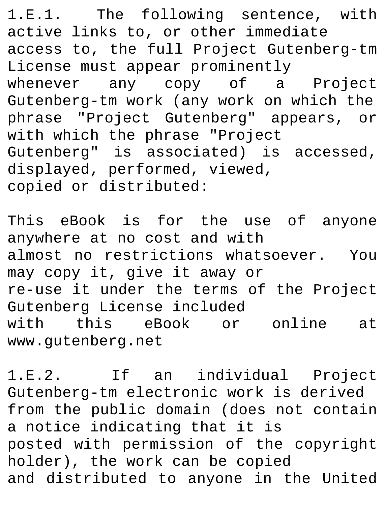1.E.1. The following sentence, with active links to, or other immediate access to, the full Project Gutenberg-tm License must appear prominently whenever any copy of a Project Gutenberg-tm work (any work on which the phrase "Project Gutenberg" appears, or with which the phrase "Project Gutenberg" is associated) is accessed, displayed, performed, viewed, copied or distributed:

This eBook is for the use of anyone anywhere at no cost and with almost no restrictions whatsoever. You may copy it, give it away or re-use it under the terms of the Project Gutenberg License included with this eBook or online at www.gutenberg.net

1.E.2. If an individual Project Gutenberg-tm electronic work is derived from the public domain (does not contain a notice indicating that it is posted with permission of the copyright holder), the work can be copied and distributed to anyone in the United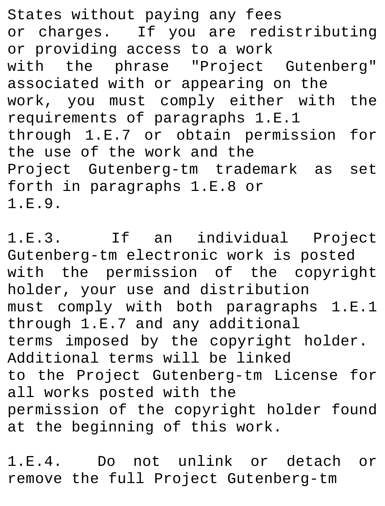States without paying any fees or charges. If you are redistributing or providing access to a work with the phrase "Project Gutenberg" associated with or appearing on the work, you must comply either with the requirements of paragraphs 1.E.1 through 1.E.7 or obtain permission for the use of the work and the Project Gutenberg-tm trademark as set forth in paragraphs 1.E.8 or 1.E.9.

1.E.3. If an individual Project Gutenberg-tm electronic work is posted with the permission of the copyright holder, your use and distribution must comply with both paragraphs 1.E.1 through 1.E.7 and any additional terms imposed by the copyright holder. Additional terms will be linked to the Project Gutenberg-tm License for all works posted with the permission of the copyright holder found at the beginning of this work.

1.E.4. Do not unlink or detach or remove the full Project Gutenberg-tm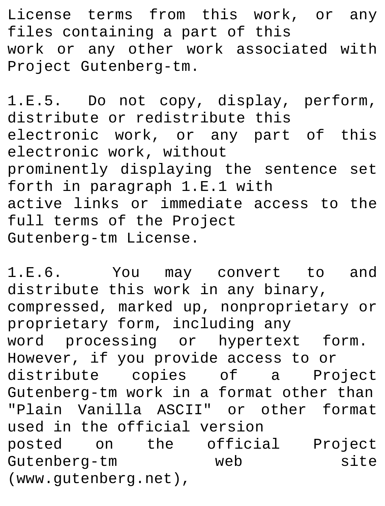License terms from this work, or any files containing a part of this work or any other work associated with Project Gutenberg-tm.

1.E.5. Do not copy, display, perform, distribute or redistribute this electronic work, or any part of this electronic work, without prominently displaying the sentence set forth in paragraph 1.E.1 with active links or immediate access to the full terms of the Project Gutenberg-tm License.

1.E.6. You may convert to and distribute this work in any binary, compressed, marked up, nonproprietary or proprietary form, including any word processing or hypertext form. However, if you provide access to or distribute copies of a Project Gutenberg-tm work in a format other than "Plain Vanilla ASCII" or other format used in the official version posted on the official Project Gutenberg-tm web site (www.gutenberg.net),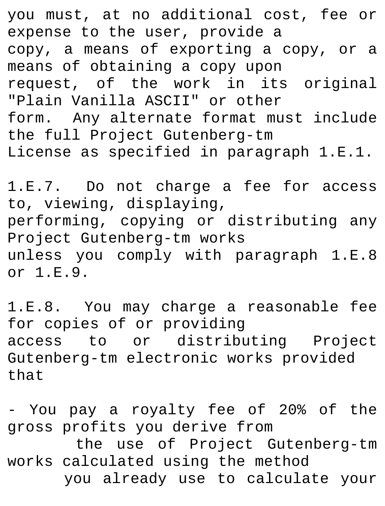you must, at no additional cost, fee or expense to the user, provide a copy, a means of exporting a copy, or a means of obtaining a copy upon request, of the work in its original "Plain Vanilla ASCII" or other form. Any alternate format must include the full Project Gutenberg-tm License as specified in paragraph 1.E.1.

1.E.7. Do not charge a fee for access to, viewing, displaying, performing, copying or distributing any Project Gutenberg-tm works unless you comply with paragraph 1.E.8 or 1.E.9.

1.E.8. You may charge a reasonable fee for copies of or providing access to or distributing Project Gutenberg-tm electronic works provided that

- You pay a royalty fee of 20% of the gross profits you derive from the use of Project Gutenberg-tm works calculated using the method you already use to calculate your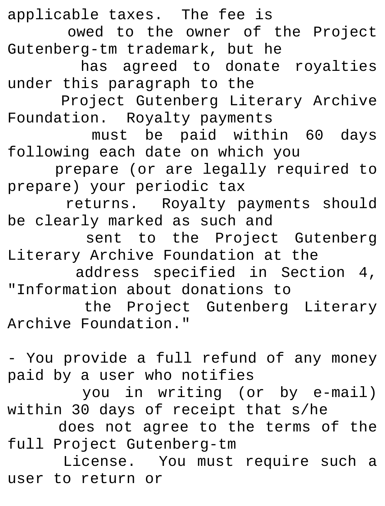applicable taxes. The fee is owed to the owner of the Project Gutenberg-tm trademark, but he has agreed to donate royalties under this paragraph to the Project Gutenberg Literary Archive Foundation. Royalty payments must be paid within 60 days following each date on which you prepare (or are legally required to prepare) your periodic tax returns. Royalty payments should be clearly marked as such and sent to the Project Gutenberg Literary Archive Foundation at the address specified in Section 4, "Information about donations to the Project Gutenberg Literary Archive Foundation." - You provide a full refund of any money paid by a user who notifies you in writing (or by e-mail)

within 30 days of receipt that s/he

does not agree to the terms of the full Project Gutenberg-tm

License. You must require such a user to return or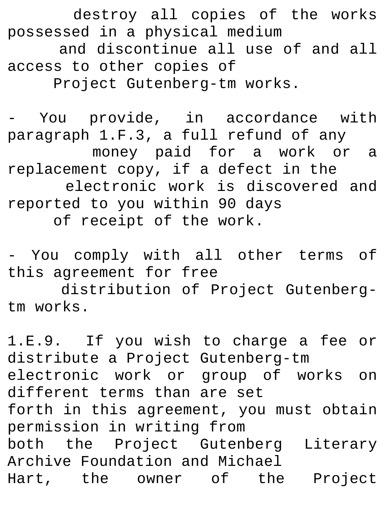destroy all copies of the works possessed in a physical medium and discontinue all use of and all access to other copies of Project Gutenberg-tm works.

- You provide, in accordance with paragraph 1.F.3, a full refund of any money paid for a work or a replacement copy, if a defect in the electronic work is discovered and reported to you within 90 days of receipt of the work.

- You comply with all other terms of this agreement for free

distribution of Project Gutenbergtm works.

1.E.9. If you wish to charge a fee or distribute a Project Gutenberg-tm electronic work or group of works on different terms than are set forth in this agreement, you must obtain permission in writing from both the Project Gutenberg Literary Archive Foundation and Michael Hart, the owner of the Project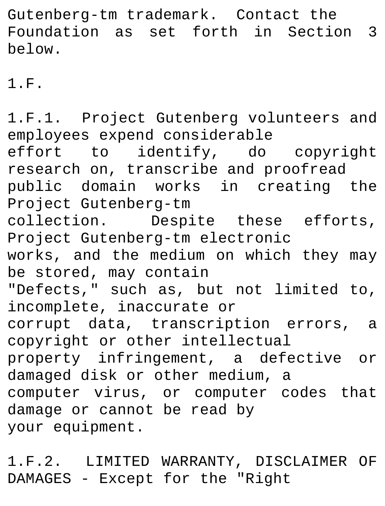Gutenberg-tm trademark. Contact the Foundation as set forth in Section 3 below.

1.F.

1.F.1. Project Gutenberg volunteers and employees expend considerable effort to identify, do copyright research on, transcribe and proofread public domain works in creating the Project Gutenberg-tm collection. Despite these efforts, Project Gutenberg-tm electronic works, and the medium on which they may be stored, may contain "Defects," such as, but not limited to, incomplete, inaccurate or corrupt data, transcription errors, a copyright or other intellectual property infringement, a defective or damaged disk or other medium, a computer virus, or computer codes that damage or cannot be read by your equipment.

1.F.2. LIMITED WARRANTY, DISCLAIMER OF DAMAGES - Except for the "Right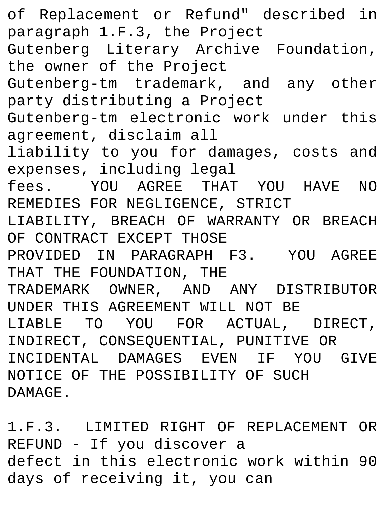of Replacement or Refund" described in paragraph 1.F.3, the Project Gutenberg Literary Archive Foundation, the owner of the Project Gutenberg-tm trademark, and any other party distributing a Project Gutenberg-tm electronic work under this agreement, disclaim all liability to you for damages, costs and expenses, including legal fees. YOU AGREE THAT YOU HAVE NO REMEDIES FOR NEGLIGENCE, STRICT LIABILITY, BREACH OF WARRANTY OR BREACH OF CONTRACT EXCEPT THOSE PROVIDED IN PARAGRAPH F3. YOU AGREE THAT THE FOUNDATION, THE TRADEMARK OWNER, AND ANY DISTRIBUTOR UNDER THIS AGREEMENT WILL NOT BE LIABLE TO YOU FOR ACTUAL, DIRECT, INDIRECT, CONSEQUENTIAL, PUNITIVE OR INCIDENTAL DAMAGES EVEN IF YOU GIVE NOTICE OF THE POSSIBILITY OF SUCH DAMAGE.

1.F.3. LIMITED RIGHT OF REPLACEMENT OR REFUND - If you discover a defect in this electronic work within 90 days of receiving it, you can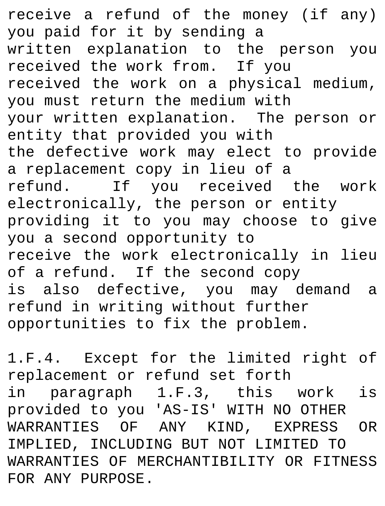receive a refund of the money (if any) you paid for it by sending a written explanation to the person you received the work from. If you received the work on a physical medium, you must return the medium with your written explanation. The person or entity that provided you with the defective work may elect to provide a replacement copy in lieu of a refund. If you received the work electronically, the person or entity providing it to you may choose to give you a second opportunity to receive the work electronically in lieu of a refund. If the second copy is also defective, you may demand a refund in writing without further opportunities to fix the problem.

1.F.4. Except for the limited right of replacement or refund set forth in paragraph 1.F.3, this work is provided to you 'AS-IS' WITH NO OTHER WARRANTIES OF ANY KIND, EXPRESS OR IMPLIED, INCLUDING BUT NOT LIMITED TO WARRANTIES OF MERCHANTIBILITY OR FITNESS FOR ANY PURPOSE.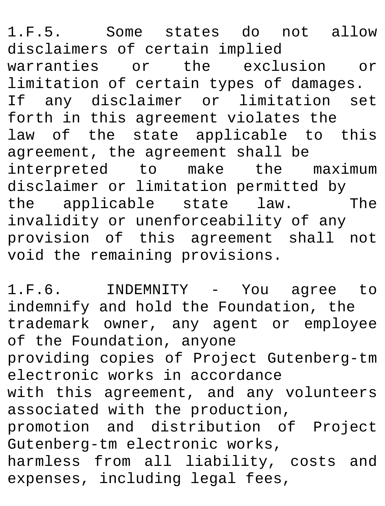1.F.5. Some states do not allow disclaimers of certain implied warranties or the exclusion or limitation of certain types of damages. If any disclaimer or limitation set forth in this agreement violates the law of the state applicable to this agreement, the agreement shall be interpreted to make the maximum disclaimer or limitation permitted by<br>the applicable state law. The  $the$  applicable state law. invalidity or unenforceability of any provision of this agreement shall not void the remaining provisions.

1.F.6. INDEMNITY - You agree to indemnify and hold the Foundation, the trademark owner, any agent or employee of the Foundation, anyone providing copies of Project Gutenberg-tm electronic works in accordance with this agreement, and any volunteers associated with the production, promotion and distribution of Project Gutenberg-tm electronic works, harmless from all liability, costs and expenses, including legal fees,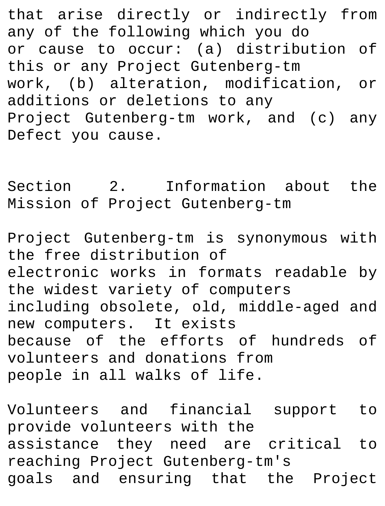that arise directly or indirectly from any of the following which you do or cause to occur: (a) distribution of this or any Project Gutenberg-tm work, (b) alteration, modification, or additions or deletions to any Project Gutenberg-tm work, and (c) any Defect you cause.

Section 2. Information about the Mission of Project Gutenberg-tm

Project Gutenberg-tm is synonymous with the free distribution of electronic works in formats readable by the widest variety of computers including obsolete, old, middle-aged and new computers. It exists because of the efforts of hundreds of volunteers and donations from people in all walks of life.

Volunteers and financial support to provide volunteers with the assistance they need are critical to reaching Project Gutenberg-tm's goals and ensuring that the Project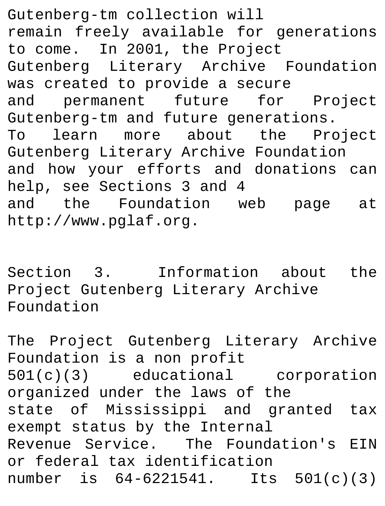Gutenberg-tm collection will remain freely available for generations to come. In 2001, the Project Gutenberg Literary Archive Foundation was created to provide a secure and permanent future for Project Gutenberg-tm and future generations. To learn more about the Project Gutenberg Literary Archive Foundation and how your efforts and donations can help, see Sections 3 and 4 and the Foundation web page at http://www.pglaf.org.

Section 3. Information about the Project Gutenberg Literary Archive Foundation

The Project Gutenberg Literary Archive Foundation is a non profit 501(c)(3) educational corporation organized under the laws of the state of Mississippi and granted tax exempt status by the Internal Revenue Service. The Foundation's EIN or federal tax identification number is 64-6221541. Its 501(c)(3)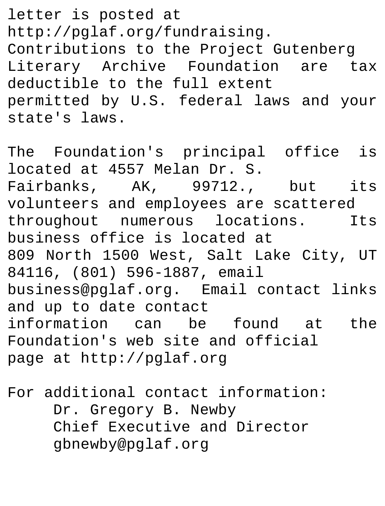letter is posted at http://pglaf.org/fundraising. Contributions to the Project Gutenberg Literary Archive Foundation are tax deductible to the full extent permitted by U.S. federal laws and your state's laws.

The Foundation's principal office is located at 4557 Melan Dr. S. Fairbanks, AK, 99712., but its volunteers and employees are scattered throughout numerous locations. Its business office is located at 809 North 1500 West, Salt Lake City, UT 84116, (801) 596-1887, email business@pglaf.org. Email contact links and up to date contact information can be found at the Foundation's web site and official page at http://pglaf.org

For additional contact information: Dr. Gregory B. Newby Chief Executive and Director gbnewby@pglaf.org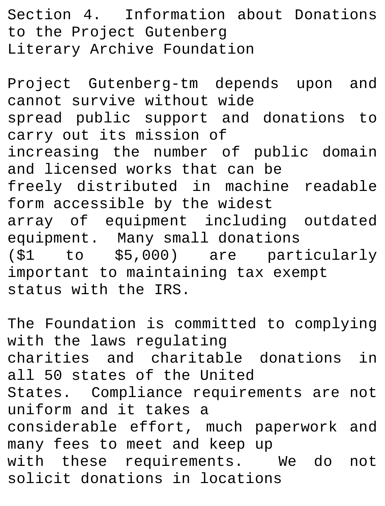Section 4. Information about Donations to the Project Gutenberg Literary Archive Foundation

Project Gutenberg-tm depends upon and cannot survive without wide spread public support and donations to carry out its mission of increasing the number of public domain and licensed works that can be freely distributed in machine readable form accessible by the widest array of equipment including outdated equipment. Many small donations (\$1 to \$5,000) are particularly important to maintaining tax exempt status with the IRS.

The Foundation is committed to complying with the laws regulating charities and charitable donations in all 50 states of the United States. Compliance requirements are not uniform and it takes a considerable effort, much paperwork and many fees to meet and keep up with these requirements. We do not solicit donations in locations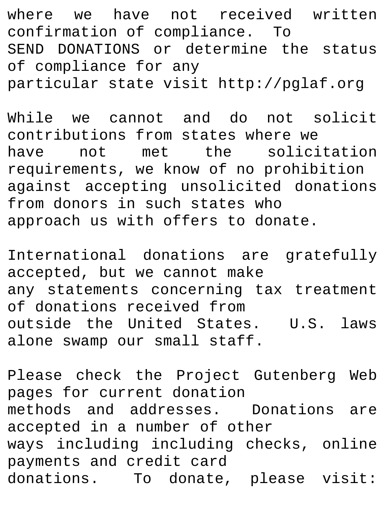where we have not received written confirmation of compliance. To SEND DONATIONS or determine the status of compliance for any particular state visit http://pglaf.org

While we cannot and do not solicit contributions from states where we have not met the solicitation requirements, we know of no prohibition against accepting unsolicited donations from donors in such states who approach us with offers to donate.

International donations are gratefully accepted, but we cannot make any statements concerning tax treatment of donations received from outside the United States. U.S. laws alone swamp our small staff.

Please check the Project Gutenberg Web pages for current donation methods and addresses. Donations are accepted in a number of other ways including including checks, online payments and credit card donations. To donate, please visit: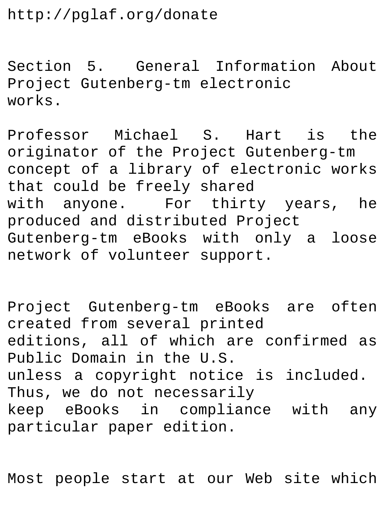http://pglaf.org/donate

Section 5. General Information About Project Gutenberg-tm electronic works.

Professor Michael S. Hart is the originator of the Project Gutenberg-tm concept of a library of electronic works that could be freely shared with anyone. For thirty years, he produced and distributed Project Gutenberg-tm eBooks with only a loose network of volunteer support.

Project Gutenberg-tm eBooks are often created from several printed editions, all of which are confirmed as Public Domain in the U.S. unless a copyright notice is included. Thus, we do not necessarily keep eBooks in compliance with any particular paper edition.

Most people start at our Web site which